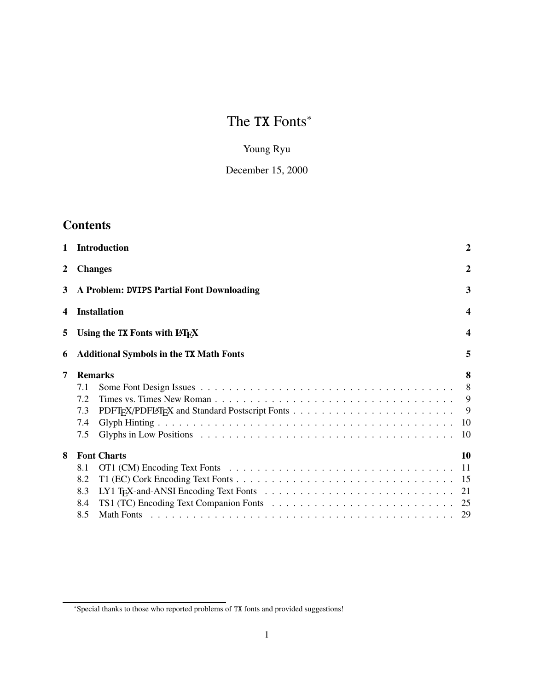# The TX Fonts<sup>\*</sup>

# Young Ryu

# December 15, 2000

# **Contents**

| $\mathbf{1}$ |     | <b>Introduction</b>                            | $\overline{2}$   |
|--------------|-----|------------------------------------------------|------------------|
| $\mathbf{2}$ |     | <b>Changes</b>                                 | $\boldsymbol{2}$ |
| 3            |     | A Problem: DVIPS Partial Font Downloading      | 3                |
| 4            |     | <b>Installation</b>                            | $\boldsymbol{4}$ |
| 5            |     | Using the TX Fonts with LAT <sub>F</sub> X     | $\boldsymbol{4}$ |
| 6            |     | <b>Additional Symbols in the TX Math Fonts</b> | 5                |
| 7            |     | <b>Remarks</b>                                 | 8                |
|              | 7.1 |                                                | 8                |
|              | 7.2 |                                                | 9                |
|              | 7.3 |                                                | 9                |
|              | 7.4 |                                                | 10               |
|              | 7.5 |                                                | 10               |
| 8            |     | <b>Font Charts</b>                             | 10               |
|              | 8.1 |                                                | -11              |
|              | 8.2 |                                                |                  |
|              | 8.3 |                                                |                  |
|              | 8.4 |                                                |                  |
|              | 8.5 |                                                |                  |
|              |     |                                                |                  |

<sup>∗</sup>Special thanks to those who reported problems of TX fonts and provided suggestions!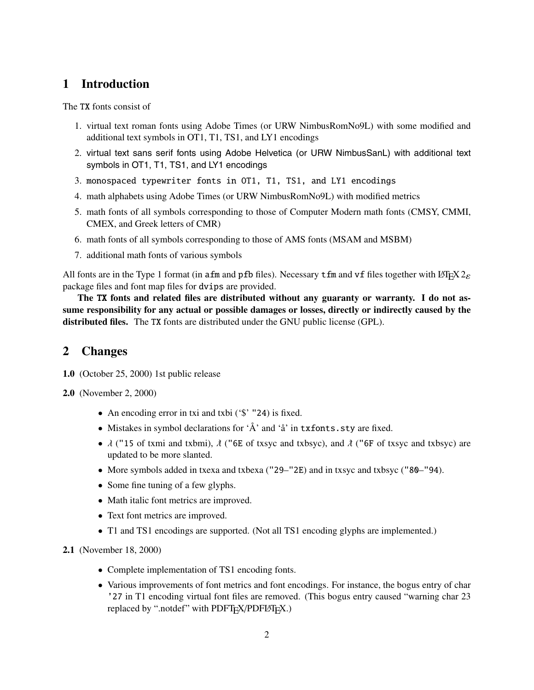# **1 Introduction**

The TX fonts consist of

- 1. virtual text roman fonts using Adobe Times (or URW NimbusRomNo9L) with some modified and additional text symbols in OT1, T1, TS1, and LY1 encodings
- 2. virtual text sans serif fonts using Adobe Helvetica (or URW NimbusSanL) with additional text symbols in OT1, T1, TS1, and LY1 encodings
- 3. monospaced typewriter fonts in OT1, T1, TS1, and LY1 encodings
- 4. math alphabets using Adobe Times (or URW NimbusRomNo9L) with modified metrics
- 5. math fonts of all symbols corresponding to those of Computer Modern math fonts (CMSY, CMMI, CMEX, and Greek letters of CMR)
- 6. math fonts of all symbols corresponding to those of AMS fonts (MSAM and MSBM)
- 7. additional math fonts of various symbols

All fonts are in the Type 1 format (in afm and pfb files). Necessary tfm and vf files together with LATEX  $2\varepsilon$ package files and font map files for dvips are provided.

**The** TX **fonts and related files are distributed without any guaranty or warranty. I do not assume responsibility for any actual or possible damages or losses, directly or indirectly caused by the distributed files.** The TX fonts are distributed under the GNU public license (GPL).

# **2 Changes**

- **1.0** (October 25, 2000) 1st public release
- **2.0** (November 2, 2000)
	- An encoding error in txi and txbi ('\\$' "24) is fixed.
	- Mistakes in symbol declarations for 'Å' and 'å' in txfonts.sty are fixed.
	- $\lambda$  ("15 of txmi and txbmi),  $\lambda$  ("6E of txsyc and txbsyc), and  $\lambda$  ("6F of txsyc and txbsyc) are undated to be more slanted updated to be more slanted.
	- More symbols added in txexa and txbexa ("29–"2E) and in txsyc and txbsyc ("80–"94).
	- Some fine tuning of a few glyphs.
	- Math italic font metrics are improved.
	- Text font metrics are improved.
	- T1 and TS1 encodings are supported. (Not all TS1 encoding glyphs are implemented.)

**2.1** (November 18, 2000)

- Complete implementation of TS1 encoding fonts.
- Various improvements of font metrics and font encodings. For instance, the bogus entry of char '27 in T1 encoding virtual font files are removed. (This bogus entry caused "warning char 23 replaced by ".notdef" with PDFTEX/PDFLATEX.)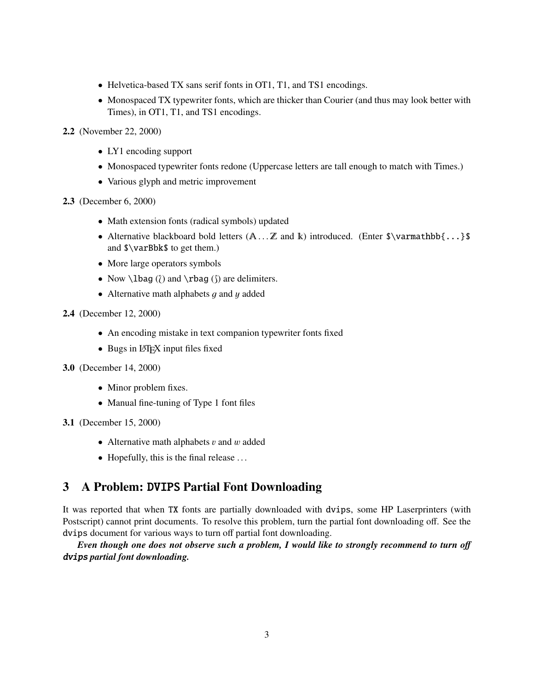- Helvetica-based TX sans serif fonts in OT1, T1, and TS1 encodings.
- Monospaced TX typewriter fonts, which are thicker than Courier (and thus may look better with Times), in OT1, T1, and TS1 encodings.
- **2.2** (November 22, 2000)
	- LY1 encoding support
	- Monospaced typewriter fonts redone (Uppercase letters are tall enough to match with Times.)
	- Various glyph and metric improvement
- **2.3** (December 6, 2000)
	- Math extension fonts (radical symbols) updated
	- Alternative blackboard bold letters  $(A \dots Z$  and  $k$ ) introduced. (Enter  $\varphi(x) = \varphi(x) \varphi(x) + \varphi(x) \varphi(x)$ and \$\varBbk\$ to get them.)
	- More large operators symbols
	- Now  $\lceil \cdot \rceil$  and  $\rceil$  and  $\lceil \cdot \rceil$  are delimiters.
	- Alternative math alphabets  $q$  and  $y$  added
- **2.4** (December 12, 2000)
	- An encoding mistake in text companion typewriter fonts fixed
	- Bugs in LAT<sub>EX</sub> input files fixed
- **3.0** (December 14, 2000)
	- Minor problem fixes.
	- Manual fine-tuning of Type 1 font files
- **3.1** (December 15, 2000)
	- Alternative math alphabets  $v$  and  $w$  added
	- Hopefully, this is the final release ...

# **3 A Problem:** DVIPS **Partial Font Downloading**

It was reported that when TX fonts are partially downloaded with dvips, some HP Laserprinters (with Postscript) cannot print documents. To resolve this problem, turn the partial font downloading off. See the dvips document for various ways to turn off partial font downloading.

*Even though one does not observe such a problem, I would like to strongly recommend to turn o*ff dvips *partial font downloading.*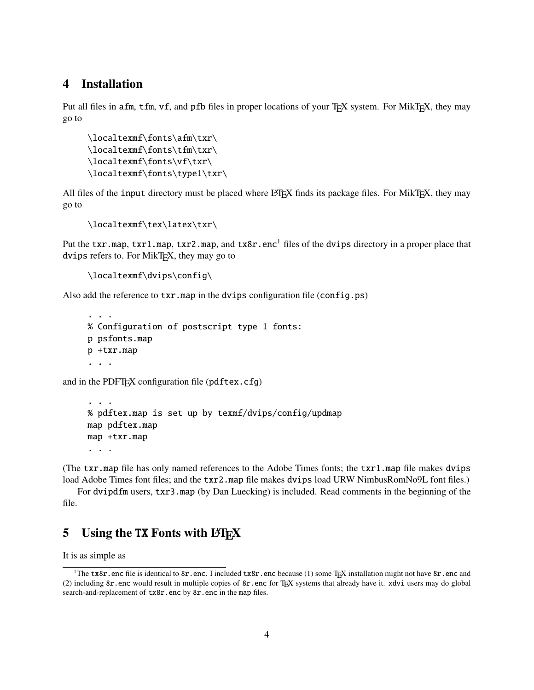# **4 Installation**

...

Put all files in afm, tfm, vf, and pfb files in proper locations of your T<sub>E</sub>X system. For MikT<sub>E</sub>X, they may go to

```
\localtexmf\fonts\afm\txr\
\localtexmf\fonts\tfm\txr\
\localtexmf\fonts\vf\txr\
\localtexmf\fonts\type1\txr\
```
All files of the input directory must be placed where LATEX finds its package files. For MikTEX, they may go to

```
\localtexmf\tex\latex\txr\
```
Put the txr.map, txr1.map, txr2.map, and tx8r.enc<sup>1</sup> files of the dvips directory in a proper place that dvips refers to. For MikT<sub>E</sub>X, they may go to

```
\localtexmf\dvips\config\
```
Also add the reference to txr.map in the dvips configuration file (config.ps)

```
% Configuration of postscript type 1 fonts:
p psfonts.map
p +txr.map
...
```
and in the PDFT<sub>F</sub>X configuration file ( $pdfex.cfg$ )

```
...
% pdftex.map is set up by texmf/dvips/config/updmap
map pdftex.map
map +txr.map
...
```
(The txr.map file has only named references to the Adobe Times fonts; the txr1.map file makes dvips load Adobe Times font files; and the txr2.map file makes dvips load URW NimbusRomNo9L font files.)

For dvipdfm users, txr3.map (by Dan Luecking) is included. Read comments in the beginning of the file.

# **5** Using the TX Fonts with LAT<sub>E</sub>X

It is as simple as

<sup>&</sup>lt;sup>1</sup>The tx8r.enc file is identical to 8r.enc. I included tx8r.enc because (1) some T<sub>E</sub>X installation might not have 8r.enc and (2) including 8r.enc would result in multiple copies of 8r.enc for TEX systems that already have it. xdvi users may do global search-and-replacement of tx8r.enc by 8r.enc in the map files.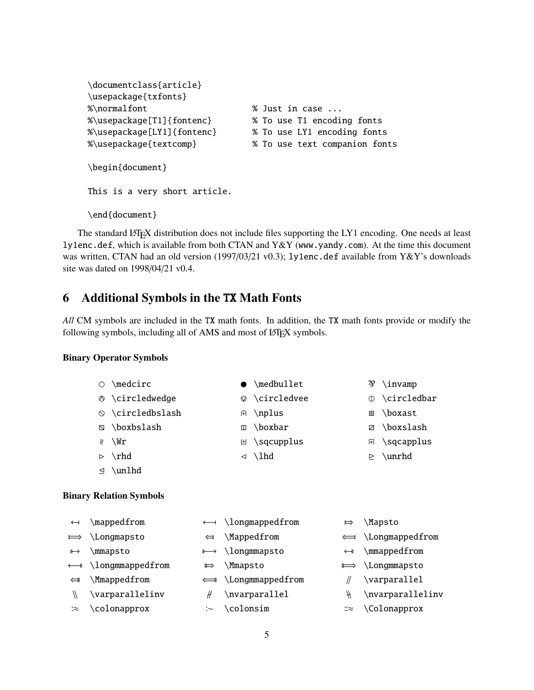```
\documentclass{article}
\usepackage{txfonts}
%\normalfont % Just in case ...
%\usepackage[T1]{fontenc} % To use T1 encoding fonts
%\usepackage[LY1]{fontenc} % To use LY1 encoding fonts
%\usepackage{textcomp} % To use text companion fonts
\begin{document}
This is a very short article.
\end{document}
```
The standard LATEX distribution does not include files supporting the LY1 encoding. One needs at least ly1enc.def, which is available from both CTAN and Y&Y (www.yandy.com). At the time this document was written, CTAN had an old version (1997/03/21 v0.3); ly1enc.def available from Y&Y's downloads site was dated on 1998/04/21 v0.4.

# **6 Additional Symbols in the** TX **Math Fonts**

*All* CM symbols are included in the TX math fonts. In addition, the TX math fonts provide or modify the following symbols, including all of AMS and most of LATEX symbols.

#### **Binary Operator Symbols**

| $\bigcirc$ | $\setminus$ medcirc   |                | $\bullet$ \medbullet    | Ŋ | $\infty$                                  |
|------------|-----------------------|----------------|-------------------------|---|-------------------------------------------|
|            | ◎ \circledwedge       |                | $\circ$ \circledvee     |   | $\circ$ \circledbar                       |
|            | ◎ \circledbslash      | A)             | \nplus                  | 图 | \boxast                                   |
|            | N \boxbslash          | $\blacksquare$ | \boxbar                 |   | ⊠ \boxslash                               |
|            | $\chi$ \Wr            |                | $\boxplus \$ \sqcupplus |   | <b><math>\mathbb{F}</math> \sqcapplus</b> |
|            | $\triangleright$ \rhd |                | $\triangleleft$ \lhd    |   | $\ge \sum$                                |
|            | $\triangleq$ \unlhd   |                |                         |   |                                           |

#### **Binary Relation Symbols**

| $\leftarrow$          | \mappedfrom                   |               | $\lambda$ longmappedfrom      | ⊨                        | \Mapsto                      |
|-----------------------|-------------------------------|---------------|-------------------------------|--------------------------|------------------------------|
| $\implies$            | \Longmapsto                   | $\leftarrow$  | \Mappedfrom                   |                          | $\leftarrow$ \Longmappedfrom |
| $\mapsto$             | \mmapsto                      |               | $\mapsto \text{longmm}$ apsto | $\overline{\phantom{0}}$ | \mmappedfrom                 |
|                       | $\leftarrow$ \longmmappedfrom | $\Rightarrow$ | <b>Mmapsto</b>                |                          | $\implies$ \Longmmapsto      |
| $\Longleftrightarrow$ | \Mmappedfrom                  |               | $\leftarrow$ \Longmmappedfrom |                          | \varparallel                 |
| $\sqrt{ }$            | \varparallelinv               |               | \nvarparallel                 | ₩                        | \nvarparallelinv             |
| ∶≈                    | \colonapprox                  | : $\sim$      | \colonsim                     | ∷≈                       | \Colonapprox                 |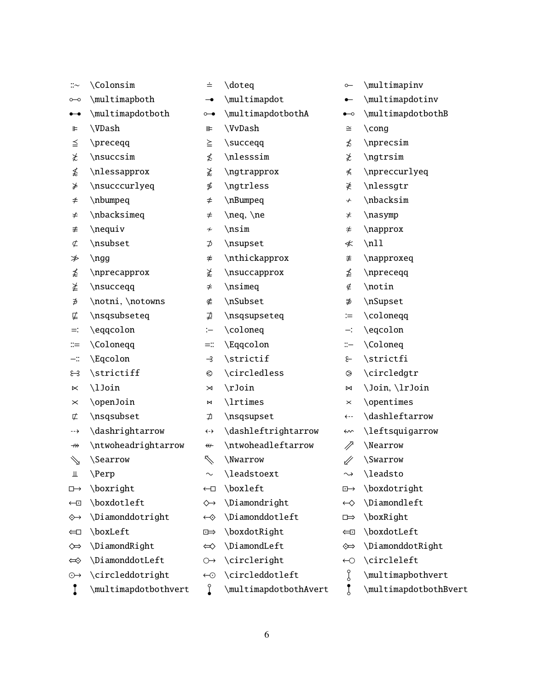| $::\sim$                                                                                                                                                                                                                                                                                                                                                                                                                                                                                                                                                                                                                                               | \Colonsim            | ≐                                        | \doteq                | $\sim$                          | \multimapinv           |
|--------------------------------------------------------------------------------------------------------------------------------------------------------------------------------------------------------------------------------------------------------------------------------------------------------------------------------------------------------------------------------------------------------------------------------------------------------------------------------------------------------------------------------------------------------------------------------------------------------------------------------------------------------|----------------------|------------------------------------------|-----------------------|---------------------------------|------------------------|
| o                                                                                                                                                                                                                                                                                                                                                                                                                                                                                                                                                                                                                                                      | \multimapboth        | $\overline{\phantom{a}}$                 | \multimapdot          | $\bullet -$                     | \multimapdotinv        |
| $\overset{\bullet}{-}\overset{\bullet}{-}\overset{\bullet}{-}\overset{\bullet}{-}\overset{\bullet}{-}\overset{\bullet}{-}\overset{\bullet}{-}\overset{\bullet}{-}\overset{\bullet}{-}\overset{\bullet}{-}\overset{\bullet}{-}\overset{\bullet}{-}\overset{\bullet}{-}\overset{\bullet}{-}\overset{\bullet}{-}\overset{\bullet}{-}\overset{\bullet}{-}\overset{\bullet}{-}\overset{\bullet}{-}\overset{\bullet}{-}\overset{\bullet}{-}\overset{\bullet}{-}\overset{\bullet}{-}\overset{\bullet}{-}\overset{\bullet}{-}\overset{\bullet}{-}\overset{\bullet}{-}\overset{\bullet}{-}\overset{\bullet}{-}\overset{\bullet}{-}\overset{\bullet}{-}\overset$ | \multimapdotboth     | $\circ\hspace{-4pt}\bullet\hspace{-4pt}$ | \multimapdotbothA     | $\bullet\hspace{-4pt}\multimap$ | \multimapdotbothB      |
| ⊫                                                                                                                                                                                                                                                                                                                                                                                                                                                                                                                                                                                                                                                      | \VDash               | ⊪                                        | \VvDash               | $\cong$                         | $\c{ong}$              |
| ≦                                                                                                                                                                                                                                                                                                                                                                                                                                                                                                                                                                                                                                                      | \preceqq             | $\geq$                                   | \succeqq              | ≴                               | \nprecsim              |
| ≵                                                                                                                                                                                                                                                                                                                                                                                                                                                                                                                                                                                                                                                      | \nsuccsim            | ≴                                        | \nlesssim             | ≵                               | \ngtrsim               |
| ≴                                                                                                                                                                                                                                                                                                                                                                                                                                                                                                                                                                                                                                                      | \nlessapprox         | ≵                                        | \ngtrapprox           | ⊀                               | \npreccurlyeq          |
| ⋡                                                                                                                                                                                                                                                                                                                                                                                                                                                                                                                                                                                                                                                      | \nsucccurlyeq        | ≸                                        | \ngtrless             | ≹                               | \nlessgtr              |
| $\neq$                                                                                                                                                                                                                                                                                                                                                                                                                                                                                                                                                                                                                                                 | \nbumpeq             | $\neq$                                   | \nBumpeq              | $\boldsymbol{\downarrow}$       | \nbacksim              |
| ≠                                                                                                                                                                                                                                                                                                                                                                                                                                                                                                                                                                                                                                                      | \nbacksimeq          | $\neq$                                   | \neq, \ne             | $\star$                         | \nasymp                |
| ≢                                                                                                                                                                                                                                                                                                                                                                                                                                                                                                                                                                                                                                                      | \nequiv              | $\boldsymbol{\nsim}$                     | \nsim                 | $\approx$                       | \napprox               |
| $\not\subset$                                                                                                                                                                                                                                                                                                                                                                                                                                                                                                                                                                                                                                          | \nsubset             | ⊅                                        | \nsupset              | ≮                               | $\n\t\ldots$           |
| ≯                                                                                                                                                                                                                                                                                                                                                                                                                                                                                                                                                                                                                                                      | $\ngg$               | ≉                                        | \nthickapprox         | 孝                               | \napproxeq             |
| ≴                                                                                                                                                                                                                                                                                                                                                                                                                                                                                                                                                                                                                                                      | \nprecapprox         | ≵                                        | \nsuccapprox          | ≰                               | \npreceqq              |
| ≱                                                                                                                                                                                                                                                                                                                                                                                                                                                                                                                                                                                                                                                      | \nsucceqq            | $\neq$                                   | \nsimeq               | ∉                               | \notin                 |
| ∌                                                                                                                                                                                                                                                                                                                                                                                                                                                                                                                                                                                                                                                      | \notni, \notowns     | ∉                                        | \nSubset              | ∌                               | \nSupset               |
| ⋢                                                                                                                                                                                                                                                                                                                                                                                                                                                                                                                                                                                                                                                      | \nsqsubseteq         | ⋣                                        | \nsqsupseteq          | $\coloneqq$                     | \coloneqq              |
| ≕:                                                                                                                                                                                                                                                                                                                                                                                                                                                                                                                                                                                                                                                     | \eqqcolon            | :                                        | \coloneq              | ≕                               | \eqcolon               |
| ።≔                                                                                                                                                                                                                                                                                                                                                                                                                                                                                                                                                                                                                                                     | \Coloneqq            | $=$ $\mathbb{I}$                         | \Eqqcolon             | $\ddot{=}$                      | \Coloneq               |
| $-\ddot{}$                                                                                                                                                                                                                                                                                                                                                                                                                                                                                                                                                                                                                                             | \Eqcolon             | $\rightarrow$                            | \strictif             | $\epsilon$                      | \strictfi              |
| ೫                                                                                                                                                                                                                                                                                                                                                                                                                                                                                                                                                                                                                                                      | \strictiff           | $\odot$                                  | \circledless          | $\odot$                         | \circledgtr            |
| $\ltimes$                                                                                                                                                                                                                                                                                                                                                                                                                                                                                                                                                                                                                                              | \lJoin               | $\Join$                                  | \rJoin                | $\bowtie$                       | \Join, \lrJoin         |
| $\times$                                                                                                                                                                                                                                                                                                                                                                                                                                                                                                                                                                                                                                               | \openJoin            | $\bowtie$                                | \lrtimes              | $\times$                        | \opentimes             |
| 亡                                                                                                                                                                                                                                                                                                                                                                                                                                                                                                                                                                                                                                                      | \nsqsubset           | ⊅                                        | \nsqsupset            | $\leftarrow$                    | \dashleftarrow         |
| -->                                                                                                                                                                                                                                                                                                                                                                                                                                                                                                                                                                                                                                                    | \dashrightarrow      | $\leftrightarrow$                        | \dashleftrightarrow   | $\rightsquigarrow$              | \leftsquigarrow        |
| $\nrightarrow$                                                                                                                                                                                                                                                                                                                                                                                                                                                                                                                                                                                                                                         | \ntwoheadrightarrow  | $\overline{\mathbf{r}}$                  | \ntwoheadleftarrow    | $\mathscr{D}$                   | \Nearrow               |
| $\searrow$                                                                                                                                                                                                                                                                                                                                                                                                                                                                                                                                                                                                                                             | \Searrow             | $\nearrow$                               | \Nwarrow              | 1/                              | <i><b>\Swarrow</b></i> |
| Щ                                                                                                                                                                                                                                                                                                                                                                                                                                                                                                                                                                                                                                                      | \Perp                | $\sim$                                   | \leadstoext           | $\rightsquigarrow$              | \leadsto               |
| $\Box \rightarrow$                                                                                                                                                                                                                                                                                                                                                                                                                                                                                                                                                                                                                                     | \boxright            | $\leftarrow$                             | \boxleft              | $\Box \rightarrow$              | \boxdotright           |
| $\overline{\mathbb{E}}$                                                                                                                                                                                                                                                                                                                                                                                                                                                                                                                                                                                                                                | \boxdotleft          | $\rightsquigarrow$                       | \Diamondright         | $\leftrightarrow$               | \Diamondleft           |
| ◈                                                                                                                                                                                                                                                                                                                                                                                                                                                                                                                                                                                                                                                      | \Diamonddotright     | $\leftrightarrow$                        | \Diamonddotleft       | □⇒                              | \boxRight              |
| $\Longleftrightarrow$                                                                                                                                                                                                                                                                                                                                                                                                                                                                                                                                                                                                                                  | \boxLeft             | $E \Rightarrow$                          | \boxdotRight          | $\Longleftrightarrow$           | \boxdotLeft            |
| $\Leftrightarrow$                                                                                                                                                                                                                                                                                                                                                                                                                                                                                                                                                                                                                                      | \DiamondRight        | $\Leftrightarrow$                        | \DiamondLeft          | չ⇒                              | \DiamonddotRight       |
| ⇔                                                                                                                                                                                                                                                                                                                                                                                                                                                                                                                                                                                                                                                      | \DiamonddotLeft      | $\leftrightarrow$                        | \circleright          | $\leftarrow$                    | \circleleft            |
| $\odot \rightarrow$                                                                                                                                                                                                                                                                                                                                                                                                                                                                                                                                                                                                                                    | \circleddotright     | $\bigodot$                               | \circleddotleft       | g                               | \multimapbothvert      |
| I                                                                                                                                                                                                                                                                                                                                                                                                                                                                                                                                                                                                                                                      | \multimapdotbothvert | Î                                        | \multimapdotbothAvert | Į                               | \multimapdotbothBvert  |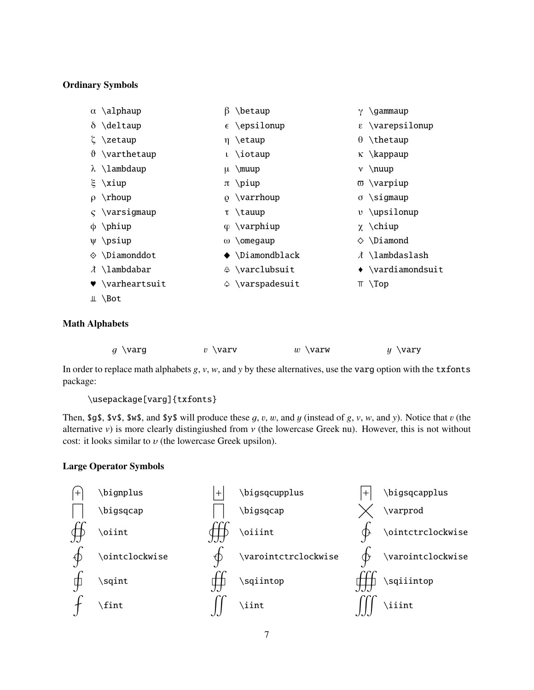#### **Ordinary Symbols**

| $\alpha \lambda$ lphaup  | ß | \betaup                       | \gammaup                          |
|--------------------------|---|-------------------------------|-----------------------------------|
| $\delta \ \delta$        |   | $\epsilon$ \epsilonup         | $\epsilon$ \varepsilonup          |
| ξ \zetaup                |   | $\eta \text{ (etaup)}$        | $\theta$ \thetaup                 |
| $\vartheta$ \varthetaup  |   | $\iota \iota$ \iotaup         | $\kappa \ \$ {kappaup}            |
| $\lambda \ \lambda$      |   | $\mu \ \mu$                   | $v \in \mathbb{R}$                |
| $\xi \xiup$              |   | $\pi$ \piup                   | $\overline{\omega}$ \varpiup      |
| $\rho \rightarrow$ rhoup |   | $\Omega$ \varrhoup            | $\sigma \rightarrow$ sigmaup      |
| $\varsigma$ \varsigmaup  |   | $\tau \lambda$                | $v \uparrow$ upsilonup            |
| $\phi$ \phiup            |   | $\varphi \ \varphi$           | $\chi \Delta$                     |
| $\psi$ \psiup            |   | $\omega$ \omegaup             | $\diamond$ \Diamond               |
| $\diamond$ \Diamonddot   |   | $\blacklozenge$ \Diamondblack | $\lambda$ \lambdaslash            |
| $\lambda \ \lambda$      |   | ⊕ \varclubsuit                | $\leftrightarrow$ \vardiamondsuit |
| $\bullet$ \varheartsuit  |   | $\Diamond$ \varspadesuit      | $\top \setminus Top$              |
| $\perp$ \Bot             |   |                               |                                   |
|                          |   |                               |                                   |

#### **Math Alphabets**

| $g \setminus {\mathsf{var}}{\mathsf{g}}$ | $v \sqrt{varv}$ | $w \sqrt{varw}$ | $y \ \vartheta$ |
|------------------------------------------|-----------------|-----------------|-----------------|
|                                          |                 |                 |                 |

In order to replace math alphabets *g*, *v*, *w*, and *y* by these alternatives, use the varg option with the txfonts package:

\usepackage[varg]{txfonts}

Then, \$g\$, \$v\$, \$w\$, and \$y\$ will produce these  $g$ ,  $v$ ,  $w$ , and  $y$  (instead of  $g$ ,  $v$ ,  $w$ , and  $y$ ). Notice that  $v$  (the alternative *v*) is more clearly distingiushed from  $\nu$  (the lowercase Greek nu). However, this is not without cost: it looks similar to  $v$  (the lowercase Greek upsilon).

#### **Large Operator Symbols**

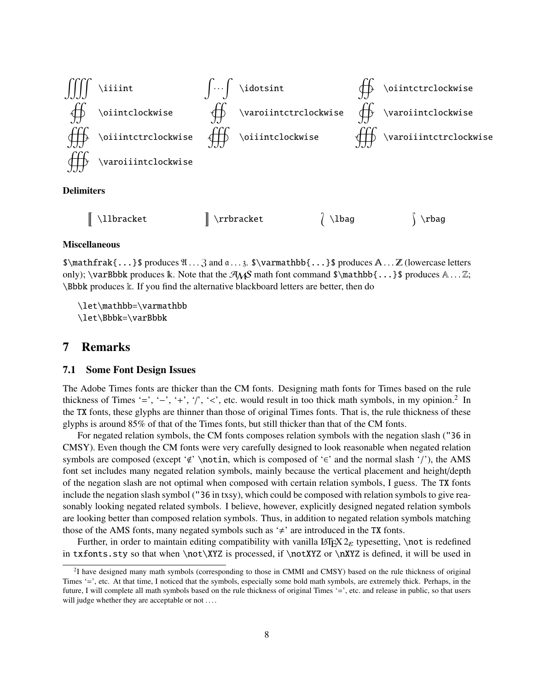

#### **Miscellaneous**

 $\mathcal{S}\mathcal{S}\mathcal{S}\mathcal{S}$ ...}  $\mathcal{S}\mathcal{S}\mathcal{S}\mathcal{S}\mathcal{S}\mathcal{S}$  and  $\mathcal{S}\mathcal{S}\mathcal{S}\mathcal{S}$ ...  $\mathcal{S}\mathcal{S}\mathcal{S}\mathcal{S}$  and  $\mathcal{S}\mathcal{S}\mathcal{S}\mathcal{S}$ ...  $\mathcal{S}\mathcal{S}\mathcal{S}\mathcal{S}$  and  $\mathcal{S}\mathcal{S}\mathcal{S}\mathcal{S}$ ...  $\mathcal{S}\mathcal{S}\mathcal{S}\math$ only); \varBbbk produces  $\mathbb{k}$ . Note that the  $\mathcal{A}_\mathcal{S}$  math font command  $\mathcal{S}$ \mathbb{...}\$ produces  $\mathbb{A} \dots \mathbb{Z}$ ; \Bbbk produces k. If you find the alternative blackboard letters are better, then do

\let\mathbb=\varmathbb \let\Bbbk=\varBbbk

#### **7 Remarks**

#### **7.1 Some Font Design Issues**

The Adobe Times fonts are thicker than the CM fonts. Designing math fonts for Times based on the rule thickness of Times '=', '-', '+', '/', '<', etc. would result in too thick math symbols, in my opinion.<sup>2</sup> In the TX fonts, these glyphs are thinner than those of original Times fonts. That is, the rule thickness of these glyphs is around 85% of that of the Times fonts, but still thicker than that of the CM fonts.

For negated relation symbols, the CM fonts composes relation symbols with the negation slash ("36 in CMSY). Even though the CM fonts were very carefully designed to look reasonable when negated relation symbols are composed (except ' $\notin$ ' \notin, which is composed of ' $\in$ ' and the normal slash '/'), the AMS font set includes many negated relation symbols, mainly because the vertical placement and height/depth of the negation slash are not optimal when composed with certain relation symbols, I guess. The TX fonts include the negation slash symbol ("36 in txsy), which could be composed with relation symbols to give reasonably looking negated related symbols. I believe, however, explicitly designed negated relation symbols are looking better than composed relation symbols. Thus, in addition to negated relation symbols matching those of the AMS fonts, many negated symbols such as  $\neq$  are introduced in the TX fonts.

Further, in order to maintain editing compatibility with vanilla LATEX  $2\varepsilon$  typesetting, \not is redefined in txfonts.sty so that when \not\XYZ is processed, if \notXYZ or \nXYZ is defined, it will be used in

<sup>&</sup>lt;sup>2</sup>I have designed many math symbols (corresponding to those in CMMI and CMSY) based on the rule thickness of original Times '=', etc. At that time, I noticed that the symbols, especially some bold math symbols, are extremely thick. Perhaps, in the future, I will complete all math symbols based on the rule thickness of original Times '=', etc. and release in public, so that users will judge whether they are acceptable or not ....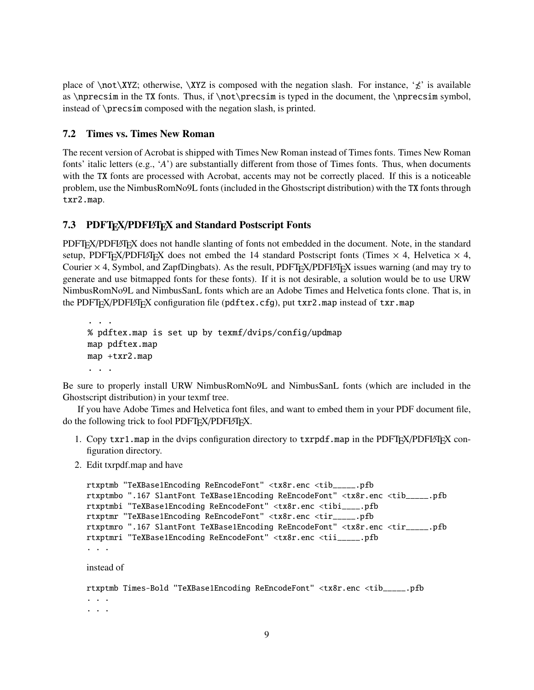place of  $\not\colon XYZ$ ; otherwise,  $\XXZ$  is composed with the negation slash. For instance, ' $\not\leq$ ' is available as  $\nperesim$  in the TX fonts. Thus, if  $\not\prescript{\text{me}1}{\text{me}3}$  is typed in the document, the  $\nperesim$  symbol, instead of \precsim composed with the negation slash, is printed.

#### **7.2 Times vs. Times New Roman**

The recent version of Acrobat is shipped with Times New Roman instead of Times fonts. Times New Roman fonts' italic letters (e.g., '*A*') are substantially different from those of Times fonts. Thus, when documents with the TX fonts are processed with Acrobat, accents may not be correctly placed. If this is a noticeable problem, use the NimbusRomNo9L fonts (included in the Ghostscript distribution) with the TX fonts through txr2.map.

### **7.3 PDFTEX**/**PDFLATEX and Standard Postscript Fonts**

PDFT<sub>EX</sub>/PDFLAT<sub>EX</sub> does not handle slanting of fonts not embedded in the document. Note, in the standard setup, PDFT<sub>E</sub>X/PDFLAT<sub>E</sub>X does not embed the 14 standard Postscript fonts (Times  $\times$  4, Helvetica  $\times$  4, Courier  $\times$  4, Symbol, and ZapfDingbats). As the result, PDFT<sub>EX</sub>/PDFLAT<sub>EX</sub> issues warning (and may try to generate and use bitmapped fonts for these fonts). If it is not desirable, a solution would be to use URW NimbusRomNo9L and NimbusSanL fonts which are an Adobe Times and Helvetica fonts clone. That is, in the PDFT<sub>EX</sub>/PDFLAT<sub>EX</sub> configuration file (pdftex.cfg), put txr2.map instead of txr.map

```
...
% pdftex.map is set up by texmf/dvips/config/updmap
map pdftex.map
map +txr2.map
...
```
Be sure to properly install URW NimbusRomNo9L and NimbusSanL fonts (which are included in the Ghostscript distribution) in your texmf tree.

If you have Adobe Times and Helvetica font files, and want to embed them in your PDF document file, do the following trick to fool PDFT<sub>F</sub>X/PDFLAT<sub>F</sub>X.

- 1. Copy txr1.map in the dvips configuration directory to txrpdf.map in the PDFT<sub>E</sub>X/PDFLAT<sub>E</sub>X configuration directory.
- 2. Edit txrpdf.map and have

```
rtxptmb "TeXBase1Encoding ReEncodeFont" <tx8r.enc <tib_____.pfb
rtxptmbo ".167 SlantFont TeXBase1Encoding ReEncodeFont" <tx8r.enc <tib_____.pfb
rtxptmbi "TeXBase1Encoding ReEncodeFont" <tx8r.enc <tibi____.pfb
rtxptmr "TeXBase1Encoding ReEncodeFont" <tx8r.enc <tir_____.pfb
rtxptmro ".167 SlantFont TeXBase1Encoding ReEncodeFont" <tx8r.enc <tir_____.pfb
rtxptmri "TeXBase1Encoding ReEncodeFont" <tx8r.enc <tii_____.pfb
...
instead of
rtxptmb Times-Bold "TeXBase1Encoding ReEncodeFont" <tx8r.enc <tib_____.pfb
...
...
```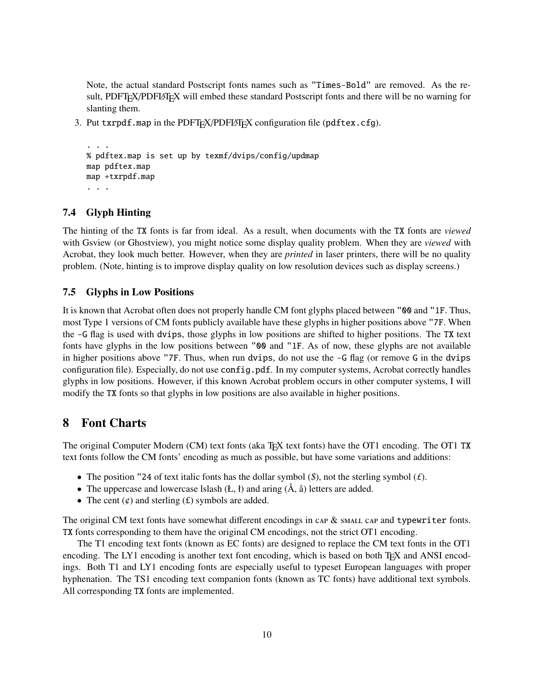Note, the actual standard Postscript fonts names such as "Times-Bold" are removed. As the result, PDFT<sub>F</sub>X/PDFL<sup>3</sup>T<sub>F</sub>X will embed these standard Postscript fonts and there will be no warning for slanting them.

3. Put txrpdf.map in the PDFT<sub>F</sub>X/PDFLAT<sub>F</sub>X configuration file (pdftex.cfg).

```
...
% pdftex.map is set up by texmf/dvips/config/updmap
map pdftex.map
map +txrpdf.map
...
```
#### **7.4 Glyph Hinting**

The hinting of the TX fonts is far from ideal. As a result, when documents with the TX fonts are *viewed* with Gsview (or Ghostview), you might notice some display quality problem. When they are *viewed* with Acrobat, they look much better. However, when they are *printed* in laser printers, there will be no quality problem. (Note, hinting is to improve display quality on low resolution devices such as display screens.)

#### **7.5 Glyphs in Low Positions**

It is known that Acrobat often does not properly handle CM font glyphs placed between "00 and "1F. Thus, most Type 1 versions of CM fonts publicly available have these glyphs in higher positions above "7F. When the -G flag is used with dvips, those glyphs in low positions are shifted to higher positions. The TX text fonts have glyphs in the low positions between "00 and "1F. As of now, these glyphs are not available in higher positions above "7F. Thus, when run dvips, do not use the  $-G$  flag (or remove G in the dvips configuration file). Especially, do not use config.pdf. In my computer systems, Acrobat correctly handles glyphs in low positions. However, if this known Acrobat problem occurs in other computer systems, I will modify the TX fonts so that glyphs in low positions are also available in higher positions.

### **8 Font Charts**

The original Computer Modern (CM) text fonts (aka TEX text fonts) have the OT1 encoding. The OT1 TX text fonts follow the CM fonts' encoding as much as possible, but have some variations and additions:

- The position "24 of text italic fonts has the dollar symbol (*\$*), not the sterling symbol (*£*).
- The uppercase and lowercase Islash  $(E, \mathbf{l})$  and aring  $(\mathbf{A}, \mathbf{a})$  letters are added.
- The cent  $(\phi)$  and sterling  $(\mathbf{f})$  symbols are added.

The original CM text fonts have somewhat different encodings in  $\alpha P \&$  SMALL  $\alpha P$  and typewriter fonts. TX fonts corresponding to them have the original CM encodings, not the strict OT1 encoding.

The T1 encoding text fonts (known as EC fonts) are designed to replace the CM text fonts in the OT1 encoding. The LY1 encoding is another text font encoding, which is based on both TFX and ANSI encodings. Both T1 and LY1 encoding fonts are especially useful to typeset European languages with proper hyphenation. The TS1 encoding text companion fonts (known as TC fonts) have additional text symbols. All corresponding TX fonts are implemented.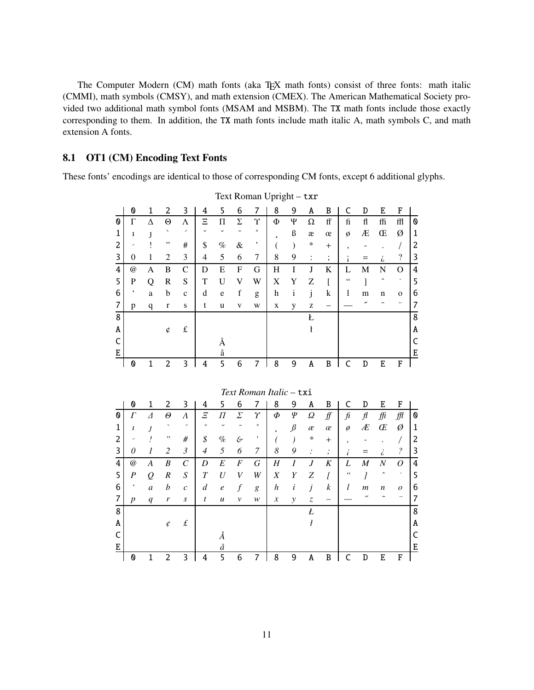The Computer Modern (CM) math fonts (aka TEX math fonts) consist of three fonts: math italic (CMMI), math symbols (CMSY), and math extension (CMEX). The American Mathematical Society provided two additional math symbol fonts (MSAM and MSBM). The TX math fonts include those exactly corresponding to them. In addition, the TX math fonts include math italic A, math symbols C, and math extension A fonts.

#### **OT1 (CM) Encoding Text Fonts** 8.1

These fonts' encodings are identical to those of corresponding CM fonts, except 6 additional glyphs.

|                                | 0              | $\mathbf{1}$ | 2                        | 3                   | 4              | 5                | 6                | 7                       | 8                        | 9                      | A                        | B            | C              | D              | E                   | F                        |                |
|--------------------------------|----------------|--------------|--------------------------|---------------------|----------------|------------------|------------------|-------------------------|--------------------------|------------------------|--------------------------|--------------|----------------|----------------|---------------------|--------------------------|----------------|
| $\boldsymbol{\mathsf{\Omega}}$ | $\Gamma$       | Δ            | $\Theta$                 | Λ                   | Ξ              | П                | $\Sigma$         | $\Upsilon$              | Φ                        | Ψ                      | Ω                        | ff           | $\mathbf f$    | fl             | ffi                 | ffl                      | 0              |
| 1                              | 1              | 1            | $\overline{\phantom{0}}$ | ,                   |                | U                |                  | $\circ$                 | $\overline{\phantom{a}}$ | ß                      | æ                        | œ            | Ø              | Æ              | Œ                   | Ø                        | $\mathbf{1}$   |
| 2                              | ╭              |              | ,,                       | #                   | \$             | $\%$             | $\&$             | ,                       | (                        | $\mathcal{E}$          | *                        | $^{+}$       | 5              |                |                     | $\prime$                 | 2              |
| 3                              | $\overline{0}$ | 1            | $\overline{2}$           | 3                   | 4              | 5                | 6                | 7                       | 8                        | 9                      | :                        | ;            |                | =              | i                   | $\overline{\cdot}$       | 3              |
| 4                              | $\omega$       | A            | B                        | $\mathcal{C}$       | D              | E                | F                | G                       | Η                        | I                      | J                        | K            | L              | M              | $\mathbf N$         | O                        | $\overline{4}$ |
| 5                              | P              | Q            | R                        | S                   | T              | U                | V                | W                       | X                        | Y                      | Z                        | ſ            | 66             |                | $\hat{\phantom{a}}$ | $\bullet$                | 5              |
| 6                              | $\epsilon$     | a            | b                        | $\mathbf{C}$        | d              | e                | $\mathbf f$      | g                       | h                        | $\mathbf{1}$           | j                        | $\mathbf k$  | 1              | m              | n                   | $\mathbf 0$              | 6              |
| 7                              | p              | q            | $\mathbf{r}$             | S                   | t              | u                | V                | W                       | X                        | y                      | z                        |              |                | n              |                     | ٠.                       | 7              |
| 8                              |                |              |                          |                     |                |                  |                  |                         |                          |                        | Ł                        |              |                |                |                     |                          | 8              |
| A                              |                |              | ¢                        | $\pounds$           |                |                  |                  |                         |                          |                        | ł                        |              |                |                |                     |                          | A              |
| C                              |                |              |                          |                     |                | Å                |                  |                         |                          |                        |                          |              |                |                |                     |                          | C              |
| E                              |                |              |                          |                     |                | å                |                  |                         |                          |                        |                          |              |                |                |                     |                          | E              |
|                                | 0              | $\mathbf{1}$ | $\overline{2}$           | 3                   | 4              | 5                | 6                | $\overline{7}$          | 8                        | 9                      | A                        | $\, {\bf B}$ | $\mathsf{C}$   | D              | E                   | F                        |                |
|                                |                |              |                          |                     |                |                  |                  |                         |                          |                        |                          |              |                |                |                     |                          |                |
|                                |                |              |                          |                     |                |                  |                  | Text Roman Italic - txi |                          |                        |                          |              |                |                |                     |                          |                |
|                                | 0              | 1            | 2                        | 3                   | 4              | 5                | 6                | 7                       | 8                        | 9                      | Α                        | B            | C              | D              | E                   | F                        |                |
| 0                              | $\Gamma$       | $\Lambda$    | $\Theta$                 | $\Lambda$           | $\overline{E}$ | Π                | Σ                | γ                       | Φ                        | Ψ                      | Ω                        | ∯            | $\mathfrak{f}$ | $\mathcal{H}$  | ffi                 | ∭                        | 0              |
| 1                              | ı              | J            | $\hat{\phantom{a}}$      | $\hat{\phantom{a}}$ |                |                  |                  | $\circ$                 | $\overline{\phantom{a}}$ | $\int$                 | æ                        | $\alpha$     | ø              | Æ              | Œ                   | Ø                        | 1              |
| 2                              |                | ļ            | ,,                       | #                   | \$             | $\%$             | $\mathcal{E}$    | ,                       |                          | $\mathcal{C}^{\prime}$ | ∗                        | $^{+}$       |                |                |                     | $\sqrt{2}$               | 2              |
| 3                              | $\theta$       | 1            | $\overline{c}$           | $\mathfrak{Z}$      | $\overline{4}$ | 5                | 6                | 7                       | 8                        | 9                      | ÷                        | ;            |                | =              | $\ddot{\zeta}$      | $\overline{\mathcal{E}}$ | 3              |
| 4                              | $\omega$       | A            | $\boldsymbol{B}$         | $\mathcal{C}$       | D              | $\boldsymbol{E}$ | $\boldsymbol{F}$ | G                       | H                        | I                      | $\boldsymbol{J}$         | $\cal K$     | L              | $\overline{M}$ | $\cal N$            | 0                        | 4              |
| п.                             | n              |              | n                        | $\sim$              | $\overline{ }$ | $T$ $T$          | <b>T</b> T       | <b>TTT</b>              | <b>T</b>                 |                        | $\overline{\phantom{a}}$ | $\mathbf{r}$ | $\epsilon$     | $\mathbf{z}$   | $\lambda$           | $\cdot$                  | Н              |

Text Roman Upright - txr

|   | 0                | 1                    | 2                        | 3                        | 4              | 5                | 6                |         | 8                          | 9       | A                             | B                |                    | D                | E                   | F                |   |
|---|------------------|----------------------|--------------------------|--------------------------|----------------|------------------|------------------|---------|----------------------------|---------|-------------------------------|------------------|--------------------|------------------|---------------------|------------------|---|
| 0 | $\Gamma$         | $\overline{\Lambda}$ | Θ                        | Λ                        | Ξ              | П                | Σ                | γ       | Φ                          | Ψ       | Ω                             | ∯                | fi                 | $\mathcal{f}$    | ffi                 | ∰                | O |
| 1 | ı                |                      | $\overline{\phantom{0}}$ | $\overline{\phantom{0}}$ | $\checkmark$   |                  |                  | $\circ$ | $\mathbf{r}$               | $\beta$ | æ                             | œ                | $\emptyset$        | Æ                | Œ                   | Ø                | 1 |
| 2 | ╭                |                      | ,,                       | #                        | \$             | $\%$             | $\mathcal{E}$    |         |                            |         | $\ast$                        | $^{+}$           | ,                  |                  |                     |                  | 2 |
| 3 | 0                |                      | 2                        | 3                        | 4              | 5                | 6                | 7       | 8                          | 9       | $\bullet$                     | $\bullet$<br>,   |                    |                  | 6                   | ?                | 3 |
| 4 | $^{\copyright}$  | A                    | B                        | $\mathcal{C}_{0}^{0}$    | D              | E                | $\cal F$         | G       | Η                          | Ι       | J                             | K                | L                  | M                | N                   | $\Omega$         | 4 |
| 5 | $\boldsymbol{P}$ | $\varrho$            | $\boldsymbol{R}$         | $\boldsymbol{S}$         | $\overline{T}$ | U                | V                | W       | $\boldsymbol{X}$           | Y       | Ζ                             | ſ                | $\epsilon\epsilon$ |                  | $\hat{\phantom{a}}$ | ٠                | 5 |
| 6 | $\pmb{\epsilon}$ | $\boldsymbol{a}$     | $\boldsymbol{b}$         | $\boldsymbol{c}$         | $\overline{d}$ | $\boldsymbol{e}$ | $\boldsymbol{f}$ | g       | $\boldsymbol{h}$           | i       | j                             | $\boldsymbol{k}$ | l                  | $\boldsymbol{m}$ | $\boldsymbol{n}$    | $\boldsymbol{o}$ | 6 |
| 7 | $\boldsymbol{p}$ | $\boldsymbol{q}$     | r                        | $\boldsymbol{S}$         | t              | $\boldsymbol{u}$ | $\mathcal V$     | w       | $\boldsymbol{\mathcal{X}}$ | y       | $\ensuremath{\mathnormal{Z}}$ |                  |                    | "                |                     |                  | 7 |
| 8 |                  |                      |                          |                          |                |                  |                  |         |                            |         | Ł                             |                  |                    |                  |                     |                  | 8 |
| Α |                  |                      | ¢                        | $\pounds$                |                |                  |                  |         |                            |         |                               |                  |                    |                  |                     |                  | A |
| C |                  |                      |                          |                          |                | Α                |                  |         |                            |         |                               |                  |                    |                  |                     |                  | C |
| E |                  |                      |                          |                          |                | å                |                  |         |                            |         |                               |                  |                    |                  |                     |                  | Ε |
|   | 0                |                      |                          | 3                        | 4              | 5                | 6                |         | 8                          | 9       | A                             | B                |                    | D                | F.                  | F                |   |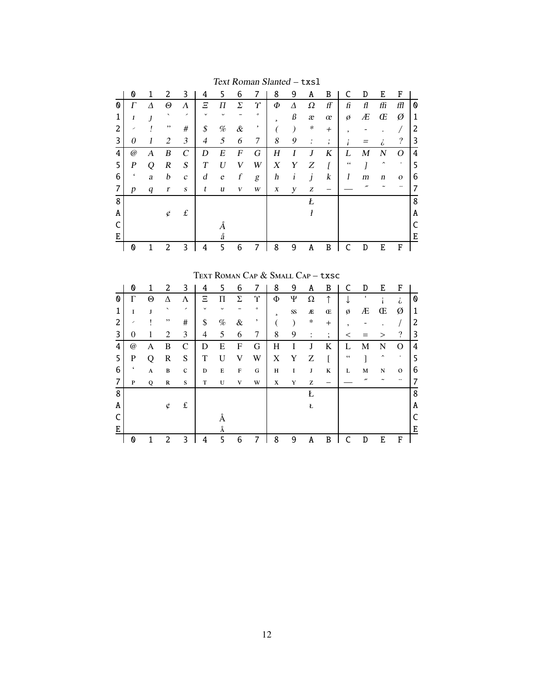|   | 0                | 1 | 2                        | 3                | 4              | 5                | 6                | 7       | 8              | 9 | A            | B      |    | D  | Ε                   | F                        |   |
|---|------------------|---|--------------------------|------------------|----------------|------------------|------------------|---------|----------------|---|--------------|--------|----|----|---------------------|--------------------------|---|
| O | $\Gamma$         | Δ | Θ                        | Λ                | Ξ              | П                | Σ                | Y       | Ф              | Δ | Ω            | ff     | fi | fl | ffi                 | ffl                      | 0 |
|   | 1                |   | $\overline{\phantom{0}}$ | ╭                | $\checkmark$   | $\checkmark$     |                  | $\circ$ | $\mathfrak{p}$ | ß | æ            | œ      | Ø  | Æ  | Œ                   | Ø                        | 1 |
| 2 | ╭                |   | ,,                       | #                | \$             | $\%$             | $\&$             | ,       |                |   | ∗            | $^{+}$ | ٠  |    |                     |                          | 2 |
| 3 | 0                |   | 2                        | 3                | $\overline{4}$ | 5                | 6                | 7       | 8              | 9 | ٠<br>$\cdot$ | ٠<br>, |    |    | i                   | $\overline{\mathcal{E}}$ | 3 |
| 4 | @                | А | B                        | C                | D              | Е                | F                | G       | Η              |   | J            | K      | L  | M  | N                   | Ω                        | 4 |
| 5 | $\boldsymbol{P}$ | Ω | R                        | S                | T              | $\boldsymbol{I}$ | V                | W       | X              | Y | Ζ            |        | 66 |    | $\hat{\phantom{a}}$ | ٠                        | 5 |
| 6 | $\pmb{\zeta}$    | a | b                        | $\mathcal{C}$    | d              | $\epsilon$       | $\boldsymbol{f}$ | g       | h              | i | j            | k      | 1  | m  | n                   | $\mathbf{O}$             | 6 |
| 7 | p                | q | r                        | $\boldsymbol{S}$ | t              | u                | V                | W       | X              | y | Z            |        |    |    |                     |                          | 7 |
| 8 |                  |   |                          |                  |                |                  |                  |         |                |   | Ł            |        |    |    |                     |                          | 8 |
| A |                  |   | ¢                        | $\pounds$        |                |                  |                  |         |                |   | ł            |        |    |    |                     |                          | A |
|   |                  |   |                          |                  |                |                  |                  |         |                |   |              |        |    |    |                     |                          |   |
| E |                  |   |                          |                  |                | å                |                  |         |                |   |              |        |    |    |                     |                          | E |
|   | 0                |   | 2                        | 3                | 4              | 5                | 6                |         | 8              | 9 | A            | B      |    | D  | E                   | F                        |   |

Text Roman Slanted - txs1

TEXT ROMAN CAP & SMALL CAP - txsc

|   | 0        | 1 | 2                        | 3           | 4            | 5    | 6           | 7       | 8 | 9         | A              | B              | C             | D | E | F                        |   |
|---|----------|---|--------------------------|-------------|--------------|------|-------------|---------|---|-----------|----------------|----------------|---------------|---|---|--------------------------|---|
| Ø | Г        | Θ | Δ                        | Λ           | Ξ            | П    | Σ           | Υ       | Φ | Ψ         | Ω              | ↑              |               |   |   | i                        | O |
|   | I        | J | $\overline{\phantom{0}}$ | ,           | $\checkmark$ |      |             | $\circ$ | 5 | $S\!S$    | Æ              | Œ              | ø             | Æ | Œ | Ø                        | 1 |
| 2 | ╭        |   | ,,                       | #           | \$           | $\%$ | $\&$        | ,       |   | $\lambda$ | ∗              | $+$            | ٠             |   |   |                          | 2 |
| 3 | $\theta$ |   | 2                        | 3           | 4            | 5    | 6           | 7       | 8 | 9         | $\ddot{\cdot}$ | ٠<br>$\bullet$ | <             |   | > | $\overline{\mathcal{L}}$ | 3 |
| 4 | @        | A | B                        | C           | D            | E    | F           | G       | Η | I         | J              | K              | L             | М | N | O                        | 4 |
| 5 | P        | Ω | R                        | S           | T            | U    | V           | W       | X | Y         | Z              |                | $\leq$ $\leq$ |   | ㅅ | $\bullet$                | 5 |
| 6 |          | A | $\, {\bf B}$             | $\mathbf C$ | D            | Е    | $\mathbf F$ | G       | Н | I         | J              | K              | L             | M | N | $\mathbf{o}$             | 6 |
| 7 | P        | Q | $\mathbb{R}$             | S           | т            | U    | V           | W       | X | Y         | Z              |                |               | " |   |                          |   |
| 8 |          |   |                          |             |              |      |             |         |   |           | Ł              |                |               |   |   |                          | 8 |
| A |          |   | ¢                        | £           |              |      |             |         |   |           | Ł              |                |               |   |   |                          | Α |
|   |          |   |                          |             |              |      |             |         |   |           |                |                |               |   |   |                          |   |
| E |          |   |                          |             |              | Å    |             |         |   |           |                |                |               |   |   |                          | E |
|   | Ø        |   | 2                        | 3           | 4            | 5    | 6           |         | 8 | 9         | A              | B              |               | D | E | F                        |   |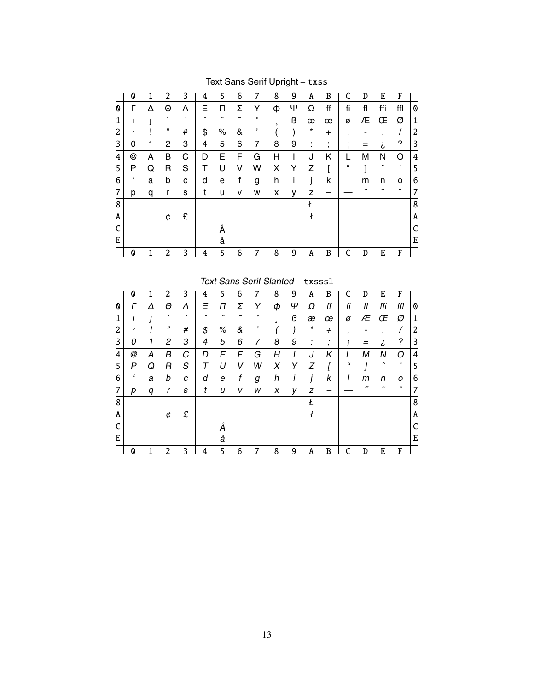|   | 0 | 1            | 2       | 3 | 4  | 5    | 6 | 7                                | 8                        | 9 | Α  | B              | C          | D  | E   | F        |              |
|---|---|--------------|---------|---|----|------|---|----------------------------------|--------------------------|---|----|----------------|------------|----|-----|----------|--------------|
| 0 |   | Λ            | Θ       | ٨ | Ξ  | п    | Σ | Y                                | Φ                        | Ψ | Ω  | ff             | fi         | fl | ffi | ffl      | 0            |
| 1 | ш |              |         |   |    |      |   | $\circ$                          | $\overline{\phantom{a}}$ | ß | æ  | œ              | Ø          | Æ  | Œ   | Ø        | $\mathbf{1}$ |
| 2 |   |              | ,,      | # | \$ | $\%$ | & | ,                                |                          | ) | *  | $\pm$          | ,          |    |     | $\prime$ | 2            |
| 3 | 0 | 1            | 2       | 3 | 4  | 5    | 6 | 7                                | 8                        | 9 | İ. | ,              |            | Ξ  | i   | ?        | 3            |
| 4 | @ | А            | B       | C | D  | Е    | F | G                                | H                        |   | J  | Κ              | L          | M  | Ν   | O        | 4            |
| 5 | P | Q            | R       | S | т  | U    | v | W                                | Χ                        | Y | Z  |                | $\epsilon$ |    |     |          | 5            |
| 6 | c | a            | b       | C | d  | e    | f | g                                | h                        | ı | j  | k              |            | m  | n   | o        | 6            |
| 7 | р | q            | r       | S | t  | u    | v | W                                | x                        | у | Z  |                |            | ,, |     |          | 7            |
| 8 |   |              |         |   |    |      |   |                                  |                          |   | Ł  |                |            |    |     |          | 8            |
| A |   |              | ¢       | £ |    |      |   |                                  |                          |   | ł  |                |            |    |     |          | A            |
| C |   |              |         |   |    | Å    |   |                                  |                          |   |    |                |            |    |     |          | C            |
| E |   |              |         |   |    | å    |   |                                  |                          |   |    |                |            |    |     |          | E            |
|   | 0 | $\mathbf{1}$ | 2       | 3 | 4  | 5    | 6 | 7                                | 8                        | 9 | Α  | B              | C          | D  | E   | F        |              |
|   |   |              |         |   |    |      |   |                                  |                          |   |    |                |            |    |     |          |              |
|   |   |              |         |   |    |      |   | Text Sans Serif Slanted - txsss1 |                          |   |    |                |            |    |     |          |              |
|   | 0 | 1            | 2       | 3 | 4  | 5    | 6 | 7                                | 8                        | 9 | Α  | B              | C          | D  | E   | F        |              |
| 0 |   | Δ            | Θ       | Λ | Ξ  | п    | Σ | Y                                | Φ                        | Ψ | Ω  | ff             | fi         | fl | ffi | ffl      | 0            |
| 1 | ı |              | $\cdot$ |   |    |      |   | $\circ$                          |                          | ß | æ  | œ              | Ø          | Æ  | Œ   | Ø        | 1            |
| 2 |   |              | "       | # | \$ | ℅    | & | ,                                |                          |   | *  | $\overline{+}$ | ,          |    |     | Τ        | 2            |
| 3 | 0 |              | 2       | 3 | 4  | 5    | 6 | 7                                | 8                        | 9 |    | ,              |            | =  | i   | ?        | 3            |
|   |   |              |         |   |    |      |   |                                  |                          |   |    |                |            |    |     |          |              |

 $\overline{H}$ 

 $\pmb{X}$  $\mathsf{Y}$  $\boldsymbol{Z}$ 

 $\boldsymbol{h}$  $\boldsymbol{i}$ 

 $\pmb{X}$ 

 $7$  8

 $\overline{\mathsf{J}}$  $\overline{\mathsf{K}}$ 

 $\boldsymbol{j}$ 

 $\overline{t}$ 

 $\pmb{t}$ 

 $\Lambda$ 

 $\boldsymbol{I}$ 

 $\pmb{k}$ 

 $\boldsymbol{I}$ 

 $\mathsf{y}$  $\overline{z}$  $\frac{1}{2}$ 

 $\overline{9}$ 

 $\overline{L}$ 

 $\boldsymbol{\mu}$ 

 $\boldsymbol{l}$  $\,m$  $\sqrt{n}$ 

 $\overline{a}$ 

 $B C$ 

 $\overline{M}$ 

 $\boldsymbol{J}$ 

 $\overline{a}$  $\sim$ 

 $\overline{D}$ 

 $\overline{\text{E}}$ 

 $\frac{N}{2}$  $\overline{O}$  $\overline{4}$ 

 $\overline{5}$ 

 $\overline{A}$ 

 $\mathsf{C}$ 

 $\overline{\text{E}}$ 

 $F$ 

 $\frac{0}{x}$  $\begin{array}{|c|c|}\n6 & 7 \\
\hline\n8 & 8\n\end{array}$ 

 $\overline{E}$ 

 $\boldsymbol{U}$ 

Å

 $\mathring{a}$  $\overline{5}$   $\overline{F}$  $\overline{G}$ 

 $\boldsymbol{V}$ 

 $\boldsymbol{f}$  $\boldsymbol{g}$ 

 $\boldsymbol{V}$  $\pmb{W}$ 

 $6\overline{6}$ 

 ${\it W}$ 

 $\overline{D}$ 

 $\tau$ 

 $\boldsymbol{d}$  $\boldsymbol{e}$ 

 $\boldsymbol{t}$  $\boldsymbol{u}$ 

 $\circledcirc$ 

 $\overline{P}$ 

 $\epsilon$ 

 $\boldsymbol{p}$ 

 $\overline{\mathbf{4}}$ 

 $\begin{array}{c} 56 \\ 67 \\ 8 \\ 8 \end{array}$ 

 $\mathsf C$ 

 $\begin{array}{c|c}\nE & \rightarrow \boxed{0}\n\end{array}$ 

 $\overline{A}$ 

 $\pmb Q$  $\overline{R}$ 

 $\overline{a}$ 

 $\boldsymbol{q}$ 

 $\overline{1}$  $\overline{2}$ 

 $\overline{B}$  $\overline{C}$ 

 $\boldsymbol{b}$ 

 $\boldsymbol{r}$ 

 $\rlap{\hspace{.08em}/}{}$ 

 $\boldsymbol{S}$ 

 $\boldsymbol{c}$ 

 $\pmb{s}$ 

 $\pounds$ 

 $3 \mid 4$ 

Text Sans Serif Upright - txss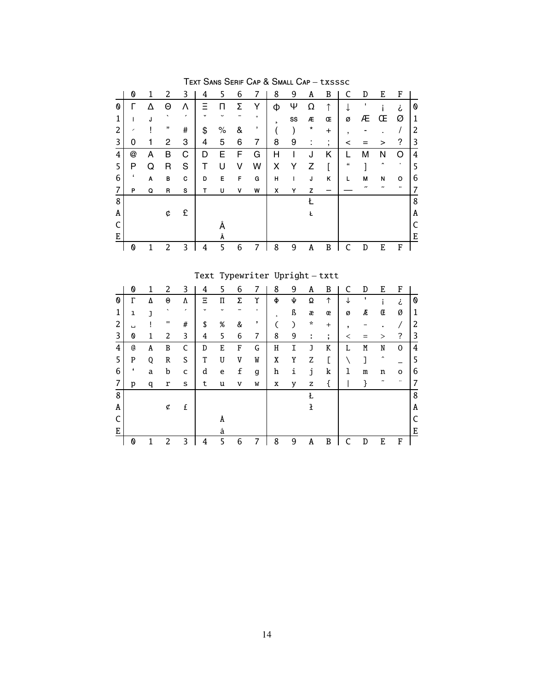|   | 0 |   | 2       | 3 | 4  | 5           | 6 | 7       | 8 | 9  | A       | B                   |   | D                 | E                   | F |   |
|---|---|---|---------|---|----|-------------|---|---------|---|----|---------|---------------------|---|-------------------|---------------------|---|---|
| O |   |   | Θ       |   |    |             | Σ | Υ       | Φ | Ψ  | Ω       |                     |   | п                 |                     | i | Ø |
|   |   | J | $\cdot$ | , | v  | $\check{ }$ |   | $\circ$ | 5 | SS | Æ       | Œ                   | ø | Æ                 | Œ                   | Ø | 1 |
| 2 | ∕ |   | ,,      | # | \$ | $\%$        | & | ,       |   |    | $\star$ | $\ddot{}$           | ٠ |                   |                     |   | 2 |
| 3 | 0 |   | 2       | 3 | 4  | 5           | 6 | 7       | 8 | 9  | ٠       | ٠<br>$\overline{ }$ | < |                   | >                   | ? | 3 |
| 4 | @ | A | В       | С | D  | Е           | F | G       | Н |    | J       | Κ                   |   | М                 | Ν                   | റ | 4 |
| 5 | P | Q | R       | S | T  | U           | ٧ | W       | X | Y  | Z       |                     | " |                   | $\hat{\phantom{a}}$ | ٠ | 5 |
| 6 | ٠ | Α | в       | c | D  | Е           | F | G       | н |    | J       | ĸ                   | L | M                 | N                   | o | 6 |
| 7 | P | Q | R       | s | т  | U           | ۷ | W       | x | Y  | z       |                     |   | $^{\prime\prime}$ |                     |   |   |
| 8 |   |   |         |   |    |             |   |         |   |    |         |                     |   |                   |                     |   | 8 |
| A |   |   | ¢       | £ |    |             |   |         |   |    | Ł       |                     |   |                   |                     |   | A |
|   |   |   |         |   |    |             |   |         |   |    |         |                     |   |                   |                     |   |   |
| E |   |   |         |   |    | Å           |   |         |   |    |         |                     |   |                   |                     |   | E |
|   | 0 |   | 2       | 3 | 4  | 5           | 6 | 7       | 8 | 9  | A       | B                   |   | D                 | E                   | F |   |

TEXT SANS SERIF CAP & SMALL CAP - txsssc

Text Typewriter Upright-txtt

|   | 0                | 1 | 2              | 3                        | 4           | 5           | 6 | 7       | 8            | 9 | A            | B                             | C | D | E                   | F |   |
|---|------------------|---|----------------|--------------------------|-------------|-------------|---|---------|--------------|---|--------------|-------------------------------|---|---|---------------------|---|---|
| 0 | Г                | Δ | Θ              | Λ                        | Ξ           | П           | Σ | Υ       | Φ            | Ψ | Ω            | ↑                             | ↓ |   |                     | ż | 0 |
| 1 | ı                | J | $\cdot$        | $\overline{\phantom{a}}$ | $\check{ }$ | $\check{ }$ |   | $\circ$ | $\mathbf{r}$ | ß | æ            | œ                             | ø | Æ | Œ                   | Ø | 1 |
| 2 | $\Box$           |   | $\mathbf{H}$   | #                        | \$          | %           | & | ,       |              | ⟩ | $\mathbf{x}$ | $\ddot{}$                     | 5 |   |                     |   | 2 |
| 3 | 0                | 1 | $\overline{c}$ | 3                        | 4           | 5           | 6 | 7       | 8            | 9 | ÷            | ٠<br>$\overline{\phantom{a}}$ | ≺ |   | >                   | ? | 3 |
| 4 | @                | A | B              | C                        | D           | E           | F | G       | Η            | Ι | J            | K                             | L | M | N                   | 0 | 4 |
| 5 | P                | Q | R              | S                        | T           | U           | V | W       | X            | Y | Z            | C                             |   | J | $\hat{\phantom{a}}$ |   | 5 |
| 6 | $\pmb{\epsilon}$ | a | b              | C                        | d           | e           | f | g       | h            | i | j            | k                             | 1 | m | n                   | O | 6 |
| 7 | p                | q | r              | s                        | t           | u           | v | W       | х            | у | z            | {                             |   | } | $\tilde{}$          |   |   |
| 8 |                  |   |                |                          |             |             |   |         |              |   | Ł            |                               |   |   |                     |   | 8 |
| A |                  |   | ¢              | £                        |             |             |   |         |              |   | ł            |                               |   |   |                     |   | Α |
| C |                  |   |                |                          |             | Å           |   |         |              |   |              |                               |   |   |                     |   |   |
| Ε |                  |   |                |                          |             | å           |   |         |              |   |              |                               |   |   |                     |   | Ε |
|   | 0                |   | 2              | 3                        | 4           | 5           | 6 | 7       | 8            | 9 | Α            | B                             | r | D | E                   | F |   |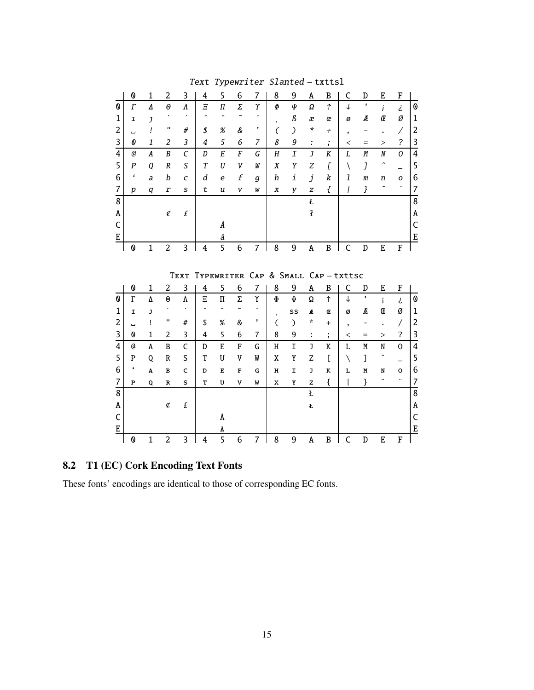|                | 0                          | $\mathbf{1}$   | $\overline{c}$        | 3                             | 4              | 5                  | 6      | 7                                 | 8                        | 9                  | A                        | $\, {\bf B}$                   | C            | D                | $\mathbf E$      | ${\bf F}$                         |                     |
|----------------|----------------------------|----------------|-----------------------|-------------------------------|----------------|--------------------|--------|-----------------------------------|--------------------------|--------------------|--------------------------|--------------------------------|--------------|------------------|------------------|-----------------------------------|---------------------|
| 0              | $\Gamma$                   | Δ              | $\boldsymbol{\theta}$ | Λ                             | Ξ              | Π                  | Σ      | Υ                                 | Ф                        | Φ                  | Ω                        | $\uparrow$                     | T            | $\mathbf{r}$     | i                | ż                                 | 0                   |
| 1              | $\mathbf{I}$               | $\overline{J}$ | $\cdot$               | $\overline{\phantom{a}}$      |                | U                  |        |                                   | s.                       | ß                  | æ                        | œ                              | ø            | Æ                | Œ                | Ø                                 | 1                   |
| 2              | Ц                          | ļ              | $\pmb{\mathsf{r}}$    | #                             | \$             | $\%$               | &      | ,                                 | C                        |                    | ×,                       | $^{+}$                         | ,            |                  |                  | Γ                                 | $\overline{c}$      |
| 3              | $\boldsymbol{\theta}$      | $\mathbf{1}$   | 2                     | $\overline{3}$                | $\overline{4}$ | 5                  | 6      | 7                                 | 8                        | 9                  | $\overline{\phantom{a}}$ | $\blacksquare$<br>$\mathbf{r}$ | $\,<$        | $=$              | >                | $\overline{\phantom{a}}$          | 3                   |
| 4              | a                          | A              | B                     | $\mathcal{C}$                 | D              | $\cal E$           | F      | G                                 | $\boldsymbol{H}$         | $\overline{I}$     | $\overline{J}$           | K                              | L            | M                | $\boldsymbol{N}$ | 0                                 | $\overline{4}$      |
| 5              | $\boldsymbol{P}$           | Q              | $\boldsymbol{R}$      | S                             | T              | U                  | V      | W                                 | X                        | Y                  | Z                        | $\Gamma$                       | ∖            | J                |                  |                                   | 5                   |
| 6              | $\pmb{\epsilon}$           | a              | b                     | C                             | d              | e                  | f      | g                                 | h                        | i                  | j                        | k                              | 1            | $\sqrt{m}$       | n                | o                                 | 6                   |
| $\overline{7}$ | $\boldsymbol{p}$           | q              | r                     | S                             | t              | u                  | V      | W                                 | X                        | y                  | Z                        | ſ                              |              | }                |                  |                                   | 7                   |
| 8              |                            |                |                       |                               |                |                    |        |                                   |                          |                    | Ł                        |                                |              |                  |                  |                                   | 8                   |
| A              |                            |                | ¢                     | £                             |                |                    |        |                                   |                          |                    | $\overline{1}$           |                                |              |                  |                  |                                   | A                   |
| C              |                            |                |                       |                               |                | Å                  |        |                                   |                          |                    |                          |                                |              |                  |                  |                                   | C                   |
| E              |                            |                |                       |                               |                | å                  |        |                                   |                          |                    |                          |                                |              |                  |                  |                                   | $\mathbf E$         |
|                | 0                          | $\mathbf{1}$   | $\overline{2}$        | 3                             | 4              | 5                  | 6      | $\overline{7}$                    | 8                        | 9                  | A                        | $\mathbf B$                    | $\mathsf{C}$ | D                | E                | ${\bf F}$                         |                     |
|                |                            |                |                       |                               |                |                    |        |                                   |                          |                    |                          |                                |              |                  |                  |                                   |                     |
|                |                            |                |                       |                               |                |                    |        |                                   |                          |                    |                          |                                |              |                  |                  |                                   |                     |
|                |                            |                |                       |                               |                |                    |        |                                   |                          |                    |                          |                                |              |                  |                  |                                   |                     |
|                |                            |                |                       | TEXT                          |                |                    |        | TYPEWRITER CAP & SMALL CAP-txttsc |                          |                    |                          |                                |              |                  |                  |                                   |                     |
| 0              | 0                          | $\mathbf{1}$   | 2                     | 3                             | 4              | 5                  | 6      | 7                                 | 8<br>$\Phi$              | 9                  | A                        | B<br>$\uparrow$                | C<br>T       | D<br>$\mathbf I$ | E                | F                                 |                     |
| $\mathbf{1}$   | $\Gamma$                   | Δ              | $\Theta$              | Λ<br>$\overline{\phantom{a}}$ | Ξ              | $\boldsymbol{\Pi}$ | Σ      | Υ<br>$\circ$                      |                          | Ψ                  | Ω                        |                                |              |                  | i.               | تے                                | ${\bf 0}$           |
|                | I                          | J<br>Ţ         | п                     | #                             |                |                    |        | ,                                 | $\overline{\phantom{a}}$ | SS                 | Æ<br>*                   | Œ<br>$+$                       | Ø            | Æ                | Œ                | Ø                                 | $\mathbf 1$         |
| 2              | ц<br>$\boldsymbol{\omega}$ | $\mathbf{1}$   | $\overline{c}$        |                               | \$<br>4        | %<br>5             | &<br>6 | $\overline{7}$                    | C                        | $\mathcal{C}$<br>9 |                          |                                | ,<br>$\,<\,$ | $=$              |                  | $\prime$                          | $\overline{c}$      |
| 3<br>4         | a                          | A              | $\, {\bf B}$          | 3<br>$\mathsf{C}$             | D              | E                  | F      | G                                 | 8<br>H                   | I                  | ÷<br>J                   | ţ.<br>K                        | L            | M                | $\rm{>}$<br>N    | $\overline{\cdot}$<br>$\mathbf 0$ | 3<br>$\overline{4}$ |
|                | P                          |                | R                     | S                             | T              | U                  | V      | W                                 |                          |                    |                          |                                |              |                  | $\overline{ }$   |                                   |                     |
| 5              | $\pmb{\epsilon}$           | 0<br>A         | B                     | C                             |                |                    | F      | G                                 | Χ                        | Y                  | Z                        | E<br>K                         | N<br>L       | 1                |                  |                                   | 5                   |
| 6<br>7         |                            |                |                       |                               | D              | Ε                  |        |                                   | н                        | I                  | J                        |                                |              | M                | N<br>$\ddot{ }$  | o<br>$\ddotsc$                    | 6                   |
|                | P                          | Q              | R                     | s                             | т              | U                  | v      | W                                 | х                        | Y                  | $\mathbf{z}$             | ſ                              |              | }                |                  |                                   | 7                   |
| 8              |                            |                |                       |                               |                |                    |        |                                   |                          |                    | Ł                        |                                |              |                  |                  |                                   | 8                   |
| Α              |                            |                | ¢                     | £                             |                |                    |        |                                   |                          |                    | Ł                        |                                |              |                  |                  |                                   | A                   |
| C<br>E         |                            |                |                       |                               |                | Å<br>Å             |        |                                   |                          |                    |                          |                                |              |                  |                  |                                   | $\overline{C}$<br>E |

Text Typewriter Slanted - txttsl

# 8.2 T1 (EC) Cork Encoding Text Fonts

These fonts' encodings are identical to those of corresponding EC fonts.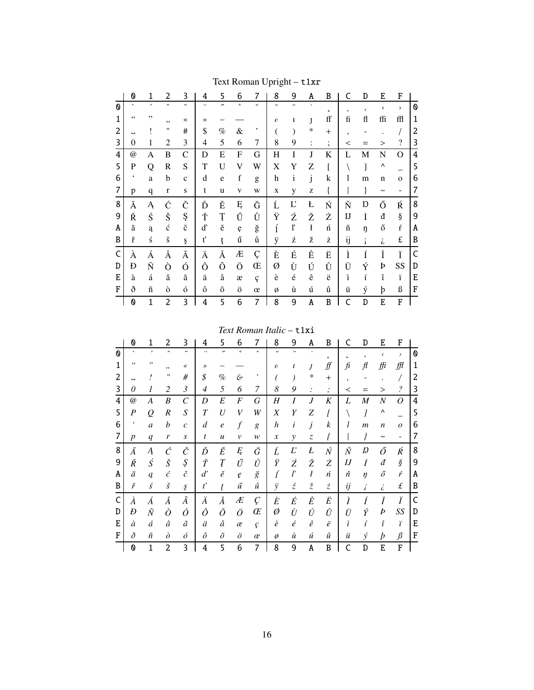|   | 0                         | 1                    | 2                   | 3                     | 4             | 5                        | 6           | 7              | 8                | 9                 | A              | B              | C            | D               | E                     | F                  |   |
|---|---------------------------|----------------------|---------------------|-----------------------|---------------|--------------------------|-------------|----------------|------------------|-------------------|----------------|----------------|--------------|-----------------|-----------------------|--------------------|---|
| O | $\overline{\phantom{0}}$  | ,                    | $\hat{\phantom{a}}$ | $\tilde{\phantom{a}}$ |               | $\overline{\phantom{a}}$ | $\circ$     | $\checkmark$   | U                | -                 |                | $\mathfrak s$  | $\mathbf{c}$ | ,               | ≺                     | $\rightarrow$      | 0 |
| 1 | $\zeta$ $\zeta$           | ,,                   | , ,                 | $\ll$                 | $\rightarrow$ |                          |             |                | $\boldsymbol{c}$ | $\mathbf{1}$      | J              | ff             | fi           | fl              | ffi                   | ffl                | 1 |
| 2 | ц                         |                      | $^{\dagger}$        | #                     | \$            | %                        | &           | ,              |                  |                   | ∗              | $^{+}$         | ,            |                 |                       |                    | 2 |
| 3 | $\theta$                  | 1                    | $\overline{2}$      | 3                     | 4             | 5                        | 6           | $\overline{7}$ | 8                | 9                 | $\ddot{\cdot}$ | ٠<br>$\bullet$ | $\,<$        | $=$             | $\rm{>}$              | $\overline{\cdot}$ | 3 |
| 4 | $^{\copyright}$           | A                    | B                   | C                     | D             | E                        | F           | G              | $H_{\rm}$        | I                 | J              | K              | L            | Μ               | N                     | O                  | 4 |
| 5 | P                         | Q                    | R                   | S                     | T             | U                        | V           | W              | X                | Y                 | Z              | ſ              |              | ]               | Λ                     |                    | 5 |
| 6 | $\pmb{\zeta}$             | a                    | b                   | $\mathbf{C}$          | d             | e                        | $\mathbf f$ | g              | h                | $\mathbf{i}$      | j              | k              | 1            | m               | $\mathbf n$           | $\mathbf{o}$       | 6 |
| 7 | p                         | $\mathbf q$          | $\mathbf r$         | ${\bf S}$             | t             | u                        | v           | W              | X                | y                 | Z              | {              |              | }               | $\tilde{\phantom{a}}$ | ۰                  | 7 |
| 8 | Ă                         | Ą                    | Ć                   | Č                     | Ď             | Ě                        | Ę           | Ğ              | Ĺ                | Ľ                 | Ł              | Ń              | Ň            | Ŋ               | Ő                     | Ŕ                  | 8 |
| 9 | Ř                         | Ś                    | Š                   | Ş                     | Ť             | Ţ                        | Ű           | Ů              | Ÿ                | Ź                 | Ž              | Ż              | IJ           | İ               | đ                     | ş                  | 9 |
| A | ă                         | ą                    | $\acute{\rm c}$     | $\check{\rm c}$       | ď             | ě                        | ę           | $\check{g}$    | ĺ                | ľ                 | ł              | ń              | ň            | ŋ               | ő                     | $\acute{\rm r}$    | A |
| B | ř                         | $\acute{\textrm{s}}$ | š                   | ş                     | t'            | ţ                        | ű           | ů              | ÿ                | ź                 | ž              | ż              | ij           |                 | i,                    | £                  | B |
| C | À                         | Á                    | Â                   | Ã                     | Ä             | Å                        | Æ           | Ç              | È                | É                 | Ê              | Ë              | Ì            | Í               | Î                     | Ï                  | C |
| D | Ð                         | Ñ                    | Ò                   | Ó                     | Ô             | Õ                        | Ö           | Œ              | Ø                | Ù                 | Ú              | Û              | Ü            | Ý               | Þ                     | SS                 | D |
| E | à                         | á                    | $\hat{\mathbf{a}}$  | ã                     | ä             | å                        | æ           | ç              | è                | $\acute{\text e}$ | ê              | ë              | ì            | $\acute{\rm 1}$ | $\hat{\textbf{\i}}$   | ï                  | E |
| F | ð                         | $\tilde{\rm n}$      | ò                   | ó                     | ô             | $\tilde{\mathrm{o}}$     | ö           | œ              | Ø                | ù                 | ú              | û              | ü            | ý               | þ                     | ß                  | F |
|   | $\boldsymbol{\mathsf{0}}$ | $\mathbf{1}$         | 2                   | 3                     | 4             | 5                        | 6           | 7              | 8                | 9                 | A              | B              | C            | D               | E                     | F                  |   |

Text Roman Upright - t1xr

Text Roman Italic - t1xi

|                                | 0                        | 1                        | 2                   | 3                       | 4                    | 5                | 6             | 7            | 8                          | 9            | Α                             | B                   | C       | D                | E                     | F                        |   |
|--------------------------------|--------------------------|--------------------------|---------------------|-------------------------|----------------------|------------------|---------------|--------------|----------------------------|--------------|-------------------------------|---------------------|---------|------------------|-----------------------|--------------------------|---|
| $\boldsymbol{\mathsf{\Omega}}$ | $\overline{\phantom{0}}$ | $\overline{\phantom{0}}$ | $\hat{\phantom{a}}$ | $\tilde{\phantom{a}}$   | $\ddot{\phantom{0}}$ | $\overline{v}$   | $\circ$       | $\checkmark$ | $\ddot{\phantom{0}}$       |              |                               | 5                   | Ċ       |                  | ≺                     | $\rightarrow$            | 0 |
| 1                              | $\epsilon\,\epsilon$     | ,,                       | ,,                  | $\ll$                   | ≫                    |                  |               |              | $\boldsymbol{O}$           | l            | J                             | $f\hspace{-0.1cm}f$ | fi      | $\mathcal{f}$    | ffi                   | ∰                        | 1 |
| 2                              |                          |                          | $^{\prime\prime}$   | #                       | \$                   | $\%$             | $\mathcal{E}$ | ,            |                            |              | $\ast$                        | $^{+}$              | $\cdot$ |                  |                       |                          | 2 |
| 3                              | 0                        | 1                        | 2                   | 3                       | 4                    | 5                | 6             | 7            | 8                          | 9            | $\cdot$                       | $\bullet$<br>,      | $\,<\,$ |                  | >                     | $\overline{\mathcal{E}}$ | 3 |
| 4                              | $^{\textregistered}$     | A                        | B                   | $\mathcal{C}_{0}^{(n)}$ | D                    | E                | F             | G            | H                          | I            | J                             | K                   | L       | $\boldsymbol{M}$ | $\boldsymbol{N}$      | O                        | 4 |
| 5                              | $\boldsymbol{P}$         | $\varrho$                | $\boldsymbol{R}$    | S                       | $\tau$               | U                | V             | W            | $\boldsymbol{X}$           | Y            | Z                             |                     |         |                  | Λ                     |                          | 5 |
| 6                              | k                        | $\mathfrak a$            | b                   | $\mathcal{C}$           | d                    | $\boldsymbol{e}$ | f             | g            | $\boldsymbol{h}$           | i            | j                             | k                   | l       | $\boldsymbol{m}$ | $\boldsymbol{n}$      | $\overline{O}$           | 6 |
|                                | $\boldsymbol{p}$         | q                        | r                   | S                       | t                    | $\boldsymbol{u}$ | v             | w            | $\boldsymbol{\mathcal{X}}$ | y            | $\ensuremath{\mathnormal{Z}}$ | ł                   |         |                  | $\tilde{\phantom{a}}$ |                          | 7 |
| 8                              | Ă                        | $\boldsymbol{A}$         | Ć                   | Č                       | Ď                    | Ě                | Ę             | Ğ            | Ĺ                          | $L^{\prime}$ | Ł                             | Ń                   | Ň       | $\it D$          | Ő                     | Ŕ                        | 8 |
| 9                              | Ř                        | $\acute{S}$              | $\check S$          | Ş                       | Ť                    | Ţ                | Ű             | Ů            | Ϋ                          | Ź            | Ž                             | Ż                   | I       | İ                | đ                     | $\hat{\mathcal{S}}$      | 9 |
| A                              | ă                        | $\boldsymbol{q}$         | ć                   | $\check c$              | $d^{\prime}$         | ě                | $\ell$        | ğ            |                            | ľ            | ł                             | ń                   | ň       | $\eta$           | ő                     | ŕ                        | Α |
| B                              | ř                        | ś                        | $\check{s}$         | ş                       | $\boldsymbol{t}'$    | ţ                | ű             | ů            | ÿ                          | ź            | $\check{z}$                   | ż                   | ij      |                  | i                     | $\pounds$                | B |
| C                              | À                        | Á                        | Â                   | Ã                       | Ä                    | Å                | Æ             | Ç            | È                          | É            | Ê                             | Ë                   | Ì       |                  | Î                     | Ϊ                        | C |
| D                              | Đ                        | Ñ                        | Ò                   | Ó                       | Ô                    | Õ                | Ö             | Œ            | Ø                          | Ù            | Ú                             | Û                   | Ü       | Ý                | Þ                     | SS                       | D |
| E                              | à                        | á                        | â                   | ã                       | ä                    | å                | æ             | ç            | è                          | $\acute{e}$  | $\hat{e}$                     | ë                   | ì       |                  | î                     | ï                        | Е |
| F                              | ð                        | ñ                        | $\delta$            | ó                       | ô                    | $\tilde{o}$      | ö             | œ            | ø                          | ù            | ú                             | û                   | ü       | ý                | þ                     | $\beta$                  | F |
|                                | 0                        | 1                        | $\overline{c}$      | 3                       | 4                    | 5                | 6             | 7            | 8                          | 9            | A                             | B                   | C       | D                | E                     | F                        |   |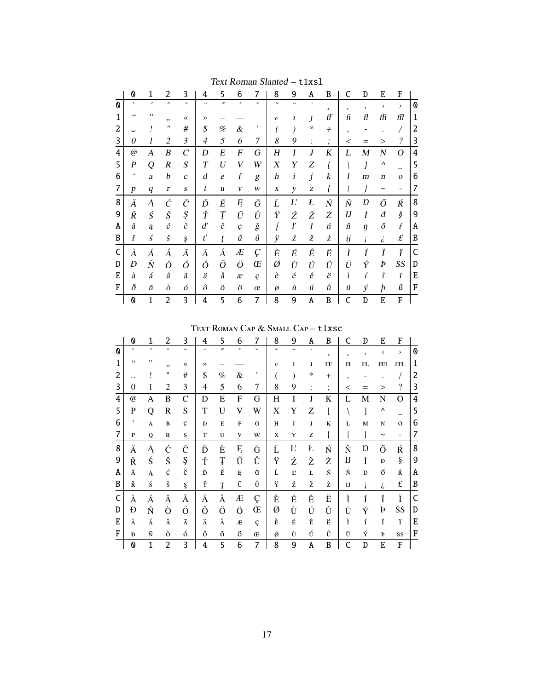|   | 0                        | 1                        | 2                   | 3                     | 4              | 5                | 6                | 7            | 8             | 9                        | A            | B                    | C          | D  | E                     | F                        |   |
|---|--------------------------|--------------------------|---------------------|-----------------------|----------------|------------------|------------------|--------------|---------------|--------------------------|--------------|----------------------|------------|----|-----------------------|--------------------------|---|
| 0 | $\overline{\phantom{a}}$ | $\overline{\phantom{a}}$ | $\hat{\phantom{a}}$ | $\tilde{\phantom{a}}$ |                | $\overline{v}$   | $\circ$          | $\checkmark$ | $\checkmark$  | $\overline{\phantom{0}}$ | $\bullet$    | 5                    | $\epsilon$ | ,  | $\checkmark$          | $\rightarrow$            | 0 |
| 1 | $\zeta$ $\zeta$          | ,,                       | ,,                  | $\ll$                 | $\rightarrow$  |                  |                  |              | $\mathcal{O}$ | 1                        | $\mathbf{I}$ | ff                   | fi         | fl | ffi                   | ffl                      | 1 |
| 2 | L                        |                          | "                   | #                     | \$             | %                | &                | ,            | (             | $\bm{\mathcal{)}}$       | ∗            | $^{+}$               | ,          |    |                       |                          | 2 |
| 3 | 0                        | 1                        | $\overline{2}$      | 3                     | $\overline{4}$ | 5                | 6                | 7            | 8             | 9                        | :            | $\bullet$<br>$\cdot$ | $\,<\,$    |    | $\geq$                | $\overline{\mathcal{L}}$ | 3 |
| 4 | @                        | Α                        | B                   | $\mathcal{C}_{0}^{0}$ | D              | Е                | $\boldsymbol{F}$ | G            | Η             | I                        | J            | K                    | L          | M  | N                     | Ο                        | 4 |
| 5 | $\boldsymbol{P}$         | Q                        | $\boldsymbol{R}$    | $\boldsymbol{S}$      | T              | U                | V                | W            | X             | Y                        | Ζ            | ſ                    |            | I  | Λ                     |                          | 5 |
| 6 | $\pmb{\zeta}$            | a                        | b                   | $\boldsymbol{c}$      | d              | $\boldsymbol{e}$ | $\boldsymbol{f}$ | g            | h             | $\boldsymbol{i}$         | j            | k                    | 1          | m  | $\boldsymbol{n}$      | $\mathbf{O}$             | 6 |
| 7 | $\boldsymbol{p}$         | $\boldsymbol{q}$         | $\boldsymbol{r}$    | $\boldsymbol{S}$      | t              | u                | V                | W            | X             | у                        | Z            | l                    |            | ł  | $\tilde{\phantom{a}}$ | $\qquad \qquad -$        | 7 |
| 8 | Ă                        | Ą                        | Ć                   | Č                     | Ď              | Ě                | Ę                | Ğ            | Ĺ             | Ľ                        | Ł            | Ń                    | Ň          | Ŋ  | Ő                     | Ŕ                        | 8 |
| 9 | Ř                        | Ś                        | Š                   | Ş                     | Ť              | Ţ                | Ű                | Ů            | Ÿ             | Ź                        | Ž            | Ż                    | I          | İ  | đ                     | $\hat{\boldsymbol{S}}$   | 9 |
| Α | ă                        | ą                        | $\acute{c}$         | č                     | d'             | ě                | ę                | ğ            | í             | ľ                        | ł            | ń                    | ň          | ŋ  | ő                     | ŕ                        | A |
| B | ř                        | $\acute{s}$              | $\check{s}$         | ş                     | $t^{\prime}$   | ţ                | ű                | ů            | ÿ             | ź                        | ž            | ż                    | ij         | i  | i                     | $\pounds$                | B |
| C | À                        | Á                        | Â                   | $\tilde{A}$           | Ä              | Å                | Æ                | Ç            | È             | É                        | Ê            | Ë                    | Ì          | Í  | Î                     | Ϊ                        | C |
| D | Đ                        | $\tilde{N}$              | Ò                   | Ó                     | Ô              | Õ                | Ö                | Œ            | Ø             | Ù                        | Ú            | Û                    | Ü          | Ý  | Þ                     | SS                       | D |
| Е | à                        | á                        | â                   | ã                     | ä              | å                | æ                | ç            | è             | $\acute{\text e}$        | ê            | ë                    | ì          | í  | î                     | ï                        | E |
| F | ð                        | ñ                        | ò                   | ó                     | ô              | õ                | ö                | œ            | Ø             | ù                        | ú            | û                    | ü          | ý  | þ                     | $\mathcal B$             | F |
|   | 0                        | 1                        | 2                   | 3                     | 4              | 5                | 6                | 7            | 8             | 9                        | A            | B                    | C          | D  | E                     | F                        |   |

Text Roman Slanted - t1xs1

TEXT ROMAN CAP & SMALL CAP - t1xsc

|   | 0                        | 1                        | 2                   | 3                     | 4             | 5              | 6            | 7            | 8             | 9     | A              | B              | C       | D                        | E                     | F             |   |
|---|--------------------------|--------------------------|---------------------|-----------------------|---------------|----------------|--------------|--------------|---------------|-------|----------------|----------------|---------|--------------------------|-----------------------|---------------|---|
| 0 | $\overline{\phantom{0}}$ | $\overline{\phantom{a}}$ | $\hat{\phantom{a}}$ | $\tilde{\phantom{a}}$ | $\ddotsc$     | $\overline{v}$ | $\circ$      | $\checkmark$ | $\checkmark$  |       | $\bullet$      | ь              | ٠       | $\overline{\phantom{a}}$ | ≺                     | $\rightarrow$ | 0 |
| 1 | $\zeta$ $\zeta$          | ,,                       | ,,                  | $\ll$                 | $\rightarrow$ |                |              |              | $\mathcal{O}$ | I     | J              | FF             | FI      | FL                       | <b>FFI</b>            | <b>FFL</b>    | 1 |
| 2 | ц                        |                          | 11                  | #                     | \$            | $\%$           | &            | ,            |               |       | ∗              | $^{+}$         | ,       |                          |                       |               | 2 |
| 3 | $\Omega$                 | 1                        | 2                   | 3                     | 4             | 5              | 6            | 7            | 8             | 9     | $\ddot{\cdot}$ | $\ddot{\cdot}$ | $\,<\,$ | $=$                      | $\rm{>}$              | $\gamma$      | 3 |
| 4 | $^{\textregistered}$     | А                        | B                   | $\mathcal{C}$         | D             | E              | F            | G            | H             | I     | J              | K              | L       | М                        | N                     | O             | 4 |
| 5 | P                        | Q                        | $\mathbf R$         | S                     | T             | U              | V            | W            | X             | Y     | Z              |                |         | 1                        | ٨                     |               | 5 |
| 6 | $\pmb{\zeta}$            | A                        | $\bf{B}$            | $\mathbf C$           | D             | Е              | $\mathbf{F}$ | G            | H             | I     | J              | K              | L       | M                        | ${\bf N}$             | $\mathbf{O}$  | 6 |
| 7 | P                        | $\mathbf Q$              | R                   | S                     | T             | U              | V            | W            | X             | Y     | Z              | ł              |         |                          | $\tilde{\phantom{a}}$ | -             | 7 |
| 8 | Ă                        | Ą                        | Ć                   | Č                     | Ď             | Ě              | Ę            | Ğ            | Ĺ             | Ľ     | Ł              | Ń              | Ň       | Ŋ                        | Ő                     | Ŕ             | 8 |
| 9 | Ř                        | Ś                        | Š                   | Ş                     | Ť             | Ţ              | Ű            | Ů            | Ÿ             | Ź     | Ž              | Ż              | IJ      | İ                        | Đ                     | $\S$          | 9 |
| A | Ă                        | Ą                        | ć                   | č                     | Ď             | Ě              | Ę            | Ğ            | Ĺ             | $L^2$ | Ł              | Ń              | Ň       | Ŋ                        | ő                     | Ŕ             | A |
| B | Ř                        | ś                        | š                   | ş                     | Ť             | Ţ              | Ű            | Ů            | Ÿ             | ź     | ž              | Ż              | $_{IJ}$ |                          | i,                    | £             | B |
| C | À                        | À                        | Â                   | Ã                     | Ä             | Å              | Æ            | Ç            | È             | É     | Ê              | Ë              | Ì       | Í                        | Î                     | Ϊ             | C |
| D | Ð                        | Ñ                        | Ò                   | Ó                     | Ô             | Õ              | Ö            | Œ            | Ø             | Ù     | Ú              | Û              | Ü       | Ý                        | Þ                     | SS            | D |
| E | À                        | Á                        | Â                   | $\tilde{\text{A}}$    | Ä             | Å              | Æ            | ç            | È             | É     | Ê              | Ë              | ì       | í                        | î                     | ï             | Ε |
| F | Đ                        | Ñ                        | ò                   | ó                     | ô             | õ              | Ö            | Œ            | ø             | Ù     | Ú              | Û              | Ü       | Ý                        | Þ                     | SS            | F |
|   | 0                        | 1                        | 2                   | 3                     | 4             | 5              | 6            | 7            | 8             | 9     | A              | B              | C       | D                        | E                     | F             |   |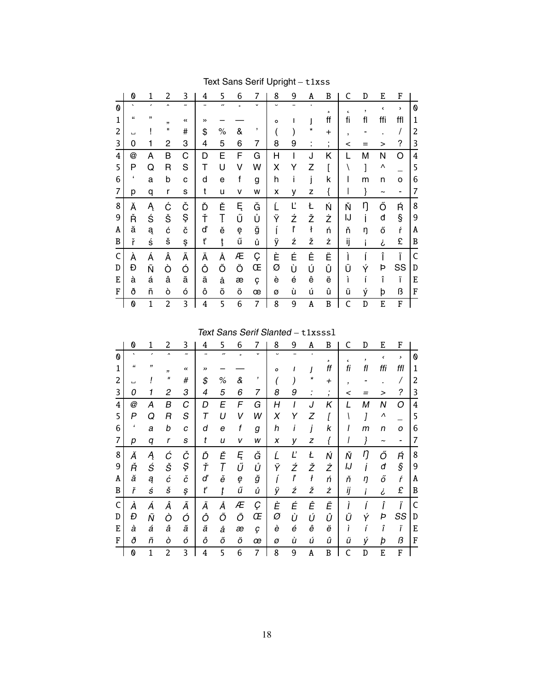|   | 0                | 1  | 2                   | 3                     | 4  | 5                    | 6         | 7              | 8 | 9 | A              | B            | C          | D  | E                     | F   |             |
|---|------------------|----|---------------------|-----------------------|----|----------------------|-----------|----------------|---|---|----------------|--------------|------------|----|-----------------------|-----|-------------|
| 0 | $\cdot$          | ,  | $\hat{\phantom{a}}$ | $\tilde{\phantom{a}}$ |    | $\boldsymbol{\cdot}$ | $\bullet$ | $\check{}$     | ب |   | $\blacksquare$ | э            | $\epsilon$ | ,  | $\checkmark$          | >   | 0           |
| 1 | "                | ,, | ,,                  | $\prec$               | >> |                      |           |                | o | ı | J              | ff           | fi         | fl | ffi                   | ffl | 1           |
| 2 | ш                |    | п                   | #                     | \$ | $\%$                 | &         | ,              |   |   | *              | $\pmb{+}$    | ,          |    |                       |     | 2           |
| 3 | 0                |    | 2                   | 3                     | 4  | 5                    | 6         | 7              | 8 | 9 | ٠<br>٠         | $\mathbf{I}$ | <          |    | >                     | ?   | 3           |
| 4 | @                | A  | B                   | C                     | D  | E                    | F         | G              | Η | ı | J              | Κ            |            | М  | N                     | O   | 4           |
| 5 | P                | Q  | R                   | S                     | Т  | U                    | ٧         | W              | Χ | Y | Z              |              |            | l  | Λ                     |     | 5           |
| 6 | $\pmb{\epsilon}$ | a  | b                   | C                     | d  | e                    | f         | g              | h | i | j              | k            | ı          | m  | n                     | O   | 6           |
| 7 | р                | q  | r                   | S                     | t  | u                    | v         | W              | x | У | z              | {            |            | }  | $\tilde{\phantom{a}}$ | ۰   | 7           |
| 8 | Ă                | Ą  | Ć                   | Č                     | Ď  | Ě                    | Ę         | Ğ              |   | Ľ | Ł              | Ň            | Ň          | ŋ  | Ő                     | Ŕ   | 8           |
| 9 | Ř                | Ś  | Š                   | Ş                     | Ť  | Ţ                    | Ű         | Ů              | Ÿ | Ź | Ž              | Ż            | IJ         |    | đ                     | Ş   | 9           |
| Α | ă                | ą  | ć                   | č                     | ď  | ě                    | ę         | ğ              |   | ľ | ł              | ń            | ň          | η  | ő                     | ŕ   | Α           |
| B | ř                | ś  | š                   | ş                     | ť  | ţ                    | ű         | ů              | ÿ | ź | ž              | ż            | ij         |    | i                     | £   | B           |
| C | À                | Á  | Â                   | Ã                     | Ä  | Å                    | Æ         | Ç              | È | É | Ê              | Ë            | Ì          |    | Î                     | Ï   | $\mathsf C$ |
| D | Đ                | Ñ  | Ò                   | Ó                     | Ô  | Õ                    | Ö         | Œ              | Ø | Ù | Ú              | Û            | Ü          | Y  | Þ                     | SS  | D           |
| E | à                | á  | â                   | ã                     | ä  | å                    | æ         | ç              | è | é | ê              | ë            | ì          | í  | î                     | Ï   | E           |
| F | ð                | ñ  | ò                   | ó                     | ô  | õ                    | Ö         | œ              | ø | ù | ú              | û            | ü          | ý  | þ                     | ß   | F           |
|   | 0                | 1  | $\overline{c}$      | 3                     | 4  | 5                    | 6         | $\overline{7}$ | 8 | 9 | Α              | B            | C          | D  | E                     | F   |             |

# Text Sans Serif Upright – t1xss

Text Sans Serif Slanted – t1xsssl

|   | 0                  |                | 2            | 3                | 4  | 5                        | 6       | 7          | 8                        | 9 | Α | B               | C                | D  | E   | F   |   |
|---|--------------------|----------------|--------------|------------------|----|--------------------------|---------|------------|--------------------------|---|---|-----------------|------------------|----|-----|-----|---|
| 0 | $\cdot$            | $\overline{ }$ | $\hat{ }$    | $\sim$           |    | $\overline{\phantom{a}}$ | $\circ$ | $\check{}$ | $\overline{\phantom{0}}$ |   |   | 5               | $\pmb{\epsilon}$ | ,  | ¢   | >   | 0 |
| 1 | $\epsilon\epsilon$ | "              | ,,           | $\ll$            | >> |                          |         |            | Ω                        |   |   | ff              | fi               | fl | ffi | ffl | 1 |
| 2 |                    |                | $\mathbf{u}$ | #                | \$ | $\%$                     | &       | ,          |                          |   | * | $^{\mathrm{+}}$ | $\overline{ }$   |    |     |     | 2 |
| 3 | 0                  |                | 2            | 3                | 4  | 5                        | 6       | 7          | 8                        | 9 |   | $\overline{ }$  | <                |    | >   | ?   | 3 |
| 4 | @                  | А              | Β            | С                | D  | E                        | F       | G          | Η                        |   | J | Κ               | L                | М  | Ν   | O   | 4 |
| 5 | P                  | Q              | R            | $\boldsymbol{S}$ | т  | U                        | V       | W          | X                        | Y | Z |                 |                  |    | Λ   |     | 5 |
| 6 | ٬                  | a              | b            | C                | d  | e                        | f       | g          | h                        |   | i | k               |                  | т  | n   | 0   | 6 |
| 7 | р                  | q              | r            | s                | t  | u                        | v       | W          | X                        | у | z |                 |                  |    |     |     | 7 |
| 8 | Ă                  | Ą              | Ć            | Č                | Ď  | Ě                        | Ę       | Ğ          | Ĺ                        | Ľ | Ł | Ń               | Ň                | ŋ  | Ő   | Ŕ   | 8 |
| 9 | Ř                  | Ś              | Š            | Ş                | Ť  |                          | Ű       | Ů          | Ÿ                        | Ź | Ž | Ż               | IJ               |    | đ   | ş   | 9 |
| A | ă                  | ą              | ć            | č                | ď  | ě                        | ę       | ğ          |                          | ľ | ł | ń               | ň                | η  | ő   | ŕ   | Α |
| B | ř                  | ś              | š            | ş                | ť  | ţ                        | ű       | ů          | ÿ                        | ź | ž | ż               | ij               |    | i   | £   | B |
| C | À                  | Á              | Â            | Ã                | Ä  | Å                        | Æ       | Ç          | È                        | É | Ê | Ë               |                  |    | Î   | Ϊ   | C |
| D | Đ                  | Ñ              | Ò            | Ó                | Ô  | Õ                        | Ö       | Œ          | Ø                        | Ù | Ú | Û               | 11               | Ý  | Þ   | SS  | D |
| E | à                  | á              | â            | ã                | ä  | å                        | æ       | ç          | è                        | é | ê | ë               |                  |    | î   | ï   | Ε |
| F | ð                  | ñ              | ò            | ó                | ô  | õ                        | Ö       | œ          | ø                        | ù | ú | û               | ü                | ý  | þ   | ß   | F |
|   | 0                  | 1              | 2            | 3                | 4  | 5                        | 6       | 7          | 8                        | 9 | Α | B               | C                | D  | E   | F   |   |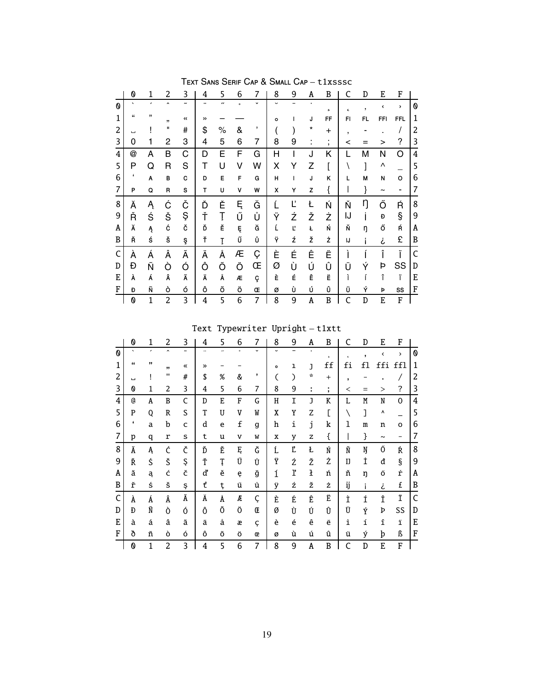|   | 0                | 1            | 2                   | 3                     | 4  | 5                    | 6       | 7           | 8              | 9 | Α      | B                   | C          | D  | E                     | F                     |   |
|---|------------------|--------------|---------------------|-----------------------|----|----------------------|---------|-------------|----------------|---|--------|---------------------|------------|----|-----------------------|-----------------------|---|
| 0 | $\cdot$          | ,            | $\hat{\phantom{a}}$ | $\tilde{\phantom{a}}$ |    | $\boldsymbol{\cdot}$ | $\circ$ | $\check{ }$ | $\overline{ }$ |   | ٠      | $\mathbf{r}$        | $\epsilon$ | ,  | ٢                     | $\mathbf{\mathbf{z}}$ | 0 |
| 1 | $\epsilon$       | ,,           | , 1                 | $\ll$                 | >> |                      |         |             | $\circ$        | ı | J      | FF                  | FI         | FL | <b>FFI</b>            | <b>FFL</b>            | 1 |
| 2 | ш                |              | п                   | #                     | \$ | ℅                    | &       | ,           |                |   | *      | $\ddot{}$           | ,          |    |                       | 1                     | 2 |
| 3 | 0                | 1            | 2                   | 3                     | 4  | 5                    | 6       | 7           | 8              | 9 | ٠<br>٠ | ٠<br>$\overline{ }$ | <          | =  | >                     | ?                     | 3 |
| 4 | @                | Α            | Β                   | C                     | D  | Ε                    | F       | G           | Н              | ı | J      | Κ                   |            | M  | N                     | O                     | 4 |
| 5 | Ρ                | Q            | R                   | S                     | Т  | U                    | ٧       | W           | Χ              | Y | Z      |                     |            | l  | Λ                     |                       | 5 |
| 6 | $\pmb{\epsilon}$ | Α            | B                   | C                     | D  | E                    | F       | G           | Н              | I | J      | κ                   | L          | M  | N                     | o                     | 6 |
| 7 | P                | Q            | R                   | S                     | т  | U                    | v       | W           | x              | Υ | z      | {                   |            | }  | $\tilde{\phantom{a}}$ | $\blacksquare$        | 7 |
| 8 | Ă                | Ą            | Ć                   | Č                     | Ď  | Ě                    | Ę       | Ğ           |                | Ľ | Ł      | Ń                   | Ň          | ŋ  | Ő                     | Ŕ                     | 8 |
| 9 | Ř                | Ś            | Š                   | Ş                     | Ť  | Ţ                    | Ű       | Ů           | Ÿ              | Ź | Ž      | Ż                   | IJ         |    | Đ                     | Ş                     | 9 |
| Α | Ă                | Ą            | ć                   | č                     | Ď  | Ě                    | Ę       | Ğ           | Ĺ              | Ľ | Ł      | Ń                   | Ň          | ŋ  | ő                     | Ŕ                     | Α |
| B | Ř                | ś            | š                   | ş                     | Ť  | Ţ                    | Ű       | Ů           | Ϋ              | ź | ž      | ż                   | IJ         | i  | i                     | £                     | B |
| C | À                | Á            | Â                   | Ã                     | Ä  | Å                    | Æ       | Ç           | È              | É | Ê      | Ë                   | Ì          |    | Î                     | Ϊ                     | C |
| D | Đ                | Ñ            | Ò                   | Ó                     | Ô  | Õ                    | Ö       | Œ           | Ø              | Ù | Ú      | Û                   | Ü          | Ý  | Þ                     | SS                    | D |
| Ε | À                | Á            | Â                   | Ã                     | Ä  | Å                    | Æ       | ç           | È              | É | Ê      | Ë                   | ì          | í  | î                     | ï                     | E |
| F | Đ                | Ñ            | ò                   | ó                     | ô  | õ                    | ö       | Œ           | ø              | ù | ú      | û                   | Ü          | Ý  | Þ                     | SS                    | F |
|   | 0                | $\mathbf{1}$ | $\overline{c}$      | 3                     | 4  | 5                    | 6       | 7           | 8              | 9 | Λ      | B                   | C          | D  | E                     | F                     |   |

TEXT SANS SERIF CAP & SMALL CAP - t1xsssc

# Text Typewriter Upright  $-$  tlxtt

|   | 0                |    | 2                   | 3                     | 4     |    | 6       |                          | 8                    | 9 | Α | B                        | C          | D  | E          | F    |              |
|---|------------------|----|---------------------|-----------------------|-------|----|---------|--------------------------|----------------------|---|---|--------------------------|------------|----|------------|------|--------------|
| 0 | $\cdot$          | ,  | $\hat{\phantom{a}}$ | $\tilde{\phantom{a}}$ |       | ,, | $\circ$ | $\check{ }$              | $\ddot{\phantom{0}}$ |   |   | $\overline{\phantom{a}}$ | $\epsilon$ |    | ∢          | >    | 0            |
| 1 | $\pmb{\epsilon}$ | ,, | ,,                  | 《                     | $\gg$ |    |         |                          | $\mathbf{o}$         | ı | J | ff                       | fi         | f1 | ffi        | ffl  | 1            |
| 2 | ш                |    | $\mathbf{H}$        | #                     | \$    | %  | &       | $\overline{\phantom{a}}$ |                      | ) | ÷ | $\ddot{}$                | ,          |    |            |      | 2            |
| 3 | 0                | 1  | 2                   | 3                     | 4     | 5  | 6       | 7                        | 8                    | 9 | ÷ | $\overline{\phantom{a}}$ | $\,<\,$    | Ξ  | >          | ?    | 3            |
| 4 | a                | A  | B                   | C                     | D     | E  | F       | G                        | Η                    | I | J | K                        | L          | M  | N          | 0    | 4            |
| 5 | P                | 0  | R                   | S                     | T     | U  | V       | W                        | X                    | Y | Z | E                        |            | ľ  | ٨          |      | 5            |
| 6 | 4                | a  | b                   | c                     | d     | e  | f       | g                        | h                    | i | j | k                        | ı          | m  | n          | O    | 6            |
| 7 | p                | q  | r                   | s                     | t     | u  | v       | W                        | x                    | y | z | {                        |            | }  | $\tilde{}$ | -    | 7            |
| 8 | Ă                | Ą  | Ć                   | Č                     | Ď     | Ě  | Ę       | Ğ                        | Ĺ                    | Ľ | Ł | Ń                        | Ň          | Ŋ  | Ő          | Ŕ    | 8            |
| 9 | Ř                | Ś  | Š                   | Ş                     | Ť     | Ţ  | Ű       | Ů                        | Ÿ                    | Ź | Ž | Ż                        | IJ         | İ  | đ          | $\S$ | 9            |
| Α | ă                | ą  | ć                   | č                     | ď     | ě  | ę       | ğ                        | ĺ                    | ľ | ł | ń                        | ň          | ŋ  | Ő          | ŕ    | A            |
| B | ř                | ś  | š                   | Ş                     | ť     | ţ  | ű       | ů                        | ÿ                    | ź | ž | ż                        | ij         |    | i          | £    | B            |
| C | À                | Á  | Â                   | Ã                     | Ä     | Å  | Æ       | Ç                        | È                    | É | Ê | Ë                        | Ì          | Í  | Î          | Ϊ    | $\mathsf{C}$ |
| D | Ð                | Ñ  | Ò                   | Ó                     | Ô     | Õ  | Ö       | Œ                        | Ø                    | Ù | Ú | Û                        | Ü          | Ý  | Þ          | SS   | D            |
| E | à                | á  | â                   | ã                     | ä     | å  | æ       | Ç                        | è                    | é | ê | ë                        | ì          | í  | î          | ï    | E            |
| F | ð                | ñ  | ò                   | ó                     | ô     | Õ  | Ö       | œ                        | ø                    | ù | ú | û                        | ü          | ý  | þ          | ß    | $\bf F$      |
|   | 0                |    | $\overline{2}$      | 3                     | 4     | 5  | 6       | 7                        | 8                    | 9 | A | B                        | C          | D  | E          | F    |              |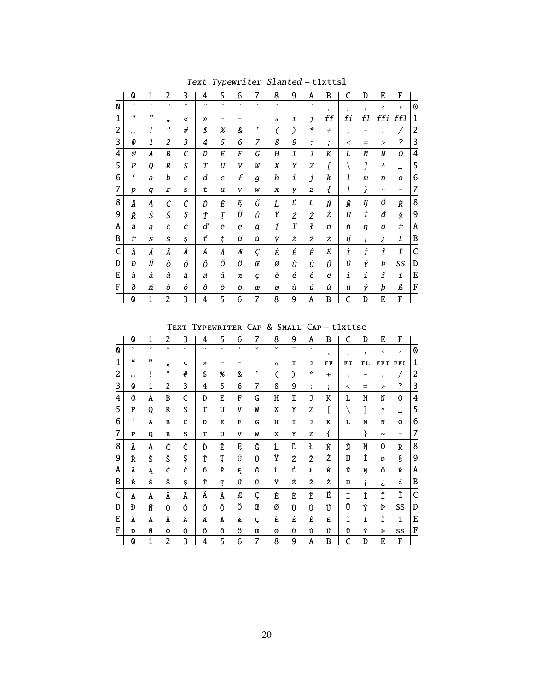|   | 0       | 1 | 2                   | 3                     | 4             | 5              | 6       | 7           | 8                | 9 | Α              | B                             | C          | D                        | E                     | F             |   |
|---|---------|---|---------------------|-----------------------|---------------|----------------|---------|-------------|------------------|---|----------------|-------------------------------|------------|--------------------------|-----------------------|---------------|---|
| ⋔ | $\cdot$ |   | $\hat{\phantom{a}}$ | $\tilde{\phantom{a}}$ |               | $\overline{a}$ | $\circ$ | $\check{ }$ |                  |   |                | $\overline{\phantom{a}}$      | $\epsilon$ | $\overline{\phantom{a}}$ | ≺                     | $\rightarrow$ | 0 |
| 1 | "       | " | 55                  | «                     | $\rightarrow$ |                |         |             | o                | ı | $\overline{J}$ | ff                            | fi         | f1                       | ffi                   | ffl           | 1 |
| 2 | ப       |   | $^{\prime\prime}$   | #                     | \$            | $\%$           | &       | ,           |                  | 冫 | ×              | $^{+}$                        | ,          |                          |                       |               | 2 |
| 3 | 0       | 1 | 2                   | 3                     | 4             | 5              | 6       | 7           | 8                | 9 | ÷              | ٠<br>$\overline{\phantom{a}}$ | <          |                          | $\geq$                | ?             | 3 |
| 4 | a       | A | B                   | $\mathcal{C}_{0}$     | D             | E              | F       | G           | $\boldsymbol{H}$ | I | J              | K                             | L          | M                        | N                     | 0             | 4 |
| 5 | P       | Q | $\boldsymbol{R}$    | S                     | T             | U              | V       | W           | X                | Y | Z              | Г                             |            | J                        | ۸                     |               | 5 |
| 6 | £       | a | b                   | C                     | d             | e              | f       | g           | h                | i | j              | k                             | 1          | m                        | n                     | O             | 6 |
| 7 | p       | q | r                   | s                     | t             | u              | V       | W           | X                | y | z              | ſ                             |            | }                        | $\tilde{\phantom{a}}$ |               | 7 |
| 8 | Ă       | Ą | Ć                   | Č                     | Ď             | Ě              | Ę       | Ğ           | Ĺ                | Ľ | Ł              | Ń                             | Ň          | Ŋ                        | Ő                     | Ŕ             | 8 |
| 9 | Ř       | Ś | Š                   | Ş                     | Ť             | Ţ              | Ű       | Ů           | Ÿ                | Ź | Ž              | Ż                             | IJ         | İ                        | đ                     | $\hat{S}$     | 9 |
| Α | ă       | ą | ć                   | č                     | ď             | ě              | ę       | ğ           | ĺ                | ľ | ł              | ń                             | ň          | η                        | Ő                     | ŕ             | Α |
| B | ř       | ś | š                   | Ş                     | ť             | ţ              | ű       | ů           | ÿ                | ź | ž              | ż                             | ij         | i                        | ż.                    | £             | B |
| C | À       | Á | Â                   | Ã                     | Ä             | Å              | Æ       | Ç           | È                | É | Ê              | Ë                             | Ì          | Í                        | Î                     | Ϊ             | Ċ |
| D | Đ       | Ñ | Ò                   | Ó                     | Ô             | Õ              | Ö       | Œ           | Ø                | Ù | Ú              | Û                             | Ü          | Ý                        | Þ                     | SS            | D |
| E | à       | á | â                   | ã                     | ä             | å              | æ       | Ç           | è                | é | ê              | ë                             | ì          | í                        | î                     | ï             | E |
| F | ð       | ñ | ò                   | ó                     | ô             | Õ              | Ö       | œ           | ø                | ù | ú              | û                             | ü          | ý                        | þ                     | ß             | F |
|   | 0       | 1 | 2                   | 3                     | 4             | 5              | 6       | 7           | 8                | 9 | A              | B                             | C          | D                        | E                     | F             |   |

Text Typewriter Slanted – t1xttsl

Text Typewriter Cap & Small Cap – t1xttsc

|   | 0                        | 1              | 2                   | 3                     | 4     | 5                        | 6       | 7           | 8              | 9 | A             | B            | C                        | D                        | E          | F             |                |
|---|--------------------------|----------------|---------------------|-----------------------|-------|--------------------------|---------|-------------|----------------|---|---------------|--------------|--------------------------|--------------------------|------------|---------------|----------------|
| 0 | $\overline{\phantom{0}}$ | $\overline{ }$ | $\hat{\phantom{a}}$ | $\tilde{\phantom{a}}$ |       | $\overline{\phantom{a}}$ | $\circ$ | $\check{ }$ | $\overline{ }$ |   | $\bullet$     | $\mathbf s$  | ć                        | $\overline{\phantom{a}}$ | ∢          | $\rightarrow$ | 0              |
| 1 | "                        | ,,             | ,,                  | «                     | $\gg$ |                          |         |             | $\mathbf{o}$   | I | J             | FF           | FI                       | FL                       | FFI FFL    |               | 1              |
| 2 | ш                        |                | п                   | #                     | \$    | %                        | &       | ,           |                | € | $\mathcal{R}$ | $+$          | $\overline{\phantom{a}}$ |                          |            |               | 2              |
| 3 | 0                        | 1              | 2                   | 3                     | 4     | 5                        | 6       | 7           | 8              | 9 | t             | ٠<br>$\cdot$ | $\,<\,$                  | $=$                      | >          | ?             | 3              |
| 4 | @                        | A              | B                   | C                     | D     | E                        | F       | G           | н              | I | J             | K            | L                        | M                        | N          | $\Omega$      | $\overline{4}$ |
| 5 | P                        | 0              | R                   | S                     | T     | U                        | V       | W           | X              | Y | Z             | C            |                          | I                        | ٨          |               | 5              |
| 6 | $\pmb{\epsilon}$         | A              | $\mathbf B$         | C                     | D     | E                        | F       | G           | н              | I | J             | K            | L                        | M                        | N          | O             | 6              |
| 7 | $\mathbf P$              | Q              | ${\bf R}$           | S                     | T     | U                        | v       | W           | x              | Y | z             | {            |                          | }                        | $\tilde{}$ | -             | 7              |
| 8 | Ă                        | Ą              | Ć                   | Č                     | Ď     | Ě                        | Ę       | Ğ           | Ĺ              | Ľ | Ł             | Ń            | Ň                        | Ŋ                        | Ő          | Ŕ             | 8              |
| 9 | Ř                        | Ś              | Š                   | Ş                     | Ť     | Ţ                        | Ű       | Ů           | Ÿ              | Ź | Ž             | Ż            | IJ                       | İ                        | Đ          | $\S$          | 9              |
| A | Ă                        | Ą              | ć                   | č                     | Ď     | Ě                        | Ę       | Ğ           | Ĺ              | Ľ | Ł             | Ń            | Ň                        | Ŋ                        | Ő          | Ŕ             | Α              |
| B | Ř                        | ś              | š                   | Ş                     | Ť     | Ţ                        | Ű       | Ů           | Ϋ              | ź | ž             | ż            | IJ                       |                          | i          | £             | B              |
| C | À                        | Á              | Â                   | Ã                     | Ä     | Å                        | Æ       | Ç           | È              | É | Ê             | Ë            | Ì                        | Í                        | Î          | Ϊ             | $\mathsf{C}$   |
| D | Ð                        | Ñ              | Ò                   | Ó                     | Ô     | Õ                        | Ö       | Œ           | Ø              | Ù | Ú             | Û            | Ü                        | Ý                        | Þ          | SS            | D              |
| E | À                        | Á              | Â                   | Ã                     | Ä     | Å                        | Æ       | Ç           | È              | É | Ê             | Ë            | Ì                        | Í                        | Î          | Ï             | Ε              |
| F | Đ                        | Ñ              | ò                   | ó                     | ô     | Õ                        | Ö       | Œ           | Ø              | Ù | Ú             | Û            | Ü                        | Ý                        | Þ          | SS            | F              |
|   | 0                        | 1              | $\overline{c}$      | 3                     | 4     | 5                        | 6       | 7           | 8              | 9 | Α             | B            | C                        | D                        | E          | F             |                |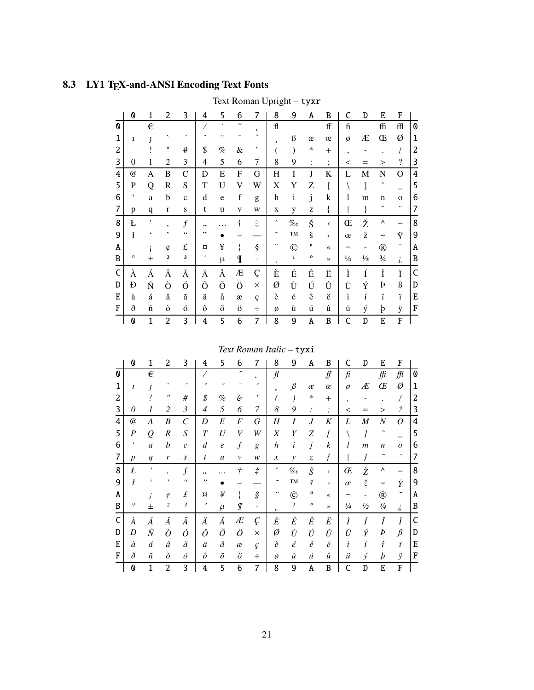# 8.3 LY1 TEX-and-ANSI Encoding Text Fonts

|   | 0                     | 1            | 2                | 3              | 4  | 5           | 6                        | 7          | 8                   | 9                 | A                    | B             | C             | D               | E                   | F                  |                |
|---|-----------------------|--------------|------------------|----------------|----|-------------|--------------------------|------------|---------------------|-------------------|----------------------|---------------|---------------|-----------------|---------------------|--------------------|----------------|
| 0 |                       | €            |                  |                |    |             | $\overline{\phantom{a}}$ |            | fl                  |                   |                      | ff            | fi            |                 | ffi                 | ffl                | 0              |
| 1 | 1                     |              |                  | ╭              |    |             |                          |            | 5                   | ß                 | æ                    | œ             | Ø             | Æ               | Œ                   | Ø                  | $\mathbf{1}$   |
| 2 |                       |              | $^{\dagger}$     | #              | \$ | %           | &                        | ,          |                     |                   | ∗                    | $^{+}$        | ,             |                 |                     |                    | 2              |
| 3 | $\overline{0}$        | 1            | $\overline{2}$   | 3              | 4  | 5           | 6                        | 7          | 8                   | 9                 | :                    | $\vdots$      | $\,<$         |                 | $\rm{>}$            | $\overline{\cdot}$ | 3              |
| 4 | @                     | Α            | B                | $\mathcal{C}$  | D  | E           | F                        | G          | Η                   | I                 | J                    | K             | L             | М               | N                   | O                  | $\overline{4}$ |
| 5 | P                     | Q            | R                | S              | T  | U           | V                        | W          | X                   | Y                 | Z                    | ſ             |               | 1               | $\hat{}$            |                    | 5              |
| 6 | $\acute{\phantom{1}}$ | a            | b                | $\mathbf{C}$   | d  | e           | $\mathbf f$              | g          | h                   | $\rm i$           | j                    | $\bf k$       | 1             | m               | $\mathbf n$         | $\mathbf{o}$       | 6              |
| 7 | p                     | q            | $\mathbf r$      | S              | t  | u           | V                        | W          | X                   | y                 | Z                    | {             |               |                 |                     |                    | 7              |
| 8 | Ł                     | $\mathbf{I}$ | ,                | $\overline{f}$ | ,, |             | $\ddagger$               | $\ddagger$ | $\hat{\phantom{a}}$ | $\%o$             | Š                    | $\checkmark$  | Œ             | Ž               | Λ                   |                    | 8              |
| 9 | ł                     |              |                  | 66             | ,, |             |                          |            |                     | TM                | $\check{\mathbf{s}}$ | $\rightarrow$ | œ             | ž               |                     | Ÿ                  | 9              |
| Α |                       |              | ¢                | £              | ¤  | ¥           | ł                        | ş          |                     | $\circledcirc$    | a                    | $\ll$         | ┑             | -               | $^\circledR$        | -                  | Α              |
| B | $\circ$               | 士            | 2                | 3              | ╭  | μ           | ¶                        | $\bullet$  | 5                   | $\mathbf{1}$      | $\mathbf{o}$         | $\rightarrow$ | $\frac{1}{4}$ | $\frac{1}{2}$   | $\frac{3}{4}$       | i                  | B              |
| C | À                     | Á            | Â                | Ã              | Ä  | Å           | Æ                        | Ç          | È                   | É                 | Ê                    | Ë             | Ì             | Í               | Î                   | Ϊ                  | $\mathsf{C}$   |
| D | Ð                     | Ñ            | Ò                | Ó              | Ô  | Õ           | Ö                        | $\times$   | Ø                   | Ù                 | Ú                    | Û             | Ü             | Ý               | Þ                   | ß                  | D              |
| E | à                     | á            | $\hat{\text{a}}$ | ã              | ä  | å           | æ                        | ç          | è                   | $\acute{\text e}$ | ê                    | ë             | ì             | $\acute{\rm 1}$ | $\hat{\textbf{\i}}$ | ï                  | E              |
| F | ð                     | ñ            | ò                | ó              | ô  | $\tilde{O}$ | ö                        | ÷          | ø                   | ù                 | ú                    | û             | ü             | ý               | þ                   | ÿ                  | F              |
|   | 0                     | $\mathbf{1}$ | 2                | 3              | 4  | 5           | 6                        | 7          | 8                   | 9                 | A                    | B             | C             | D               | E                   | F                  |                |

Text Roman Upright - tyxr

# Text Roman Italic - tyxi

|   | 0                    | 1            | 2                 | 3                     | 4                | 5                | 6                        | 7                      | 8                     | 9                | Α                             | B                                     | C       | D                | E                   | F                        |   |
|---|----------------------|--------------|-------------------|-----------------------|------------------|------------------|--------------------------|------------------------|-----------------------|------------------|-------------------------------|---------------------------------------|---------|------------------|---------------------|--------------------------|---|
| 0 |                      | €            |                   |                       |                  |                  | $\overline{\phantom{a}}$ | $\epsilon$             | $\mathcal{H}$         |                  |                               | ∬                                     | fi      |                  | ffi                 | ₩                        | 0 |
| 1 | ı                    | J            |                   | ╭                     |                  |                  |                          | $\circ$                | s                     | $\beta$          | æ                             | œ                                     | ø       | Æ                | Œ                   | Ø                        | 1 |
| 2 |                      |              | $^{\prime\prime}$ | #                     | \$               | %                | E                        | ,                      |                       |                  | ∗                             | $+$                                   |         |                  |                     |                          | 2 |
| 3 | 0                    | 1            | 2                 | $\mathfrak{Z}$        | $\overline{4}$   | 5                | 6                        | 7                      | 8                     | 9                | $\ddot{\cdot}$                | $\bullet$<br>$\overline{\phantom{a}}$ | $\,<\,$ |                  | $\rm{>}$            | $\overline{\mathcal{E}}$ | 3 |
| 4 | $^{\textregistered}$ | A            | B                 | $\mathcal{C}_{0}^{0}$ | D                | E                | F                        | G                      | Η                     | Ι                | J                             | K                                     | L       | $\boldsymbol{M}$ | $\boldsymbol{N}$    | 0                        | 4 |
| 5 | $\boldsymbol{P}$     | $\varrho$    | $\boldsymbol{R}$  | S                     | $\boldsymbol{T}$ | U                | V                        | W                      | Χ                     | Y                | Ζ                             | ſ                                     |         |                  | $\hat{\phantom{a}}$ |                          | 5 |
| 6 | $\pmb{\epsilon}$     | a            | $\boldsymbol{b}$  | $\mathcal{C}$         | $\boldsymbol{d}$ | $\ell$           | $\overline{f}$           | g                      | $\boldsymbol{h}$      | i                | j                             | k                                     | l       | $\mathfrak{m}$   | $\boldsymbol{n}$    | $\overline{O}$           | 6 |
| 7 | $\boldsymbol{p}$     | q            | r                 | S                     | t                | $\boldsymbol{u}$ | $\mathcal{V}$            | w                      | $\boldsymbol{x}$      | y                | $\ensuremath{\mathnormal{Z}}$ |                                       |         |                  |                     |                          | 7 |
| 8 | Ł                    | ,            |                   | $\overline{f}$        | ,,               | .                | $\dot{\tau}$             | $\dot{\tau}$           | $\hat{\phantom{a}}$   | $\%o$            | Š                             | $\acute{\text{}}$                     | Œ       | Ž                | ٨                   |                          | 8 |
| 9 | ł                    | $\epsilon$   | ,                 | $\epsilon$            | ,,               |                  |                          |                        | $\tilde{\phantom{a}}$ | TM               | $\check{s}$                   | $\,$                                  | œ       | $\check{z}$      | $\tilde{}$          | Ÿ                        | 9 |
| Α |                      |              | ¢                 | £                     | ¤                | ¥                | т<br>I.                  | $\hat{\boldsymbol{S}}$ | $\cdot \cdot$         | $\odot$          | $\boldsymbol{a}$              | ≪                                     |         |                  | $^\circledR$        |                          | Α |
| B | $\circ$              | 士            | 2                 | 3                     | ╭                | $\mu$            | Г                        | $\bullet$              | $\mathfrak s$         | $\boldsymbol{l}$ | $\pmb{o}$                     | $\rightarrow$                         | 1/4     | $\frac{1}{2}$    | $\frac{3}{4}$       | i                        | B |
| C | À                    | Á            | Â                 | Ã                     | Ä                | Å                | Æ                        | Ç                      | È                     | É                | Ê                             | Ë                                     | Ì       |                  | Î                   | Ϊ                        | C |
| D | Ð                    | $\tilde{N}$  | Ò                 | Ó                     | Ô                | Õ                | Ö                        | $\times$               | Ø                     | Ù                | Ú                             | Û                                     | Ü       | Ý                | Þ                   | $\beta$                  | D |
| Е | à                    | á            | â                 | ã                     | ä                | å                | æ                        | ç                      | è                     | $\acute{e}$      | $\hat{e}$                     | ë                                     | ì       | í                | î                   | ï                        | Ε |
| F | ð                    | ñ            | $\partial$        | ó                     | $\hat{o}$        | $\tilde{o}$      | $\ddot{o}$               | ÷                      | $\phi$                | ù                | ú                             | û                                     | ü       | ý                | $\boldsymbol{p}$    | ÿ                        | F |
|   | 0                    | $\mathbf{1}$ | 2                 | 3                     | 4                | 5                | 6                        | 7                      | 8                     | 9                | A                             | B                                     | C       | D                | E                   | F                        |   |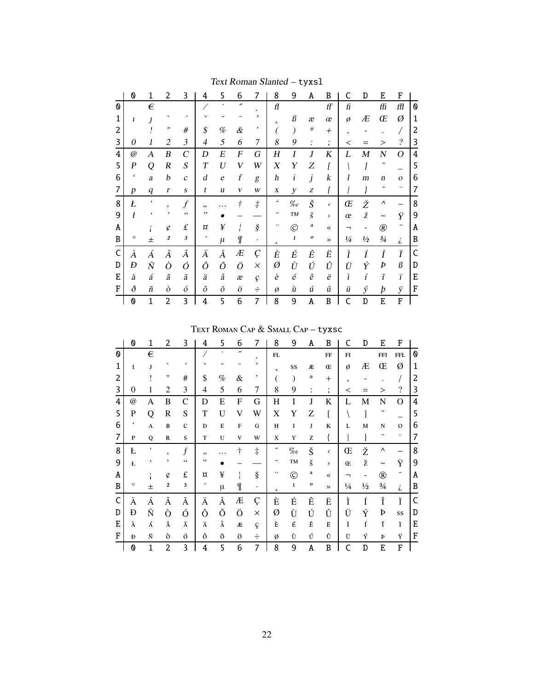|   | 0                | 1                | 2                | 3                | 4  | 5                | 6                        | 7                   | 8                     | 9                 | A              | B                    | C             | D             | E                     | F                        |                |
|---|------------------|------------------|------------------|------------------|----|------------------|--------------------------|---------------------|-----------------------|-------------------|----------------|----------------------|---------------|---------------|-----------------------|--------------------------|----------------|
| 0 |                  | $\in$            |                  |                  |    |                  | $\overline{\phantom{a}}$ | ı                   | fl                    |                   |                | ff                   | fi            |               | ffi                   | ffl                      | 0              |
| 1 | 1                |                  |                  | ╭                |    | U                |                          | $\circ$             | s                     | ß                 | æ              | œ                    | Ø             | Æ             | Œ                     | Ø                        | 1              |
| 2 |                  |                  | "                | #                | \$ | %                | &                        | ,                   |                       |                   | ∗              | $^{+}$               | ٠             |               |                       |                          | $\overline{c}$ |
| 3 | 0                | 1                | $\overline{2}$   | 3                | 4  | 5                | 6                        | 7                   | 8                     | 9                 | $\ddot{\cdot}$ | $\bullet$<br>$\cdot$ | <             |               | $\geq$                | $\overline{\mathcal{C}}$ | 3              |
| 4 | @                | А                | B                | $\boldsymbol{C}$ | D  | Е                | F                        | G                   | Η                     | I                 | J              | K                    | L             | M             | N                     | Ο                        | 4              |
| 5 | $\boldsymbol{P}$ | Q                | R                | $\boldsymbol{S}$ | T  | $\boldsymbol{U}$ | V                        | W                   | X                     | Y                 | Ζ              |                      |               | I             | $\hat{\phantom{a}}$   |                          | 5              |
| 6 | $\pmb{\zeta}$    | a                | b                | $\mathcal{C}$    | d  | e                | f                        | g                   | h                     | $\boldsymbol{i}$  | j              | k                    | 1             | m             | $\boldsymbol{n}$      | $\mathbf{O}$             | 6              |
| 7 | p                | $\boldsymbol{q}$ | $\boldsymbol{r}$ | $\boldsymbol{S}$ | t  | u                | V                        | W                   | X                     | у                 | Z              | ł                    |               | }             |                       |                          | 7              |
| 8 | Ł                | ,                | ٠                | $\overline{f}$   | ,, |                  | t                        | $\dot{\tau}$        | $\hat{\phantom{a}}$   | $\%o$             | Š              | ∢                    | Œ             | Ž             | Λ                     |                          | 8              |
| 9 | $\boldsymbol{l}$ | 6                | ,                | $\zeta$ $\zeta$  | ,, |                  |                          |                     | $\tilde{\phantom{a}}$ | TM                | $\check{s}$    | $\rightarrow$        | œ             | ž             | $\tilde{\phantom{a}}$ | Ϋ                        | 9              |
| Α |                  |                  | ¢                | $\pounds$        | ¤  | ¥                | ı                        | $\hat{\mathcal{S}}$ |                       | $\circledc$       | a              | $\ll$                | ┑             |               | $^{\circledR}$        |                          | Α              |
| B | $\circ$          | $\pm$            | $\boldsymbol{2}$ | $\mathbf{3}$     |    | $\mu$            | Г                        | $\bullet$           | 5                     | $\mathbf{I}$      | $\pmb{o}$      | $\rightarrow$        | $\frac{1}{4}$ | $\frac{1}{2}$ | $\frac{3}{4}$         | $\dot{\zeta}$            | B              |
| C | À                | Á                | Â                | Ã                | Ä  | Å                | Æ                        | Ç                   | È                     | É                 | Ê              | Ë                    | Ì             | Í             | Î                     | Ϊ                        | C              |
| D | Đ                | $\tilde{N}$      | Ò                | Ó                | Ô  | Õ                | Ö                        | $\times$            | Ø                     | Ù                 | Ú              | Û                    | Ü             | Ý             | Þ                     | ß                        | D              |
| E | à                | á                | â                | ã                | ä  | å                | æ                        | ç                   | è                     | $\acute{\text e}$ | ê              | ë                    | ì             | í             | $\hat{\mathbf{I}}$    | ï                        | Ε              |
| F | ð                | $\tilde{n}$      | ò                | ó                | ô  | õ                | ö                        | ÷                   | ø                     | ù                 | ú              | û                    | ü             | ý             | þ                     | ÿ                        | F              |
|   | 0                | $\mathbf{1}$     | 2                | 3                | 4  | 5                | 6                        | 7                   | 8                     | 9                 | A              | B                    | C             | D             | E                     | F                        |                |

Text Roman Slanted - tyxsl

TEXT ROMAN CAP & SMALL CAP - tyxsc

|   | 0                    | 1 | 2              | 3                  | 4  | 5           | 6              | 7          | 8                        | 9             | A                  | B             |               | D             | E                     | F            |   |
|---|----------------------|---|----------------|--------------------|----|-------------|----------------|------------|--------------------------|---------------|--------------------|---------------|---------------|---------------|-----------------------|--------------|---|
| 0 |                      | € |                |                    |    |             | $\overline{v}$ | $\epsilon$ | ${\bf FL}$               |               |                    | FF            | FI            |               | <b>FFI</b>            | <b>FFL</b>   | 0 |
| 1 | T                    | Ī |                | ╭                  |    |             |                |            | $\overline{\phantom{a}}$ | SS            | Æ                  | Œ             | ø             | Æ             | Œ                     | Ø            | 1 |
| 2 |                      |   | 11             | $\#$               | \$ | $\%$        | &              | ,          |                          |               | *                  | $^{+}$        |               |               |                       |              | 2 |
| 3 | $\Omega$             |   | $\mathfrak{D}$ | 3                  | 4  | 5           | 6              | 7          | 8                        | 9             |                    | ٠<br>$\cdot$  | <             |               | >                     | ?            | 3 |
| 4 | $^{\textregistered}$ | A | B              | $\mathcal{C}$      | D  | E           | F              | G          | Η                        | I             | J                  | K             |               | М             | N                     | O            | 4 |
| 5 | P                    | Q | R              | S                  | T  | U           | V              | W          | X                        | Y             | Z                  |               |               |               | ^                     |              | 5 |
| 6 | $\pmb{\zeta}$        | A | B              | $\mathbf C$        | D  | E           | F              | G          | H                        | I             | J                  | K             | L             | M             | ${\bf N}$             | $\mathbf{O}$ | 6 |
| 7 | P                    | 0 | $\mathbb{R}$   | S                  | T  | U           | V              | W          | X                        | Y             | z                  | {             |               |               |                       |              | 7 |
| 8 | Ł                    | ٠ | ,              | $\boldsymbol{f}$   | ,, |             | t              | $\ddagger$ | $\hat{\phantom{a}}$      | $\%o$         | Š                  | ≺             | Œ             | Ž             | Λ                     |              | 8 |
| 9 | Ł                    |   |                | 66                 | ,, |             |                |            |                          | TM            | š                  | ⋋             | Œ             | ž             | $\tilde{\phantom{a}}$ | Ÿ            | 9 |
| A |                      |   | ¢              | $\pounds$          | ¤  | ¥           |                | ş          |                          | $^\copyright$ | a                  | $\ll$         | ┑             |               | $^\circledR$          |              | Α |
| B | $\circ$              | 士 | $\mathbf 2$    | 3                  | ╭  | μ           | I              | $\bullet$  | ь                        | $\mathbf{1}$  | o                  | $\rightarrow$ | $\frac{1}{4}$ | $\frac{1}{2}$ | $\frac{3}{4}$         | i,           | B |
| C | À                    | Á | Â              | Ã                  | Ä  | Å           | Æ              | Ç          | È                        | É             | Ê                  | Ë             | Ì             | Í             | Î                     | Ï            | C |
| D | Ð                    | Ñ | Ò              | Ó                  | Ô  | Õ           | Ö              | ×          | Ø                        | Ù             | Ú                  | Û             | Ũ             | Ý             | Þ                     | SS           | D |
| E | À                    | Á | Â              | $\tilde{\text{A}}$ | Ä  | Å           | Æ              | ç          | È                        | É             | $\hat{\textbf{E}}$ | Ë             | ì             | í             | î                     | ï            | E |
| F | Đ                    | Ñ | ò              | $\acute{o}$        | ô  | $\tilde{O}$ | ö              | ÷          | Ø                        | Ù             | Ú                  | û             | Ü             | Ý             | Þ                     | Ÿ            | F |
|   | 0                    | 1 | 2              | 3                  | 4  | 5           | 6              | 7          | 8                        | 9             | A                  | B             |               | D             | E                     | F            |   |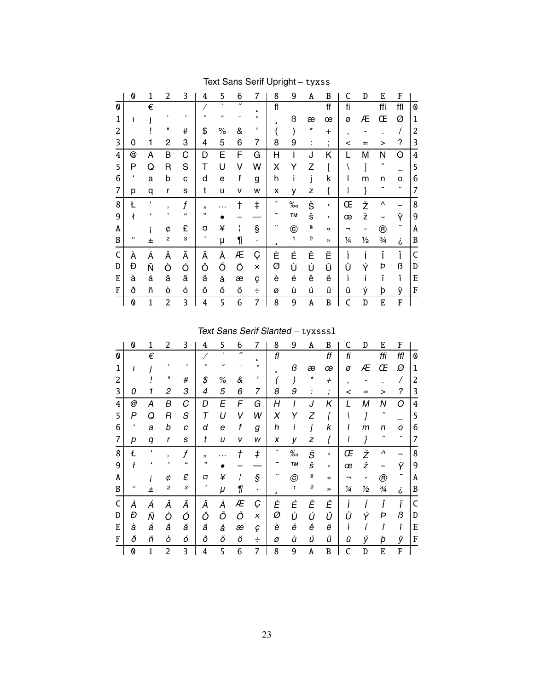|   | 0                         | 1            | 2            | 3                          | 4  | 5    | 6                        | 7        | 8 | 9               | A                        | B             | C             | D             | E                     | F   |                |
|---|---------------------------|--------------|--------------|----------------------------|----|------|--------------------------|----------|---|-----------------|--------------------------|---------------|---------------|---------------|-----------------------|-----|----------------|
| 0 |                           | €            |              |                            |    |      | $\overline{\phantom{a}}$ | c        | f |                 |                          | ff            | fi            |               | ffi                   | ffl | 0              |
| 1 | ı                         |              |              |                            |    |      |                          | $\circ$  | s | ß               | æ                        | œ             | Ø             | Æ             | Œ                     | Ø   | 1              |
| 2 |                           |              | п            | #                          | \$ | $\%$ | &                        | ,        |   |                 | *                        | $\ddot{}$     | ,             |               |                       | 7   | $\overline{c}$ |
| 3 | 0                         |              | $\mathbf{2}$ | 3                          | 4  | 5    | 6                        | 7        | 8 | 9               | ٠<br>ä,                  | $\mathbf{r}$  | <             |               | >                     | ?   | 3              |
| 4 | @                         | A            | B            | C                          | D  | Е    | F                        | G        | Н |                 | J                        | Κ             |               | М             | N                     | O   | 4              |
| 5 | P                         | Q            | R            | S                          | Т  | U    | v                        | W        | Χ | Y               | Z                        |               |               |               | ^                     |     | 5              |
| 6 | ٠                         | a            | b            | C                          | d  | e    | f                        | g        | h | ı               | j                        | k             |               | m             | n                     | о   | 6              |
| 7 | р                         | q            | r            | S                          | t  | u    | v                        | W        | χ | У               | z                        | {             |               |               |                       |     | 7              |
| 8 | Ł                         | ٠            | ,            | f                          | ,, | .    |                          | ŧ        | ^ | $\%$            | Š                        | ¢             | Œ             | Ž             | Λ                     |     | 8              |
| 9 | ł                         | f.           | ,            | $\mathfrak{c}\mathfrak{c}$ | ,, |      |                          |          |   | TM              | š                        | >             | œ             | ž             | $\tilde{\phantom{a}}$ | Ÿ   | 9              |
| A |                           |              | ¢            | £                          | a  | ¥    |                          | ş        |   | $^{\copyright}$ | $\underline{\mathtt{a}}$ | $\prec$       |               |               | $^\circledR$          |     | Α              |
| B | $\circ$                   | 士            | $\mathbf 2$  | 3                          |    | μ    | 1                        | ٠        | 5 | 1               | $\underline{\mathtt{o}}$ | $\rightarrow$ | $\frac{1}{4}$ | $\frac{1}{2}$ | $\frac{3}{4}$         | نى  | B              |
| C | À                         | Á            | Â            | Ã                          | Ä  | Å    | Æ                        | Ç        | È | É               | Ê                        | Ë             |               |               | Î                     | Ϊ   | C              |
| D | Đ                         | Ñ            | Ò            | Ó                          | Ô  | Õ    | Ö                        | $\times$ | Ø | Ù               | Ú                        | Û             | Ü             | Ý             | Þ                     | ß   | D              |
| E | à                         | á            | â            | ã                          | ä  | å    | æ                        | ç        | è | é               | ê                        | ë             | ì             |               | î                     | ï   | E              |
| F | ð                         | ñ            | ò            | ó                          | ô  | õ    | Ö                        | ÷        | ø | ù               | ú                        | û             | ü             | ý             | þ                     | ÿ   | F              |
|   | $\boldsymbol{\mathsf{0}}$ | $\mathbf{1}$ | 2            | 3                          | 4  | 5    | 6                        | 7        | 8 | 9               | A                        | B             | C             | D             | E                     | F   |                |

# Text Sans Serif Upright - tyxss

Text Sans Serif Slanted - tyxsss1

|   | 0          |              | 2                        | 3          | 4  | 5    | 6                        | 7          | 8                   | 9             | Α                         | B              |     | D             | E                     | F   |   |
|---|------------|--------------|--------------------------|------------|----|------|--------------------------|------------|---------------------|---------------|---------------------------|----------------|-----|---------------|-----------------------|-----|---|
| 0 |            | €            |                          |            |    |      | $\overline{\phantom{a}}$ | $\epsilon$ | fl                  |               |                           | ff             | fi  |               | ffi                   | ffl | 0 |
|   |            |              |                          |            |    |      |                          |            | ۵                   | ß             | æ                         | œ              | Ø   | Æ             | Œ                     | Ø   | 1 |
| 2 |            |              | П                        | #          | \$ | $\%$ | &                        | ,          |                     |               | *                         | $\pmb{+}$      | ,   |               |                       |     | 2 |
| 3 | 0          |              | 2                        | 3          | 4  | 5    | 6                        | 7          | 8                   | 9             |                           | $\overline{ }$ | <   |               |                       | ?   | 3 |
| 4 | @          | А            | В                        | С          | D  | E    | F                        | G          | Н                   |               | J                         | Κ              | L   | М             | Ν                     | Ω   | 4 |
| 5 | P          | Q            | R                        | S          | т  | U    | V                        | W          | X                   | Y             | Z                         |                |     |               |                       |     | 5 |
| 6 | $\epsilon$ | a            | b                        | C          | d  | е    | f                        | g          | h                   |               |                           | k              |     | m             | n                     | ο   | 6 |
| 7 | р          | q            | r                        | S          | t  | u    | v                        | W          | x                   | у             | z                         |                |     |               |                       |     |   |
| 8 | Ł          | $\mathbf{I}$ | $\overline{\phantom{a}}$ | f          | ,, |      |                          | ŧ          | $\hat{\phantom{a}}$ | %             | Š                         | $\checkmark$   | Œ   | Ž             | л                     |     | 8 |
| 9 |            | ،            |                          | $\epsilon$ | "  |      |                          |            |                     | TМ            | š                         | ۰.             | œ   | ž             | $\tilde{\phantom{a}}$ | Ÿ   | 9 |
| A |            |              | ¢                        | £          | O  | ¥    |                          | §          |                     | $^\copyright$ | $\underline{\mathbf{a}}$  | $\prec$        | ⇁   |               | $^{\circledR}$        |     | A |
| B | о          | 士            | $\boldsymbol{2}$         | 3          |    | μ    | 1                        | ٠          | ه                   | 1             | $\underline{\mathcal{Q}}$ | >>             | 1⁄4 | $\frac{1}{2}$ | $\frac{3}{4}$         | i   | B |
| C | À          | Á            | Â                        | Ã          | Ä  | Å    | Æ                        | Ç          | È                   | É             | Ê                         | Ë              |     |               |                       | ï   | C |
| D | Đ          | Ñ            | Ò                        | Ó          | Ô  | Õ    | Ö                        | $\times$   | Ø                   | Ù             | Ú                         | Û              | I I | Ý             | Þ                     | ß   | D |
| E | à          | á            | â                        | ã          | ä  | å    | æ                        | ç          | è                   | é             | ê                         | ë              |     |               | î                     | ï   | E |
| F | ð          | ñ            | ò                        | ó          | ô  | õ    | Ö                        | ÷          | Ø                   | ù             | ú                         | û              | ü   | ý             | þ                     | ÿ   | F |
|   |            |              |                          |            |    |      |                          |            |                     |               |                           |                |     |               |                       |     |   |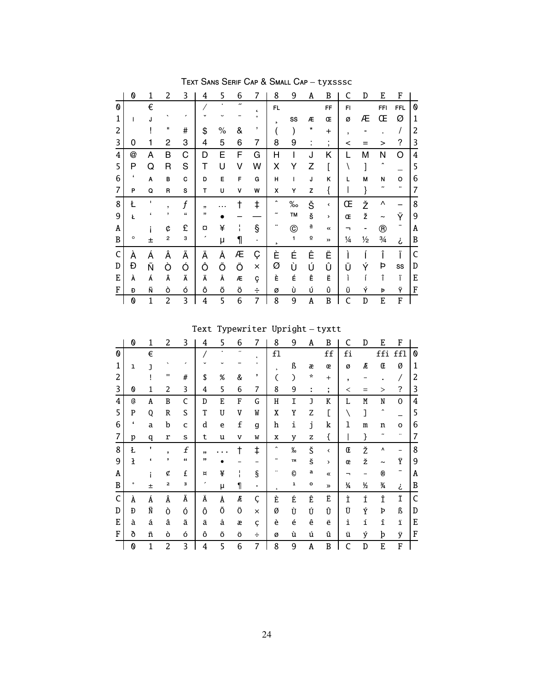|   | 0       | 1              | 2              | 3          | 4  | 5    | 6                    | 7          | 8                   | 9              | Α                        | B                 | C                        | D             | E                     | F          |                |
|---|---------|----------------|----------------|------------|----|------|----------------------|------------|---------------------|----------------|--------------------------|-------------------|--------------------------|---------------|-----------------------|------------|----------------|
| 0 |         | €              |                |            |    |      | $\boldsymbol{\cdot}$ | $\epsilon$ | FL.                 |                |                          | FF                | FI                       |               | <b>FFI</b>            | <b>FFL</b> | 0              |
| 1 | ı       | J              |                |            |    |      |                      | $\circ$    | s                   | SS             | Æ                        | Œ                 | ø                        | Æ             | Œ                     | Ø          | $\mathbf{1}$   |
| 2 |         |                | п              | #          | \$ | $\%$ | &                    | ,          |                     |                | *                        | $\ddot{}$         | $\overline{\phantom{a}}$ |               |                       |            | $\overline{c}$ |
| 3 | 0       |                | 2              | 3          | 4  | 5    | 6                    | 7          | 8                   | 9              |                          | ٠<br>$\mathbf{r}$ | <                        |               | >                     | ?          | 3              |
| 4 | @       | Α              | B              | С          | D  | Е    | F                    | G          | Н                   | I              | J                        | Κ                 |                          | Μ             | Ν                     | O          | 4              |
| 5 | P       | Q              | R              | S          | Т  | U    | ٧                    | W          | Χ                   | Y              | Z                        |                   |                          |               | ۸                     |            | 5              |
| 6 | t       | Α              | B              | C          | D  | E    | F                    | G          | Η                   | $\overline{1}$ | J                        | κ                 | L                        | M             | N                     | о          | 6              |
| 7 | P       | Q              | R              | s          | T  | U    | ٧                    | W          | χ                   | Υ              | z                        | {                 |                          |               |                       |            | 7              |
| 8 | Ł       | I.             | ,              | f          | ,, | .    |                      | ŧ          | $\hat{\phantom{a}}$ | $\% \circ$     | Š                        | $\checkmark$      | Œ                        | Ž             | Λ                     |            | 8              |
| 9 | Ł       | f.             | ,              | $\epsilon$ | ,, |      |                      |            |                     | TM             | Š                        | >                 | Œ                        | ž             | $\tilde{\phantom{a}}$ | Ÿ          | 9              |
| Α |         |                | ¢              | £          | a  | ¥    |                      | ş          |                     | $^\copyright$  | a                        | $\ll$             | ┑                        |               | $^\circledR$          |            | Α              |
| B | $\circ$ | 土              | $\mathbf 2$    | 3          | ,  | μ    | 1                    | $\bullet$  | s                   | 1              | $\underline{\mathtt{o}}$ | >>                | $\frac{1}{4}$            | $\frac{1}{2}$ | 3⁄4                   | i          | B              |
| C | À       | Á              | Â              | Ã          | Ä  | Å    | Æ                    | Ç          | È                   | É              | Ê                        | Ë                 |                          |               | Î                     | Ï          | C              |
| D | Đ       | Ñ              | Ò              | Ó          | Ô  | Õ    | Ö                    | $\times$   | Ø                   | Ù              | Ú                        | Û                 | Ü                        | Ý             | Þ                     | SS         | D              |
| E | À       | Á              | Â              | Ã          | Ä  | Å    | Æ                    | ç          | È                   | É              | Ê                        | Ë                 | ì                        |               | î                     | ï          | E              |
| F | Đ       | Ñ              | ò              | ó          | Ô  | õ    | ö                    | ÷          | ø                   | Ù              | Ú                        | Û                 | Ü                        | Ý             | Þ                     | Ÿ          | F              |
|   | 0       | $\overline{1}$ | $\overline{c}$ | 3          | 4  | 5    | 6                    | 7          | 8                   | 9              | Α                        | B                 | C                        | D             | E                     | F          |                |

TEXT SANS SERIF CAP & SMALL CAP - tyxsssc

 $\begin{minipage}{.4\linewidth} \textbf{Text}\ \textbf{Typewriter}\ \textbf{Upright}-\textbf{tyxtt} \end{minipage}$ 

|   | 0       | 1            | 2              | 3                | 4  | 5 | 6                        | 7          | 8                     | 9    | A            | B                        | C  | D | E                   | F              |                |
|---|---------|--------------|----------------|------------------|----|---|--------------------------|------------|-----------------------|------|--------------|--------------------------|----|---|---------------------|----------------|----------------|
| 0 |         | €            |                |                  |    |   | $\overline{\phantom{a}}$ | $\epsilon$ | f1                    |      |              | $_{\rm ff}$              | fi |   | ffi                 | ffl            | 0              |
| 1 | ı       | J            |                |                  |    |   |                          | $\circ$    | $\overline{a}$        | ß    | æ            | œ                        | ø  | Æ | Œ                   | Ø              | 1              |
| 2 |         |              | $\mathbf{H}$   | #                | \$ | % | &                        | ,          |                       | €    | ÷            | $^{+}$                   | ,  |   |                     |                | 2              |
| 3 | 0       | 1            | 2              | 3                | 4  | 5 | 6                        | 7          | 8                     | 9    | ÷            | ٠<br>$\bullet$           | ≺  |   | >                   | ?              | 3              |
| 4 | @       | A            | B              | $\mathsf{C}$     | D  | E | F                        | G          | Η                     | I    | J            | K                        | L  | M | N                   | $\overline{0}$ | $\overline{4}$ |
| 5 | P       | 0            | R              | S                | T  | U | V                        | W          | X                     | Y    | Z            |                          |    | l | $\hat{\phantom{a}}$ |                | 5              |
| 6 | 4       | a            | b              | C                | d  | e | f                        | g          | h                     | i    | j            | k                        | 1  | m | n                   | o              | 6              |
| 7 | p       | q            | r              | S                | t  | u | v                        | W          | X                     | y    | z            | {                        |    | } |                     |                | 7              |
| 8 | Ł       | $\mathbf{I}$ | ,              | f                | ,, |   |                          | ŧ          | $\hat{\phantom{a}}$   | $\%$ | Š            | $\overline{\phantom{a}}$ | Œ  | Ž | ٨                   |                | 8              |
| 9 | ł       | £            | ,              | $\pmb{\epsilon}$ | "  |   |                          |            | $\tilde{\phantom{a}}$ | TM   | š            | $\rightarrow$            | œ  | ž | ~                   | Ÿ              | 9              |
| Α |         |              | ¢              | £                | ¤  | ¥ |                          | §          |                       | O    | a            | 《                        |    |   | ®                   |                | A              |
| B | $\circ$ | 土            | 2              | з                |    | μ | 1                        | ٠          | ٠                     | ı    | $\mathbf{o}$ | $\gg$                    | ¼  | ½ | 3⁄4                 | ż              | B              |
| C | À       | Á            | Â              | Ã                | Ä  | Å | Æ                        | Ç          | È                     | É    | Ê            | Ë                        | Ì  | Í | Î                   | Ϊ              | C              |
| D | Ð       | Ñ            | Ò              | Ó                | Ô  | Õ | Ö                        | ×          | Ø                     | Ù    | Ú            | Û                        | Ü  | Ý | Þ                   | ß              | D              |
| E | à       | á            | â              | ã                | ä  | å | æ                        | Ç          | è                     | é    | ê            | ë                        | ì  | í | î                   | ï              | Ε              |
| F | ð       | ñ            | ò              | ó                | ô  | Õ | Ö                        | ÷          | ø                     | ù    | ú            | û                        | ü  | ý | þ                   | ÿ              | ${\bf F}$      |
|   | 0       | 1            | $\overline{c}$ | 3                | 4  | 5 | 6                        | 7          | 8                     | 9    | A            | B                        | C  | D | E                   | F              |                |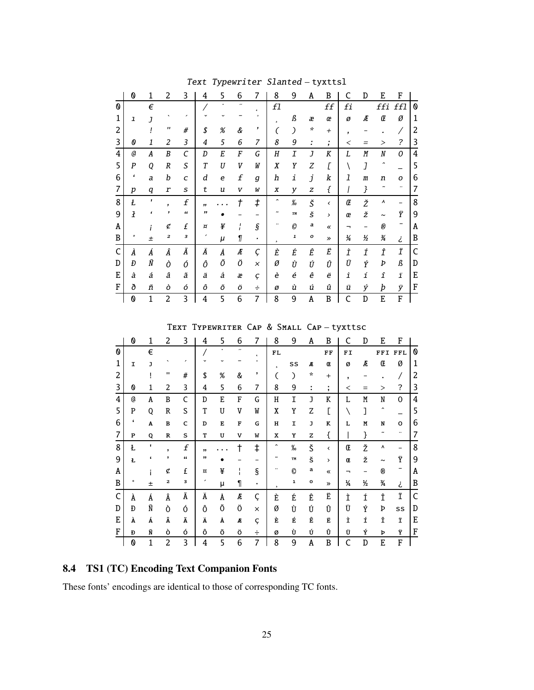|   | 0              | 1              | 2                  | 3 | 4  | 5    | 6                        | 7          | 8                     | 9               | Α                    | B                                     | C              | D | E          | F   |   |
|---|----------------|----------------|--------------------|---|----|------|--------------------------|------------|-----------------------|-----------------|----------------------|---------------------------------------|----------------|---|------------|-----|---|
| 0 |                | €              |                    |   |    |      | $\overline{\phantom{a}}$ | $\epsilon$ | f1                    |                 |                      | ff                                    | fi             |   | ffi        | ffl | 0 |
| 1 | ı              | $\overline{1}$ |                    |   |    |      |                          |            | s.                    | ß               | æ                    | œ                                     | ø              | Æ | Œ          | Ø   | 1 |
| 2 |                |                | $\pmb{\mathsf{H}}$ | # | \$ | $\%$ | &                        | ,          |                       | $\mathcal{C}$   | $\boldsymbol{\star}$ | $^{+}$                                | $\overline{ }$ |   |            |     | 2 |
| 3 | 0              | 1              | 2                  | 3 | 4  | 5    | 6                        | 7          | 8                     | 9               | I                    | $\bullet$<br>$\overline{\phantom{a}}$ | <              |   | $\rm{>}$   | ?   | 3 |
| 4 | a              | A              | B                  | C | D  | E    | F                        | G          | Η                     | I               | J                    | K                                     | L              | M | N          | 0   | 4 |
| 5 | P              | Q              | R                  | S | T  | U    | V                        | W          | X                     | Υ               | Ζ                    | Γ                                     |                | J | ^          |     | 5 |
| 6 | "              | a              | b                  | C | d  | e    | f                        | g          | h                     | i               | j                    | k                                     | 1              | m | n          | O   | 6 |
| 7 | p              | q              | r                  | S | t  | u    | V                        | W          | x                     | y               | Z                    | {                                     |                | } |            |     | 7 |
| 8 | Ł              | ,              | ,                  | f | ,, |      |                          | ŧ          | ^                     | $\frac{\%}{\%}$ | Š                    | $\overline{\phantom{0}}$              | Œ              | Ž | ٨          |     | 8 |
| 9 | $\overline{1}$ | $\epsilon$     | ,                  | " | "  |      |                          |            | $\tilde{\phantom{a}}$ | TM              | š                    | >                                     | œ              | ž | $\tilde{}$ | Ϋ   | 9 |
| Α |                |                | ¢                  | £ | ¤  | ¥    |                          | $\S$       |                       | $\mathcal{O}$   | a                    | «                                     |                |   | ®          |     | Α |
| B | $\circ$        | $\pm$          | 2                  | з |    | μ    | 1                        | ٠          | ٠                     | ı               | o                    | $\gg$                                 | $\frac{1}{4}$  | ½ | ¾          | ż   | B |
| C | À              | Á              | Â                  | Ã | Ä  | Å    | Æ                        | Ç          | È                     | É               | Ê                    | Ë                                     | Ì              | Í | Î          | Ϊ   | C |
| D | Đ              | Ñ              | Ò                  | Ó | Ô  | Õ    | Ö                        | $\times$   | Ø                     | Ù               | Ú                    | Û                                     | Ü              | Ý | Þ          | ß   | D |
| E | à              | á              | â                  | ã | ä  | å    | æ                        | Ç          | è                     | é               | ê                    | ë                                     | ì              | í | î          | ï   | E |
| F | ð              | ñ              | ò                  | ó | ô  | Õ    | Ö                        | ÷          | Ø                     | ù               | ú                    | û                                     | ü              | ý | þ          | ÿ   | F |
|   | 0              | $\overline{1}$ | 2                  | 3 | 4  | 5    | 6                        | 7          | 8                     | 9               | Α                    | B                                     |                | D | E          | F   |   |

Text Typewriter Slanted-tyxttsl

TEXT TYPEWRITER CAP & SMALL CAP-tyxttsc

|   | 0         | 1            | 2              | 3 | 4  | 5 | 6                        | 7          | 8                   | 9    | A             | B                   | C                        | D   | E                     | F            |   |
|---|-----------|--------------|----------------|---|----|---|--------------------------|------------|---------------------|------|---------------|---------------------|--------------------------|-----|-----------------------|--------------|---|
| 0 |           | €            |                |   |    | ٠ | $\overline{\phantom{a}}$ | $\epsilon$ | FL                  |      |               | FF                  | FI                       |     | FFI                   | FFL          | 0 |
| 1 | I         | J            |                |   |    |   |                          | $\circ$    | $\overline{ }$      | SS   | Æ             | Œ                   | Ø                        | Æ   | Œ                     | Ø            | 1 |
| 2 |           |              | п              | # | \$ | % | &                        | ,          | C                   | €    | $\mathcal{R}$ | $^{+}$              | $\overline{\phantom{a}}$ |     |                       |              | 2 |
| 3 | 0         | 1            | 2              | 3 | 4  | 5 | 6                        | 7          | 8                   | 9    | ÷             | ٠<br>$\overline{ }$ | $\,<\,$                  | $=$ | $\rm{>}$              | ?            | 3 |
| 4 | @         | A            | B              | C | D  | E | F                        | G          | Η                   | Ι    | J             | K                   | L                        | M   | N                     | 0            | 4 |
| 5 | P         | Q            | R              | S | T  | U | V                        | W          | X                   | Y    | Z             |                     |                          | l   | $\hat{\phantom{a}}$   |              | 5 |
| 6 | 4         | A            | $\, {\bf B}$   | c | D  | E | F                        | G          | н                   | I    | J             | к                   | L                        | M   | N                     | o            | 6 |
| 7 | ${\bf P}$ | Q            | ${\bf R}$      | S | T  | U | v                        | W          | x                   | Y    | z             | {                   |                          | }   | ∼                     | $\cdot\cdot$ | 7 |
| 8 | Ł         | $\mathbf{I}$ | ,              | f | ,, |   |                          | ŧ          | $\hat{\phantom{a}}$ | $\%$ | Š             | ≺                   | Œ                        | Ž   | ٨                     |              | 8 |
| 9 | Ł         | ،            | ,              | " | "  |   |                          |            | $\tilde{}$          | TM   | š             | >                   | Œ                        | ž   | $\tilde{\phantom{a}}$ | Ÿ            | 9 |
| A |           |              | ¢              | £ | ¤  | ¥ |                          | §          |                     | O    | а             | 《                   | ┑                        | -   | ®                     | -            | Α |
| B | ۰         | 土            | $\mathbf{z}$   | з | ,  | μ | 1                        | ٠          | $\mathbf s$         | ı    | o             | $\rightarrow$       | $\frac{1}{4}$            | ½   | 3⁄4                   | خ            | B |
| C | À         | Á            | Â              | Ã | Ä  | Å | Æ                        | Ç          | È                   | É    | Ê             | Ë                   | Ì                        | Í   | Î                     | Ϊ            | C |
| D | Ð         | Ñ            | Ò              | Ó | Ô  | Õ | Ö                        | $\times$   | Ø                   | Ù    | Ú             | Û                   | Ü                        | Ý   | Þ                     | SS           | D |
| E | À         | Á            | Â              | Ã | Ä  | Å | Æ                        | Ç          | È                   | É    | Ê             | Ë                   | Ì                        | Í   | Î                     | Ϊ            | E |
| F | Đ         | Ñ            | ò              | ó | ô  | Õ | Ö                        | ÷          | Ø                   | Ù    | Ú             | Û                   | Ü                        | Ý   | Þ                     | Ϋ            | F |
|   | 0         | $\mathbf{1}$ | $\overline{c}$ | 3 | 4  | 5 | 6                        | 7          | 8                   | 9    | A             | B                   | C                        | D   | E                     | F            |   |

# 8.4 TS1 (TC) Encoding Text Companion Fonts

These fonts' encodings are identical to those of corresponding TC fonts.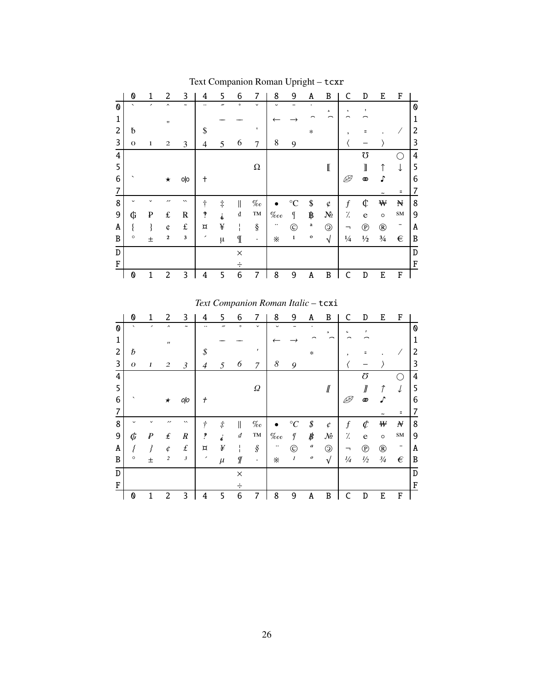|                | 0                        | 1 | 2                   | 3                     | 4                    | 5          | 6           | 7            | 8           | 9               | Α            | B              | C                | D              | E             | F          |   |
|----------------|--------------------------|---|---------------------|-----------------------|----------------------|------------|-------------|--------------|-------------|-----------------|--------------|----------------|------------------|----------------|---------------|------------|---|
| 0              | $\overline{\phantom{0}}$ | ╭ | $\hat{\phantom{a}}$ | $\tilde{\phantom{a}}$ | $\ddot{\phantom{0}}$ | "          | $\circ$     | $\checkmark$ | ٮ           |                 |              | ь              | $\mathbf c$      | ,              |               |            | 0 |
| 1              |                          |   | $^{\dagger}$        |                       |                      |            |             |              |             |                 |              |                |                  |                |               |            | 1 |
| $\overline{c}$ | ь                        |   |                     |                       | \$                   |            |             | ٠            |             |                 | $\ast$       |                | ٠                | Ξ              |               |            | 2 |
| 3              | $\mathbf{O}$             | 1 | $\mathbf{2}$        | 3                     | 4                    | 5          | 6           | 7            | 8           | 9               |              |                |                  |                |               |            | 3 |
| 4              |                          |   |                     |                       |                      |            |             |              |             |                 |              |                |                  | $\Omega$       |               |            | 4 |
| 5              |                          |   |                     |                       |                      |            |             | $\Omega$     |             |                 |              | I              |                  | 1              | ↑             | ↓          | 5 |
| 6              |                          |   | ★                   | olo                   | $^\mathrm{+}$        |            |             |              |             |                 |              |                | Þ                | ൕ              | n             |            | 6 |
| 7              |                          |   |                     |                       |                      |            |             |              |             |                 |              |                |                  |                |               | Ξ          | 7 |
| 8              |                          |   | ,,                  | $\checkmark$          | ÷                    | $\ddagger$ | II          | $\%o$        |             | $\rm ^{\circ}C$ | \$           | ¢              | $\boldsymbol{f}$ | ¢              | ₩             | Ħ          | 8 |
| 9              | ¢                        | ₽ | $\pounds$           | $\bf R$               | P                    | d,         | ₫           | TM           | $\%{}_{oo}$ | I               | ₿            | $N_2$          | γ.               | e              | $\circ$       | ${\bf SM}$ | 9 |
| A              |                          |   | ¢                   | $\pounds$             | ¤                    | ¥          |             | ş            |             | $\circledcirc$  | $\bf a$      | $\circledcirc$ |                  | $^{\circledR}$ | $^\circledR$  | -          | Α |
| B              | $\circ$                  | 士 | $\mathbf 2$         | 3                     | $\!\!$               | $\mu$      | $\mathbb I$ | $\cdot$      | ፠           | $\mathbf 1$     | $\mathbf{o}$ | $\sqrt{2}$     | $\frac{1}{4}$    | $\frac{1}{2}$  | $\frac{3}{4}$ | €          | B |
| D              |                          |   |                     |                       |                      |            | $\times$    |              |             |                 |              |                |                  |                |               |            | D |
| F              |                          |   |                     |                       |                      |            |             |              |             |                 |              |                |                  |                |               |            | F |
|                | 0                        | 1 | 2                   | 3                     | 4                    | 5          | 6           | 7            | 8           | 9               | Α            | B              | C                | D              | E             | F          |   |

Text Companion Roman Upright – tcxr

*Text Companion Roman Italic* – tcxi

|                | 0                        | 1 | 2                   | 3                     | 4                        | 5                 | 6        | 7                   | 8                | 9             | A                         | B                          | C                | D              | E              | F          |   |
|----------------|--------------------------|---|---------------------|-----------------------|--------------------------|-------------------|----------|---------------------|------------------|---------------|---------------------------|----------------------------|------------------|----------------|----------------|------------|---|
| 0              | $\overline{\phantom{0}}$ | , | $\hat{\phantom{a}}$ | $\tilde{\phantom{a}}$ |                          | $^{\prime\prime}$ | $\circ$  | $\checkmark$        |                  |               |                           | $\mathfrak s$              | c                |                |                |            | 0 |
| 1              |                          |   | $^{\prime\prime}$   |                       |                          |                   |          |                     |                  |               |                           |                            |                  |                |                |            | 1 |
| $\overline{c}$ | Ь                        |   |                     |                       | \$                       |                   |          | ,                   |                  |               | $\ast$                    |                            | ,                |                |                |            | 2 |
| 3              | $\boldsymbol{0}$         | 1 | $\mathfrak{2}$      | $\mathfrak{Z}$        | 4                        | 5                 | 6        | 7                   | $\boldsymbol{8}$ | 9             |                           |                            |                  |                |                |            | 3 |
| 4              |                          |   |                     |                       |                          |                   |          |                     |                  |               |                           |                            |                  | U              |                |            | 4 |
| 5              |                          |   |                     |                       |                          |                   |          | $\varOmega$         |                  |               |                           | $I\!\!I$                   |                  | ∥              | 1              |            | 5 |
| 6              |                          |   | $\star$             | oļo                   | $^\mathrm{+}$            |                   |          |                     |                  |               |                           |                            |                  | ത              | n              |            | 6 |
| 7              |                          |   |                     |                       |                          |                   |          |                     |                  |               |                           |                            |                  |                |                | Ξ          | 7 |
| 8              |                          |   | ,,                  | $\lambda$             | ÷                        | $\dot{\tau}$      | II       | $\%o$               |                  | $^\circ C$    | $\rlap{\hspace{.08em}/}x$ | ¢                          | $\boldsymbol{f}$ | ¢              | ₩              | N          | 8 |
| 9              | Сĩ                       | ₽ | $\pmb{\mathit{f}}$  | $\boldsymbol{R}$      | ?                        |                   | ₫        | TM                  | $\%$ co          | q             | ₿                         | $\mathcal{N}^{\mathsf{c}}$ | %                | e              | $\circ$        | SM         | 9 |
| Α              |                          |   | ¢                   | $\pounds$             | $\overline{\mathtt{u}}$  | ¥                 |          | $\hat{\mathcal{S}}$ |                  | $^\copyright$ | $\boldsymbol{a}$          | $\circledcirc$             | ┑                | $^{\circledR}$ | $^{\circledR}$ | -          | Α |
| B              | $\circ$                  | 士 | $\boldsymbol{2}$    | $\mathfrak{Z}$        | $\overline{\phantom{a}}$ | $\mu$             | Г        | $\bullet$           | ፠                | $\cal I$      | $\pmb{o}$                 | $\sqrt{ }$                 | $\frac{l}{4}$    | $\frac{1}{2}$  | $\frac{3}{4}$  | $\epsilon$ | B |
| D              |                          |   |                     |                       |                          |                   | $\times$ |                     |                  |               |                           |                            |                  |                |                |            | D |
| F              |                          |   |                     |                       |                          |                   | ÷        |                     |                  |               |                           |                            |                  |                |                |            | F |
|                | 0                        |   | 2                   | 3                     | 4                        | 5                 | 6        | 7                   | 8                | 9             | Α                         | B                          |                  | D              | E              | F          |   |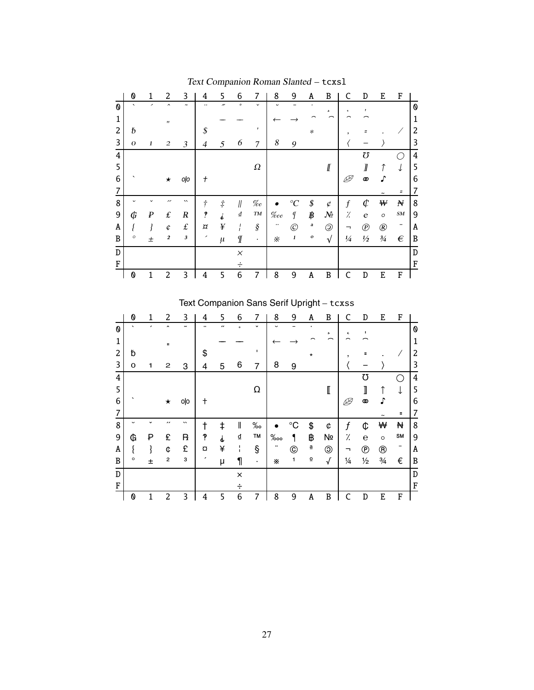|                | 0                        | 1                        | 2                 | 3                     | 4             | 5                        | 6                                  | 7                   | 8                | 9                | A         | B                                                | C                | D              | E              | F          |   |
|----------------|--------------------------|--------------------------|-------------------|-----------------------|---------------|--------------------------|------------------------------------|---------------------|------------------|------------------|-----------|--------------------------------------------------|------------------|----------------|----------------|------------|---|
| 0              | $\overline{\phantom{0}}$ | $\overline{\phantom{a}}$ | $\lambda$         | $\tilde{\phantom{a}}$ |               | $\overline{\phantom{a}}$ | $\circ$                            | $\checkmark$        | $\checkmark$     |                  | ٠         | ه                                                | $\pmb{\epsilon}$ |                |                |            | 0 |
| 1              |                          |                          | $^{\prime\prime}$ |                       |               |                          |                                    |                     |                  |                  |           |                                                  |                  |                |                |            | 1 |
| $\overline{2}$ | ь                        |                          |                   |                       | \$            |                          |                                    | $\mathbf{r}$        |                  |                  | $\ast$    |                                                  | ,                | Ξ              |                |            | 2 |
| 3              | $\boldsymbol{O}$         | 1                        | 2                 | 3                     | 4             | 5                        | 6                                  | 7                   | $\boldsymbol{8}$ | 9                |           |                                                  |                  |                |                |            | 3 |
| 4              |                          |                          |                   |                       |               |                          |                                    |                     |                  |                  |           |                                                  |                  | Ω              |                |            | 4 |
| 5              |                          |                          |                   |                       |               |                          |                                    | $\varOmega$         |                  |                  |           | $I\!\!I$                                         |                  | I              | 1              |            | 5 |
| 6              |                          |                          | $\star$           | oļo                   | $^\mathrm{+}$ |                          |                                    |                     |                  |                  |           |                                                  |                  | ൕ              | n              |            | 6 |
| 7              |                          |                          |                   |                       |               |                          |                                    |                     |                  |                  |           |                                                  |                  |                |                | Ξ          | 7 |
| 8              | $\overline{ }$           |                          | "                 | $\checkmark$          | $\dot{\tau}$  | $\ddagger$               | $\mathcal{U}% _{0}\left( t\right)$ | $\%o$               |                  | ${}^{\circ}C$    | \$        | ¢                                                | $\boldsymbol{f}$ | ¢              | ₩              | N          | 8 |
| 9              | ¢                        | $\boldsymbol{P}$         | $\pounds$         | $\boldsymbol{R}$      | P             | j,                       | ₫                                  | $\boldsymbol{T\!M}$ | $\%$ co          | I                | ₿         | $\mathcal{N}\!\!\mathit{\underline{\mathit{o}}}$ | %                | e              | $\circ$        | ${\it SM}$ | 9 |
| Α              |                          |                          | ¢                 | $\pounds$             | ¤             | ¥                        | ı                                  | ş                   |                  | $\circledcirc$   | a         | $\circledcirc$                                   | ⇁                | $^{\circledR}$ | $^{\circledR}$ | -          | Α |
| B              | $\circ$                  | $\pm$                    | $\boldsymbol{2}$  | $\mathbf{3}$          | ╭             | μ                        | Г                                  | $\bullet$           | Ÿ.               | $\boldsymbol{1}$ | $\pmb{o}$ | $\sqrt{ }$                                       | $\frac{1}{4}$    | $\frac{1}{2}$  | $\frac{3}{4}$  | €          | B |
| D              |                          |                          |                   |                       |               |                          | $\times$                           |                     |                  |                  |           |                                                  |                  |                |                |            | D |
| F              |                          |                          |                   |                       |               |                          |                                    |                     |                  |                  |           |                                                  |                  |                |                |            | F |
|                | 0                        |                          | 2                 | 3                     | 4             | 5                        | 6                                  | 7                   | 8                | 9                | A         | B                                                |                  | D              | E              | F          |   |

Text Companion Roman Slanted – tcxsl

Text Companion Sans Serif Upright – tcxss

|              | 0       | 1 | 2                       | 3           | 4             | 5                        | 6        | 7    | 8        | 9              | Α                        | B              | C             | D             | E              | F  |   |
|--------------|---------|---|-------------------------|-------------|---------------|--------------------------|----------|------|----------|----------------|--------------------------|----------------|---------------|---------------|----------------|----|---|
| 0            | $\cdot$ | ٠ | $\overline{ }$          | $\tilde{ }$ | ٠.            | $\overline{\phantom{a}}$ | $\circ$  | v    | J        |                |                          | 5              | c             | п             |                |    | 0 |
| $\mathbf{1}$ |         |   | $\mathbf{H}$            |             |               |                          |          |      |          |                |                          |                |               |               |                |    | 1 |
| 2            | đ       |   |                         |             | \$            |                          |          | л.   |          |                | $\star$                  |                | ,             |               |                |    | 2 |
| 3            | o       | 1 | 2                       | 3           | 4             | 5                        | 6        | 7    | 8        | 9              |                          |                |               |               |                |    | 3 |
| 4            |         |   |                         |             |               |                          |          |      |          |                |                          |                |               | 75            |                |    | 4 |
| 5            |         |   |                         |             |               |                          |          | Ω    |          |                |                          | I              |               | I             |                |    | 5 |
| 6            |         |   | $\star$                 | olo         | $^\mathrm{+}$ |                          |          |      |          |                |                          |                |               | ൕ             | r              |    | 6 |
| 7            |         |   |                         |             |               |                          |          |      |          |                |                          |                |               |               |                | Ξ  | 7 |
| 8            | U       |   | ,,                      | $\cdot$     | t             | $\ddagger$               | II       | $\%$ |          | $^{\circ}C$    | \$                       | ¢              | f             | ¢             | ₩              | ₩  | 8 |
| 9            | Ġ       | ₽ | £                       | R           | P             | j.                       | ₫        | TM   | %        |                | ₿                        | N <sub>o</sub> | ٪             | $\mathbf e$   | $\circ$        | SM | 9 |
| A            |         |   | ¢                       | £           | a             | ¥                        |          | Ş    |          | $^{\circledR}$ | $\underline{\mathtt{a}}$ | $^{\circledR}$ | ┑             | $^\copyright$ | $^{\circledR}$ | -  | Α |
| B            | $\circ$ | 土 | $\overline{\mathbf{c}}$ | 3           | ,             | μ                        | 1        | ٠    | $\times$ | 1              | $\underline{\mathtt{o}}$ | $\sqrt{ }$     | $\frac{1}{4}$ | $\frac{1}{2}$ | $\frac{3}{4}$  | €  | B |
| D            |         |   |                         |             |               |                          | $\times$ |      |          |                |                          |                |               |               |                |    | D |
| F            |         |   |                         |             |               |                          | ÷        |      |          |                |                          |                |               |               |                |    | F |
|              |         |   |                         |             |               |                          |          |      |          |                |                          |                |               |               |                |    |   |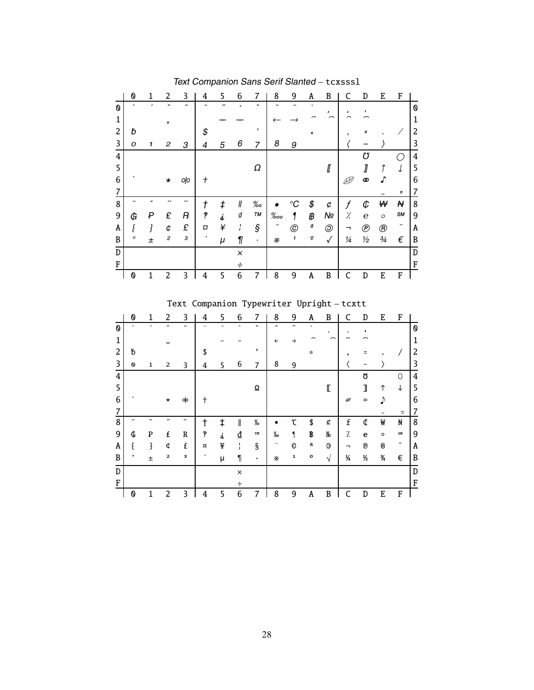|   | 0       | 1 | 2                   | 3                     | 4             | 5                        | 6        | 7            | 8           | 9                   | A                          | B              | C                | D                | E              | F          |   |
|---|---------|---|---------------------|-----------------------|---------------|--------------------------|----------|--------------|-------------|---------------------|----------------------------|----------------|------------------|------------------|----------------|------------|---|
| 0 | $\cdot$ |   | $\hat{\phantom{a}}$ | $\tilde{\phantom{a}}$ |               | $\overline{\phantom{a}}$ | $\circ$  | $\check{ }$  | $\check{ }$ |                     | ٠                          | ه              | $\pmb{\epsilon}$ | ı                |                |            | 0 |
| 1 |         |   | $\mathbf{u}$        |                       |               |                          |          |              |             |                     |                            |                |                  |                  |                |            | 1 |
| 2 | Ď       |   |                     |                       | \$            |                          |          | $\mathbf{I}$ |             |                     | $\star$                    |                | ,                |                  |                |            | 2 |
| 3 | O       | 1 | 2                   | 3                     | 4             | 5                        | 6        | 7            | 8           | 9                   |                            |                |                  |                  |                |            | 3 |
| 4 |         |   |                     |                       |               |                          |          |              |             |                     |                            |                |                  | Ω                |                |            | 4 |
| 5 |         |   |                     |                       |               |                          |          | Ω            |             |                     |                            | <i>∐</i>       |                  | ∏                | 1              | ↓          | 5 |
| 6 |         |   | $\star$             | oļo                   | $\mathcal{+}$ |                          |          |              |             |                     |                            |                |                  | 0                | r              |            | 6 |
| 7 |         |   |                     |                       |               |                          |          |              |             |                     |                            |                |                  |                  |                | Ξ          | 7 |
| 8 | J       |   | ,,                  | $\cdot$               | t             | ŧ                        | ∥        | ‰            |             | °C                  | \$                         | ¢              | f                | ¢                | ₩              | ₩          | 8 |
| 9 | G       | ₽ | £                   | Ŗ                     | P             | j                        | ₫        | TM           | $\%$ oo     |                     | ₿                          | Nº             | %                | $\boldsymbol{e}$ | $\circ$        | SM         | 9 |
| A |         |   | ¢                   | £                     | O             | ¥                        | ı        | ş            |             | $^{\copyright}$     | $\underline{\mathfrak{g}}$ | $\circledcirc$ | ⇁                | $^{\circledR}$   | $^{\circledR}$ | -          | A |
| B | ο       | 土 | $\overline{c}$      | 3                     | ,             | μ                        | 1        | $\bullet$    | ×           | $\pmb{\mathcal{I}}$ | $\underline{\mathsf{o}}$   | $\sqrt{}$      | $\frac{1}{4}$    | $\frac{1}{2}$    | $\frac{3}{4}$  | $\epsilon$ | B |
| D |         |   |                     |                       |               |                          | $\times$ |              |             |                     |                            |                |                  |                  |                |            | D |
| F |         |   |                     |                       |               |                          | ÷        |              |             |                     |                            |                |                  |                  |                |            | F |
|   | 0       | 1 | 2                   | 3                     | 4             | 5                        | 6        | 7            | 8           | 9                   | A                          | B              |                  | D                | E              | F          |   |
|   |         |   |                     |                       |               |                          |          |              |             |                     |                            |                |                  |                  |                |            |   |

Text Companion Sans Serif Slanted – tcxsssl

Text Companion Typewriter Upright – tcxtt

|                | 0           | 1           | 2                   | 3                     | 4             | 5                        | 6        | 7           | 8            | 9 | Α            | B            | C                | D             | E            | F                        |   |
|----------------|-------------|-------------|---------------------|-----------------------|---------------|--------------------------|----------|-------------|--------------|---|--------------|--------------|------------------|---------------|--------------|--------------------------|---|
| O              | $\cdot$     | ,           | $\hat{\phantom{a}}$ | $\tilde{\phantom{a}}$ |               | $\overline{\phantom{a}}$ | $\circ$  | $\check{ }$ | J            |   | $\bullet$    | $\mathbf s$  | $\pmb{\epsilon}$ |               |              |                          | 0 |
| $\mathbf{1}$   |             |             | $\mathbf{H}$        |                       |               |                          |          |             | $\leftarrow$ | → |              |              |                  |               |              |                          | 1 |
| $\overline{c}$ | Ҍ           |             |                     |                       | \$            |                          |          | ٠           |              |   | $\mathbf{x}$ |              | ,                |               |              |                          | 2 |
| 3              | Ø           | $\mathbf 1$ | 2                   | 3                     | 4             | 5                        | 6        | 7           | 8            | 9 |              |              |                  |               |              |                          | 3 |
| 4              |             |             |                     |                       |               |                          |          |             |              |   |              |              |                  | ΩS            |              | 0                        | 4 |
| 5              |             |             |                     |                       |               |                          |          | Ω           |              |   |              | $\mathbb{I}$ |                  | ┒             | ↑            | ↓                        | 5 |
| 6              | ۰           |             | $\star$             | olo                   | t             |                          |          |             |              |   |              |              | Ø                | $^\circledR$  | Ŋ            |                          | 6 |
| 7              |             |             |                     |                       |               |                          |          |             |              |   |              |              |                  |               |              | Ξ                        | 7 |
| 8              | $\check{ }$ | $\check{ }$ | ,,                  | $\tilde{\phantom{a}}$ | t             | $\ddagger$               | I        | $\%$        |              | C | \$           | ¢            | $\mathbf f$      | ¢             | ₩            | Ħ                        | 8 |
| 9              | ¢           | ₽           | £                   | R                     | P             | d.                       | ₫        | TM          | $\%$         |   | ₿            | Nº           | Ϊ.               | e             | $\circ$      | SM                       | 9 |
| Α              | ٤           | 3           | ¢                   | £                     | ¤             | ¥                        | ı        | $\S$        |              | O | a            | $\Theta$     | ┑                | ®             | $^\circledR$ | $\overline{\phantom{m}}$ | Α |
| B              | $\bullet$   | 土           | $\mathbf{z}$        | з                     | $\pmb{\cdot}$ | μ                        | 1        | ٠           | ×            | ı | $\mathbf{o}$ | V            | ¼                | $\frac{1}{2}$ | 3⁄4          | €                        | B |
| D              |             |             |                     |                       |               |                          | $\times$ |             |              |   |              |              |                  |               |              |                          | D |
| F              |             |             |                     |                       |               |                          | ÷        |             |              |   |              |              |                  |               |              |                          | F |
|                | 0           | 1           | 2                   | 3                     | 4             | 5                        | 6        | 7           | 8            | 9 | Α            | B            |                  | D             | E            | F                        |   |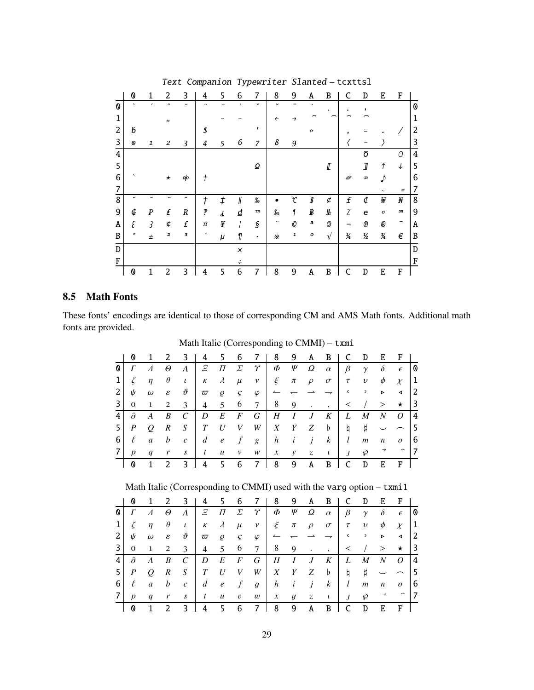|                           | 0       | 1           | 2                         | 3                     | 4                        | 5                        | 6             | 7                                  | 8                                  | 9        | A             | B           | C             | D                       | E              | F            |                           |
|---------------------------|---------|-------------|---------------------------|-----------------------|--------------------------|--------------------------|---------------|------------------------------------|------------------------------------|----------|---------------|-------------|---------------|-------------------------|----------------|--------------|---------------------------|
| $\boldsymbol{\mathsf{0}}$ | $\cdot$ | ,           | $\hat{\phantom{a}}$       | $\tilde{\phantom{a}}$ |                          | $\overline{\phantom{a}}$ | $\circ$       | $\check{ }$                        | U                                  |          | ٠             | $\mathbf s$ | $\epsilon$    |                         |                |              | $\boldsymbol{\mathsf{0}}$ |
| 1                         |         |             | $\boldsymbol{\mathsf{H}}$ |                       |                          |                          |               |                                    | $\leftarrow$                       | →        |               |             |               |                         |                |              | 1                         |
| 2                         | đ       |             |                           |                       | \$                       |                          |               | T                                  |                                    |          | $\mathcal{R}$ |             | ,             |                         |                |              | 2                         |
| 3                         | O       | 1           | 2                         | 3                     | 4                        | 5                        | 6             | $\overline{z}$                     | 8                                  | 9        |               |             |               |                         |                |              | 3                         |
| 4                         |         |             |                           |                       |                          |                          |               |                                    |                                    |          |               |             |               | Ō                       |                | 0            | 4                         |
| 5                         |         |             |                           |                       |                          |                          |               | Ω                                  |                                    |          |               | ℾ           |               | J                       | $\uparrow$     | $\downarrow$ | 5                         |
| 6                         |         |             | $\star$                   | oļo                   | $^{+}$                   |                          |               |                                    |                                    |          |               |             | Ø             | œ                       | <sup>1</sup>   |              | 6                         |
| 7                         |         |             |                           |                       |                          |                          |               |                                    |                                    |          |               |             |               |                         |                | Ξ            |                           |
| 8                         |         | $\check{ }$ | $\overline{\phantom{a}}$  | $\cdot$               | t                        | ŧ                        | $\mathcal I$  | $\frac{\partial V}{\partial \phi}$ |                                    | r        | \$            | ¢           | f             | ¢                       | ₩              | N            | 8                         |
| 9                         | Ġ       | ₽           | £                         | $\boldsymbol{R}$      | P                        | j                        | ₫             | TM                                 | $\frac{\partial}{\partial \omega}$ |          | ₿             | No          | Ϊ             | e                       | $\circ$        | SM           | 9                         |
| A                         | E       | ₹           | ¢                         | £                     | ¤                        | ¥                        | $\frac{1}{1}$ | $\boldsymbol{\S}$                  |                                    | $\cal O$ | a             | 0           | ⇁             | $\bigcirc\!\!\!\!/\,\,$ | $^{\circledR}$ | -            | Α                         |
| B                         | $\circ$ | $\pm$       | $\overline{\mathbf{z}}$   | з                     | $\overline{\phantom{a}}$ | μ                        | 1             | ٠                                  | $\boldsymbol{\times}$              | 1        | о             | $\sqrt{ }$  | $\frac{1}{4}$ | $\frac{1}{2}$           | $\frac{3}{4}$  | $\epsilon$   | B                         |
| D                         |         |             |                           |                       |                          |                          | $\times$      |                                    |                                    |          |               |             |               |                         |                |              | D                         |
| F                         |         |             |                           |                       |                          |                          | ÷             |                                    |                                    |          |               |             |               |                         |                |              | F                         |
|                           | 0       | 1           | 2                         | 3                     | 4                        | 5                        | 6             | 7                                  | 8                                  | 9        | Α             | B           | C             | D                       | E              | F            |                           |

Text Companion Typewriter Slanted – tcxttsl

#### **8.5 Math Fonts**

These fonts' encodings are identical to those of corresponding CM and AMS Math fonts. Additional math fonts are provided.

|                         | Ø                | 1        | 2                | 3                | 4               | 5.               | 6                |                 | 8                | 9                | A              | B             | C               | D                      | E.               | F                       |                |
|-------------------------|------------------|----------|------------------|------------------|-----------------|------------------|------------------|-----------------|------------------|------------------|----------------|---------------|-----------------|------------------------|------------------|-------------------------|----------------|
| 0 l                     | Г                | Δ        | $\Theta$         | $\Lambda$        | $E_{\parallel}$ | $\varPi$         | $\sum$           | $\gamma$        | Φ                | Ψ                | Ω              | $\alpha$      | $\beta$         | $\gamma$               | $\delta$         | $\epsilon$              | 10             |
| $1\vert$                | $\zeta$          | $\eta$   | $\theta$         | $\iota$          | $\kappa$        | $\lambda$        | $\mu$            | $\mathcal V$    | $\xi$            | $\pi$            | $\rho$         | $\sigma$      | $\tau$          | $\upsilon$             | $\phi$           | $\chi$                  | 1              |
| 2                       | ψ                | $\omega$ | $\varepsilon$    | $\vartheta$      | $\varpi$        | $\varrho$        | $\varsigma$      | $\varphi$       | $\leftharpoonup$ |                  |                | $\rightarrow$ | $\mathsf{C}$    | $\mathord{\mathsf{P}}$ | $\triangleright$ | $\blacktriangleleft$    | -2             |
| $\overline{\mathsf{3}}$ | 0                | 1        | 2                | 3                | $\overline{4}$  | 5                | 6                | $7\phantom{.0}$ | 8                | 9                | $\bullet$      | $\cdot$       | $\lt$           |                        | >                | $\star$                 | l 3            |
| 4                       | $\partial$       | A        | B                | $\mathcal{C}$    | D               | E                | $\boldsymbol{F}$ | G               | H                | $\boldsymbol{I}$ | $\overline{J}$ | K             | L               | $\boldsymbol{M}$       | N                | $\overline{O}$          | l 4            |
| 5                       | $\boldsymbol{P}$ | Q        | $\boldsymbol{R}$ | $S_{\cdot}$      | T               | U                | V                | W               | Χ                | Y                | Ζ              | $\mathbf{b}$  | h               | Ħ                      |                  |                         | l 5            |
| 6                       | ℓ                | a        | b                | $\mathcal{C}$    | d               | $\mathbf{e}$     | f                | g               | h                | i                | j              | $\mathbf{k}$  | $l_{\parallel}$ | m                      | $\boldsymbol{n}$ | $\mathcal{O}$           | -6             |
| 7                       | $\boldsymbol{p}$ | q        | r                | $\boldsymbol{S}$ | t               | $\boldsymbol{u}$ | v                | w               | $\boldsymbol{x}$ | $\mathcal{Y}$    | $\mathcal{Z}$  | $\iota$       | $\overline{J}$  | $\wp$                  | $\rightarrow$    | $\widehat{\phantom{m}}$ | $\overline{7}$ |
|                         | 0                | 1        | 2                | 3                | 4               | 5.               | 6                | 7               | 8                | 9                | A              | B             |                 | D                      | F.               | F                       |                |

Math Italic (Corresponding to CMMI) – txmi

## Math Italic (Corresponding to CMMI) used with the varg option – txmi1

|                | Ø                | 1                        | 2                          | 3             | 4              | 5.               | 6              |                  | 8                | 9                | A      | B                |                | D                | E.               | F                    |                |
|----------------|------------------|--------------------------|----------------------------|---------------|----------------|------------------|----------------|------------------|------------------|------------------|--------|------------------|----------------|------------------|------------------|----------------------|----------------|
| O              | Г                | $\Lambda$                | Θ                          | $\Lambda$     | Ξ              | П                | $\sum$         | $\gamma$         | Φ                | Ψ                | Ω      | $\alpha$         | $\beta$        | $\gamma$         | $\delta$         | $\epsilon$           | l 0            |
| $1\vert$       | ζ                | $\eta$                   | $\theta$                   | $\iota$       | К              | $\lambda$        | $\mu$          | $\mathcal V$     | $\xi$            | $\pi$            | $\rho$ | $\sigma$         | $\tau$         | $\upsilon$       | $\phi$           | $\chi$               | $\vert$ 1      |
| 2              | ψ                | $\omega$                 | $\boldsymbol{\mathcal{E}}$ | $\vartheta$   | $\varpi$       | $\varrho$        | $\mathcal{S}$  | $\varphi$        |                  |                  |        |                  | $\mathsf{c}$   | $\overline{ }$   | $\triangleright$ | $\blacktriangleleft$ | $\overline{2}$ |
| 3 <sup>1</sup> | 0                | 1                        | 2                          | 3             | 4              | 5 <sup>5</sup>   | 6              | $7\phantom{.0}$  | 8                | 9                | ٠      | $\cdot$          | $\,<\,$        |                  | >                | $\star$              | l 3            |
| 4              | $\partial$       | A                        | B                          | $\mathcal{C}$ | D              | E                | $\overline{F}$ | G                | Η                | Ι                | J      | K                | L              | M                | N                | 0                    | $\overline{4}$ |
| 5              | $\boldsymbol{P}$ | $\overline{\mathcal{O}}$ | $\mathbb{R}$               | S             | T              | U                | V              | W                | X                | Y                | Ζ      | $\mathbf{b}$     | h              | #                |                  |                      | l 5            |
| 6              | ℓ                | $\mathfrak a$            | $\boldsymbol{b}$           | $\mathcal{C}$ | $\overline{d}$ | $\mathbf{e}$     | $\mathcal{f}$  | $\boldsymbol{g}$ | h                | $\dot{i}$        | j      | $\boldsymbol{k}$ | $l_{\rm}$      | $\boldsymbol{m}$ | n                | $\boldsymbol{o}$     | - 6            |
| 7              | n                | q                        | r                          | S             | t              | $\boldsymbol{u}$ | $\upsilon$     | $\boldsymbol{w}$ | $\boldsymbol{x}$ | $\boldsymbol{y}$ | Z.     | $\iota$          | $\overline{I}$ | $\wp$            |                  | $\sim$               | 7              |
|                | 0                |                          | 2                          | 3             | 4              | 5.               | 6              |                  | 8                | 9                | A      | B                |                | D                | F.               | F                    |                |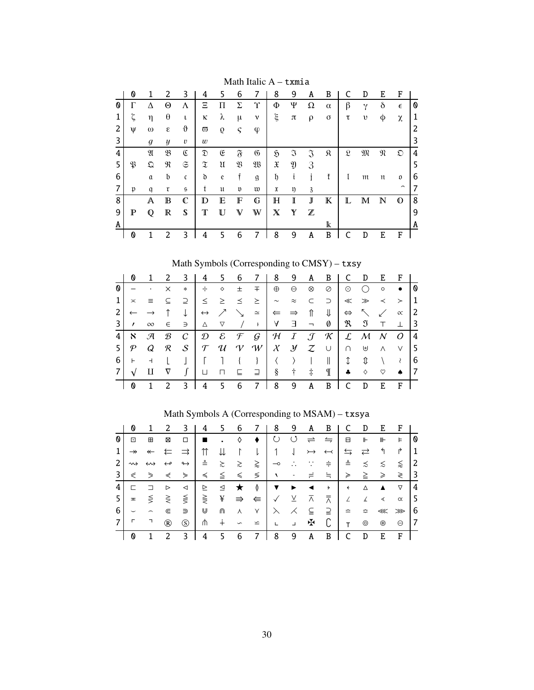|   | 0           |          | 2                       | 3              | 4                                                                                                       | 5 | 6              |                | 8             | 9                                                                                                                                                                                                                                                                                                                                                                                                                                                                 | A              | B        |                      | D           | E           | F                        |   |
|---|-------------|----------|-------------------------|----------------|---------------------------------------------------------------------------------------------------------|---|----------------|----------------|---------------|-------------------------------------------------------------------------------------------------------------------------------------------------------------------------------------------------------------------------------------------------------------------------------------------------------------------------------------------------------------------------------------------------------------------------------------------------------------------|----------------|----------|----------------------|-------------|-------------|--------------------------|---|
| 0 | Γ           | Δ        | Θ                       | Λ              | Ξ                                                                                                       | П | Σ              | Υ              | Φ             | Ψ                                                                                                                                                                                                                                                                                                                                                                                                                                                                 | Ω              | $\alpha$ | β                    | γ           | $\delta$    | $\epsilon$               | 0 |
|   | ζ           | η        | θ                       | ι              | κ                                                                                                       | λ | μ              | $\mathbf v$    | ξ             | π                                                                                                                                                                                                                                                                                                                                                                                                                                                                 | ρ              | $\sigma$ | τ                    | υ           | φ           | χ                        | 1 |
| 2 | v           | $\omega$ | $\boldsymbol{\epsilon}$ | ϑ              | $\varpi$                                                                                                | 9 | $\varsigma$    | φ              |               |                                                                                                                                                                                                                                                                                                                                                                                                                                                                   |                |          |                      |             |             |                          | 2 |
| 3 |             | g        | y                       | v              | $\boldsymbol{w}$                                                                                        |   |                |                |               |                                                                                                                                                                                                                                                                                                                                                                                                                                                                   |                |          |                      |             |             |                          | 3 |
| 4 |             | N        | $\mathfrak{B}$          | $\mathfrak{C}$ | $\mathfrak{D}% _{T}=\mathfrak{D}_{T}\!\left( a,b\right) ,\ \mathfrak{D}_{T}=C_{T}\!\left( a,b\right) ,$ | E | F              | $\mathfrak{G}$ | S             | $\mathfrak{I}% _{A}=\mathfrak{I}_{A}\!\left( a,b\right) ,\ \mathfrak{I}_{A}\!\left( b,b\right) ,\ \mathfrak{I}_{A}\!\left( b,c\right) ,\ \mathfrak{I}_{A}\!\left( b,c\right) ,\ \mathfrak{I}_{A}\!\left( c,c\right) ,\ \mathfrak{I}_{A}\!\left( c,c\right) ,\ \mathfrak{I}_{A}\!\left( c,c\right) ,\ \mathfrak{I}_{A}\!\left( c,c\right) ,\ \mathfrak{I}_{A}\!\left( c,c\right) ,\ \mathfrak{I}_{A}\!\left( c,c\right) ,\ \mathfrak{I}_{A}\!\left( c,c\right) ,\$ | $\mathfrak{I}$ | я        | $\mathfrak{L}% _{F}$ | M           | N           | ධ                        | 4 |
| 5 | B           | Ω        | R                       | $\mathfrak S$  | $\mathfrak x$                                                                                           | u | $\mathfrak{B}$ | W              | X             | Y                                                                                                                                                                                                                                                                                                                                                                                                                                                                 | 3              |          |                      |             |             |                          | 5 |
| 6 |             | $\alpha$ | b                       | $\mathfrak{c}$ | ď                                                                                                       | e |                | $\mathfrak{g}$ | $\mathfrak h$ | t                                                                                                                                                                                                                                                                                                                                                                                                                                                                 | 1              | ť        |                      | m           | π           | O                        | 6 |
| 7 | p           | q        | r                       | $\mathfrak{s}$ | t                                                                                                       | u | $\mathfrak v$  | w              | X             | ŋ                                                                                                                                                                                                                                                                                                                                                                                                                                                                 | 3              |          |                      |             |             | $\overline{\phantom{0}}$ | 7 |
| 8 |             | A        | $\mathbb B$             | $\mathbb C$    | D                                                                                                       | E | F              | G              | $\mathbb H$   | I                                                                                                                                                                                                                                                                                                                                                                                                                                                                 | J              | К        | L                    | $\mathbb M$ | $\mathbb N$ | $\mathbb O$              | 8 |
| 9 | $\mathbb P$ | Q        | $\mathbb R$             | S              | т                                                                                                       | U | V              | W              | $\mathbb X$   | Y                                                                                                                                                                                                                                                                                                                                                                                                                                                                 | Z              |          |                      |             |             |                          | 9 |
| A |             |          |                         |                |                                                                                                         |   |                |                |               |                                                                                                                                                                                                                                                                                                                                                                                                                                                                   |                | k        |                      |             |             |                          | A |
|   | 0           |          | $\overline{2}$          | 3              | 4                                                                                                       | 5 | 6              |                | 8             | 9                                                                                                                                                                                                                                                                                                                                                                                                                                                                 | Α              | B        |                      | D           | F.          | F                        |   |

Math Italic A – txmia

Math Symbols (Corresponding to CMSY) – txsy

|                | Ø            |                 | 2             | - 3            | -4                  |                 |               | 5 6 7 1                                                                                                                           | - 8                      | 9             | A B          |                                                                                                                                                                                                                                                                                                                                                                                                                                     | C              | D                                       | E          | F <sub>1</sub> |                 |
|----------------|--------------|-----------------|---------------|----------------|---------------------|-----------------|---------------|-----------------------------------------------------------------------------------------------------------------------------------|--------------------------|---------------|--------------|-------------------------------------------------------------------------------------------------------------------------------------------------------------------------------------------------------------------------------------------------------------------------------------------------------------------------------------------------------------------------------------------------------------------------------------|----------------|-----------------------------------------|------------|----------------|-----------------|
| O              |              |                 | $\times$      | $*$            | $\div$              | $\Diamond$      | $\pm$         | 王                                                                                                                                 | $\oplus$                 | $\Theta$      | ⊗            | $\oslash$                                                                                                                                                                                                                                                                                                                                                                                                                           | $\odot$        | $\bigcirc$                              | $\circ$    | $\bullet$      | 1 Q             |
|                | $\asymp$     | $\equiv$        | $\subseteq$   |                | ⊇ │ ≤   ≥   ≤   ≥   |                 |               |                                                                                                                                   | $\sim$                   | $\approx$     | $\subset$    | $\supset$                                                                                                                                                                                                                                                                                                                                                                                                                           |                | $\ll$ $\gg$ $\prec$                     |            | $\rightarrow$  | $\vert 1 \vert$ |
| $\overline{2}$ | $\leftarrow$ |                 |               | $\downarrow$   | $\leftrightarrow$ / |                 |               | $\sim$                                                                                                                            | $\Leftarrow \Rightarrow$ |               | $\mathbb{I}$ | ⇓                                                                                                                                                                                                                                                                                                                                                                                                                                   |                | $\Leftrightarrow$ $\searrow$ $\swarrow$ |            | $\alpha$       | l 2             |
| 3              | $\prime$     | $\infty$        | $\in$         | $\Rightarrow$  | $\triangle$         | $\triangledown$ | $\frac{1}{2}$ | $\mathbb{R}^n$                                                                                                                    |                          |               |              | $\begin{array}{cccc} \mathsf{A} & \mathsf{B} & \mathsf{B} & \mathsf{B} & \mathsf{B} & \mathsf{B} & \mathsf{B} & \mathsf{B} & \mathsf{B} & \mathsf{B} & \mathsf{B} & \mathsf{B} & \mathsf{B} & \mathsf{B} & \mathsf{B} & \mathsf{B} & \mathsf{B} & \mathsf{B} & \mathsf{B} & \mathsf{B} & \mathsf{B} & \mathsf{B} & \mathsf{B} & \mathsf{B} & \mathsf{B} & \mathsf{B} & \mathsf{B} & \mathsf{B} & \mathsf{B} & \mathsf{B} & \mathsf$ |                | $\mathfrak{R}$ $\mathfrak{I}$ $\top$    |            | $\perp$        | $\vert$ 3       |
| 4 <sup>1</sup> | $\aleph$     | $\mathcal{A}$   | $\mathcal{B}$ | $\mathcal{C}$  |                     |                 |               | $\mathcal{D} \quad \mathcal{E} \quad \mathcal{F} \quad \mathcal{G} \quad \mathcal{H} \quad I \quad \mathcal{J} \quad \mathcal{K}$ |                          |               |              |                                                                                                                                                                                                                                                                                                                                                                                                                                     |                | $L$ M N                                 |            | $\overline{O}$ | $\vert 4 \vert$ |
| 5              |              | $\mathcal{P}$ Q | $\mathcal{R}$ |                |                     |                 |               | $S \vert T \vert U \vert V \vert W \vert$                                                                                         |                          |               |              | $X$ $Y$ $Z$ $\cup$                                                                                                                                                                                                                                                                                                                                                                                                                  | $\cap$         | Ψ ⊎                                     |            | $\vee$         | $\vert 5 \vert$ |
| 6              | $\vdash$     | $\overline{a}$  |               |                |                     |                 |               | $\{\quad\}$                                                                                                                       |                          | $\rightarrow$ |              | $\mathbb{L}$                                                                                                                                                                                                                                                                                                                                                                                                                        | $\updownarrow$ | ⇕                                       | $\sqrt{2}$ | $\lambda$      | -6              |
| 7 <sup>1</sup> | $\sqrt{ }$   | Ш               | $\nabla$      | $\int$         | ப                   |                 |               | $\Box$ $\Box$ $\Box$ $\Box$ $\Box$                                                                                                | $\S$ †                   |               | $\ddagger$   | $\mathbb{I}$                                                                                                                                                                                                                                                                                                                                                                                                                        | $\bullet$      | ♦                                       | ♡          | $\bullet$      | $\overline{17}$ |
|                | ⋔            | $\mathbf{1}$    | 2             | $\overline{3}$ | 4                   | 5 6             |               | 7                                                                                                                                 | 8                        | 9             | $\mathbf{A}$ | B                                                                                                                                                                                                                                                                                                                                                                                                                                   | C              | D                                       | E          | $\mathbf{F}$   |                 |

|   | Ø                        |                          |                   |                   | 4                | 5.        | 6                     |        | 8                        | 9                    | A                    | B                    |                    | D                  | E   |          |     |
|---|--------------------------|--------------------------|-------------------|-------------------|------------------|-----------|-----------------------|--------|--------------------------|----------------------|----------------------|----------------------|--------------------|--------------------|-----|----------|-----|
| 0 | ⊡                        | ⊞                        | ⊠                 | □                 |                  |           | ♦                     | ٠      | ↻                        | $\circlearrowleft$   | $\rightleftharpoons$ | $\leftrightharpoons$ | в                  | ⊩                  | ⊪   | Þ        | O   |
|   | $\rightarrow$            | $\leftarrow$             | ⇇                 | $\Rightarrow$     |                  |           | $\Gamma$              | l      | $\overline{1}$           | $\perp$              | $\rightarrowtail$    | $\leftarrow$         | $\leftrightarrows$ | $\rightleftarrows$ | ঀ   | ₹        |     |
| 2 | $\rightsquigarrow$       | ↔                        | $\leftrightarrow$ | $\leftrightarrow$ | ≗                | $\gtrsim$ | $\gtrsim$             | ⋧      | $\overline{\phantom{0}}$ | $\ddot{\phantom{0}}$ |                      | ≑                    | ≜                  | ≾                  | ≲   | ⋦        | 2   |
| 3 | ⋞                        | ⋟                        | ⋞                 | ⋟                 | ≼                | $\leq$    | ≤                     | ≶      | $\sqrt{2}$               | ٠                    |                      | ≒                    | ≽                  | $\geq$             | ≥   | ≷        | -3  |
| 4 | ┍                        | ⊐                        | ⊳                 | ◁                 | $\triangleright$ | ⊴         | ★                     | $\phi$ | ▼                        | ▶                    | ◀                    | $\rightarrow$        | $\leftarrow$       | Δ                  | ▲   | ▽        | 4   |
| 5 | $\overline{\mathbf{r}}$  |                          | $\leq$ $\geq$     | $\leq$            | $\geq$           | ¥         | $\Rightarrow$         | ⇚      | $\checkmark$             | $\overline{X}$       | ⊼                    | 듯                    | $\angle$           | ∡                  | ≺   | $\alpha$ | ' 5 |
| 6 | $\overline{\phantom{0}}$ | $\overline{\phantom{0}}$ | ⋐                 | ⋑                 | ⋓                | ⋒         | $\lambda$             | Υ      | $\lambda$                | ⋌                    | $\subseteq$          | ⊇                    | ≏                  | ≎                  | ≪ ≫ |          | -6  |
| 7 | г                        | ┑                        | ®                 | (S)               | ⋔                | $^{+}$    | $\check{\phantom{1}}$ | ⋍      | $\mathbf{L}$             | $\Box$               | Æ                    |                      | T.                 | ⊚                  | ⊛   | Θ        | -7  |
|   | 0                        |                          | 2                 | 3                 | 4                | 5         | 6                     | 7      | 8                        | 9                    | A                    | B                    |                    | D                  | E   | F        |     |

Math Symbols A (Corresponding to MSAM) – txsya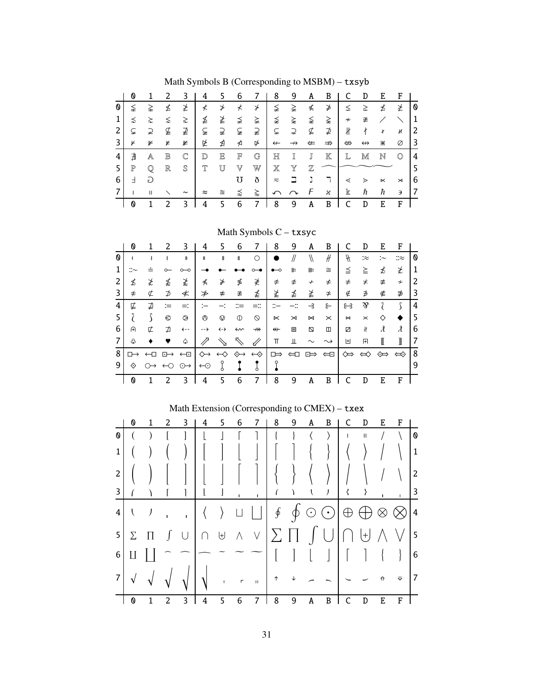|   | Ø           |              |                 |                       | 4         |         | 6 |         | 8                 | 9                  | A            | B             |                            | D                 | Ε         | F              |    |
|---|-------------|--------------|-----------------|-----------------------|-----------|---------|---|---------|-------------------|--------------------|--------------|---------------|----------------------------|-------------------|-----------|----------------|----|
| 0 | ≨           | ≩            | ≰               | ≱                     | ≮         | ≯       | ⊀ | $\star$ | ≨                 | ≩                  | ≰            | ≱             | ≤                          | ≥                 | ≰         | ≱              | 0  |
|   | ≾           | $\gtrsim$    | ⋦               | ≳                     | ≰         | ≱       | ≨ | ≩       | ⋨                 | ⋩                  | ⋦            | ⋧             | $\boldsymbol{\mathcal{H}}$ | ≇                 |           |                | 1  |
| 2 | ⊊           | ⊋            | ⊈               | ⊉                     | ⊊         | ⊋       | ⊊ | ⊋       | ⊊                 | ⊋                  | ⊈            | ⊉             | $\sqrt{k}$                 | ł                 | ł         | и              | 2  |
|   | ¥           | ⊮            | r               | ⊭                     | ⋭         | ⋬       | ⋪ | ⋫       | $\leftarrow$      | $\rightarrow$      | $\leftarrow$ | $\Rightarrow$ | ⇔                          | $\leftrightarrow$ | ⋇         | Ø              | 3  |
| 4 | ∄           | A            | $_{\mathbb{B}}$ | $\mathbb C$           | D         | E       | F | G       | $_{\mathbb{H}}$   |                    | J            | $\mathbb K$   | L                          | M                 | N         | $\circledcirc$ | 4  |
| 5 | $\mathbb P$ |              | $\mathbb R$     | S                     |           |         |   | W       |                   |                    |              |               |                            |                   |           |                |    |
| 6 | Ⅎ           | D            |                 |                       |           |         | Ω | ð       | $\overline{\sim}$ |                    |              |               | ⋖                          | ⋗                 | $\ltimes$ | $\times$       | 6  |
|   |             | $\mathbf{H}$ |                 | $\tilde{\phantom{a}}$ | $\approx$ | $\cong$ | ⋨ | ⋩       | ∽                 | $\curvearrowright$ | F            | н             | $\mathbb k$                | ħ                 | ħ         | Э              | -7 |
|   |             |              | 2               | 3                     | 4         |         | 6 |         | 8                 | 9                  | A            | B             |                            | D                 | E         | F              |    |

Math Symbols B (Corresponding to MSBM) – txsyb

Math Symbols C – txsyc

|   | 0  |                   |                    | 3                   | 4                  | 5                 | 6  |                   | 8                       | 9       | A  | в        |           |                   | E  | F                    |   |
|---|----|-------------------|--------------------|---------------------|--------------------|-------------------|----|-------------------|-------------------------|---------|----|----------|-----------|-------------------|----|----------------------|---|
| 0 |    |                   |                    | ⊪                   | ╢                  | ╠                 | 11 | ∩                 |                         |         |    | H        | ₩         | ∶≈                | :∼ | ∷≈                   | O |
|   |    |                   |                    | ⊸                   |                    |                   |    |                   |                         | ⊫       | ⊪  | ≅        | ≦         | ≧                 | ≴  | ≵                    | 1 |
| 2 | ≴  | ≵                 | ≴                  | ≵                   | ⊀                  | ⋡                 | ≸  | ≹                 | ≠                       | ≠       | ∱  | ≠        | $\neq$    | ≭                 | ≢  | $\boldsymbol{\star}$ | 2 |
|   | ≉  | ⊄                 | ⊅                  | ≮                   | ≯                  | ≉                 | ≇  | ≴                 | ≵                       | ≰       | ≱  | $\neq$   | ∉         | ∌                 | ∉  | ∌                    | 3 |
| 4 | ⋢  | ⊉                 | ≔                  |                     |                    |                   |    |                   |                         |         | -3 | ع        | ೫         | Ŋ                 |    |                      | 4 |
| 5 |    |                   | €                  | ◎                   | ခ                  | $\oslash$         | ⊕  | $\circ$           | ⋉                       | $\Join$ | N  | $\times$ | $\bowtie$ | $\pmb{\times}$    | ◇  |                      | 5 |
| 6 | A  | ⊄                 | ⊅                  | $\leftarrow$ - -    | --→                | ←÷                | ⇜  | ↛                 | $\overline{\mathbf{r}}$ | ×       | N  | ◫        | ☑         | ß                 | λ  | À                    | 6 |
|   | ♧  |                   |                    | ♤                   |                    | $\mathbb{Z}$      | ╲  | ∥                 | π                       | Ш       |    |          | 田         | 田                 | I  | I                    | 7 |
| 8 | □→ | Đ<br>$\leftarrow$ | $\Box \rightarrow$ | $\leftarrow$        | $\rightsquigarrow$ | $\leftrightarrow$ | ↔  | $\leftrightarrow$ | □⇒                      | ⇔⊔      | ⊡⇒ | ⇔⊡       | ⇔         | $\Leftrightarrow$ | չ⇒ | ⇔                    | 8 |
| 9 | ◈  | $\bigcirc$        | $\leftrightarrow$  | $\odot \rightarrow$ | $\leftarrow \odot$ |                   |    |                   |                         |         |    |          |           |                   |    |                      | 9 |
|   | 0  |                   | 2                  | 3                   | 4                  | 5                 | 6  |                   | 8                       | 9       | A  | B        |           | D                 | E  | F                    |   |

|                | Math Extension (Corresponding to CMEX) - txex |   |    |              |        |              |          |              |   |        |            |                           |   |              |   |   |                           |
|----------------|-----------------------------------------------|---|----|--------------|--------|--------------|----------|--------------|---|--------|------------|---------------------------|---|--------------|---|---|---------------------------|
|                | 0                                             | 1 | 2  | 3            | 4      | 5            | 6        |              | 8 | 9      | Α          | B                         |   | D            | E | F |                           |
| O              |                                               |   |    |              |        |              |          |              |   |        |            |                           | ı | $\mathbf{H}$ |   |   | $\boldsymbol{\mathsf{0}}$ |
| $\mathbf{1}$   |                                               |   |    |              |        |              |          |              |   |        |            |                           |   |              |   |   | $\mathbf{1}$              |
| $\overline{c}$ |                                               |   |    |              |        |              |          |              |   |        |            |                           |   |              |   |   | $\overline{c}$            |
| 3              |                                               |   |    |              |        | J            |          | $\mathbf{I}$ |   |        |            | J                         | く |              |   |   | 3                         |
| 4              |                                               |   | I. | $\mathbf{I}$ |        |              |          |              | ∮ | $\phi$ | $\bigodot$ | $\langle \bullet \rangle$ |   |              |   |   | $\overline{4}$            |
| 5              | Σ                                             |   |    | $\bigcup$    | $\cap$ | $\biguplus$  | $\wedge$ | V            |   |        |            |                           |   | $(+)$        |   |   | 5                         |
| 6              |                                               |   |    |              |        |              |          |              |   |        |            |                           |   |              |   |   | 6                         |
| $\overline{7}$ |                                               |   |    |              |        | $\mathbf{I}$ | $\Gamma$ | $\mathbf{H}$ | ↑ |        |            |                           |   |              | ⇑ | ⇓ | 7                         |
|                | 0                                             | 1 | 2  | 3            | 4      | 5            | 6        | 7            | 8 | 9      | Α          | B                         |   | D            | E | F |                           |